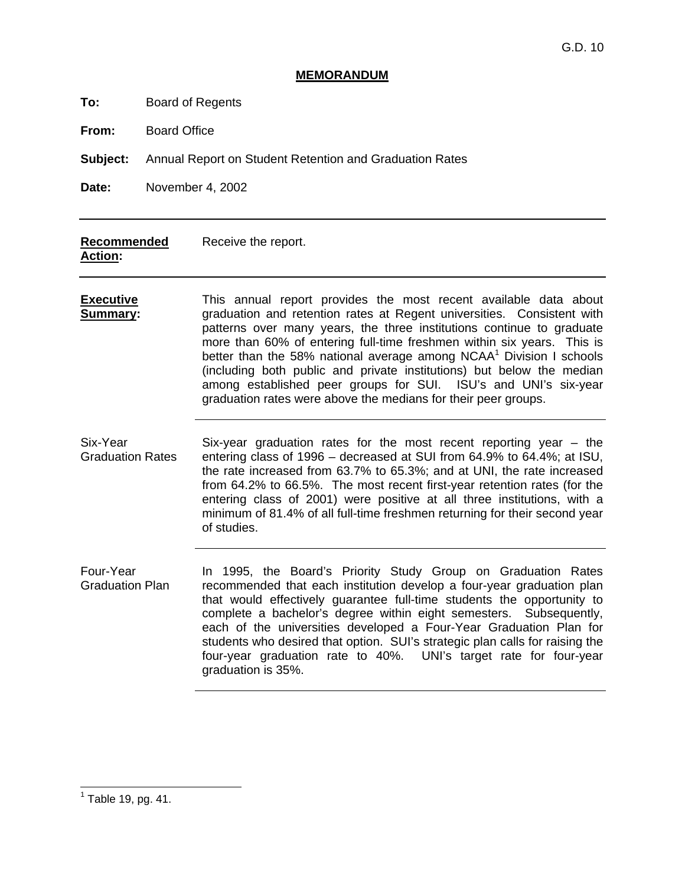#### **MEMORANDUM**

| Board of Regents<br>To: |  |
|-------------------------|--|
|-------------------------|--|

**From:** Board Office

**Subject:** Annual Report on Student Retention and Graduation Rates

**Date:** November 4, 2002

#### **Recommended Action:**  Receive the report.

**Executive Summary:**  This annual report provides the most recent available data about graduation and retention rates at Regent universities. Consistent with patterns over many years, the three institutions continue to graduate more than 60% of entering full-time freshmen within six years. This is better than the 58% national average among NCAA $<sup>1</sup>$  Division I schools</sup> (including both public and private institutions) but below the median among established peer groups for SUI. ISU's and UNI's six-year graduation rates were above the medians for their peer groups.

Six-Year Graduation Rates Six-year graduation rates for the most recent reporting year – the entering class of 1996 – decreased at SUI from 64.9% to 64.4%; at ISU, the rate increased from 63.7% to 65.3%; and at UNI, the rate increased from 64.2% to 66.5%. The most recent first-year retention rates (for the entering class of 2001) were positive at all three institutions, with a minimum of 81.4% of all full-time freshmen returning for their second year of studies.

Four-Year Graduation Plan In 1995, the Board's Priority Study Group on Graduation Rates recommended that each institution develop a four-year graduation plan that would effectively guarantee full-time students the opportunity to complete a bachelor's degree within eight semesters. Subsequently, each of the universities developed a Four-Year Graduation Plan for students who desired that option. SUI's strategic plan calls for raising the four-year graduation rate to 40%. UNI's target rate for four-year graduation is 35%.

 $<sup>1</sup>$  Table 19, pg. 41.</sup>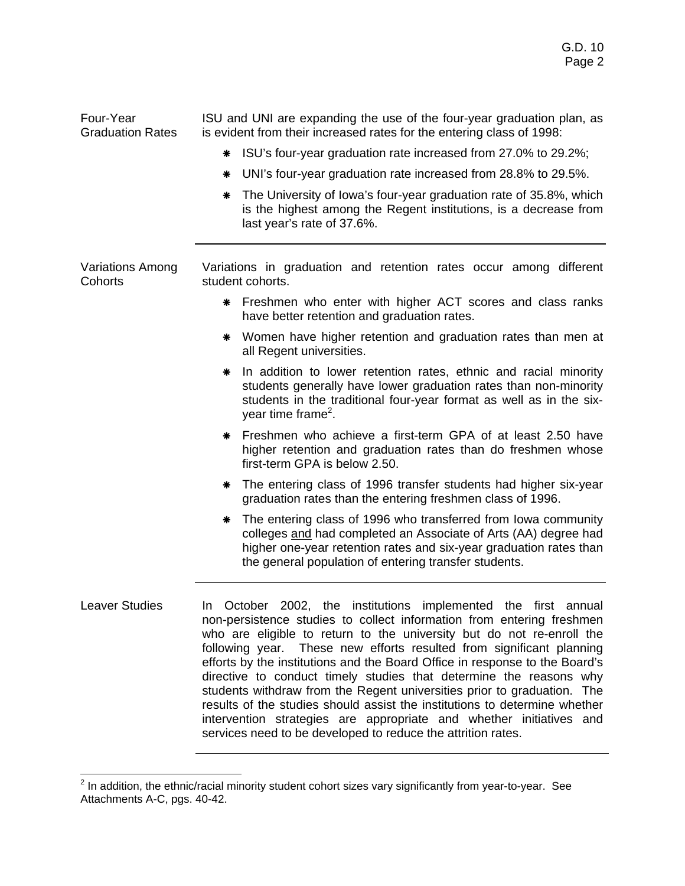Four-Year Graduation Rates ISU and UNI are expanding the use of the four-year graduation plan, as is evident from their increased rates for the entering class of 1998: ! ISU's four-year graduation rate increased from 27.0% to 29.2%; \* UNI's four-year graduation rate increased from 28.8% to 29.5%. \* The University of Iowa's four-year graduation rate of 35.8%, which is the highest among the Regent institutions, is a decrease from last year's rate of 37.6%. Variations Among Cohorts Variations in graduation and retention rates occur among different student cohorts. \* Freshmen who enter with higher ACT scores and class ranks have better retention and graduation rates. \* Women have higher retention and graduation rates than men at all Regent universities. \* In addition to lower retention rates, ethnic and racial minority students generally have lower graduation rates than non-minority students in the traditional four-year format as well as in the sixyear time frame<sup>2</sup>. \* Freshmen who achieve a first-term GPA of at least 2.50 have higher retention and graduation rates than do freshmen whose first-term GPA is below 2.50. \* The entering class of 1996 transfer students had higher six-year graduation rates than the entering freshmen class of 1996. \* The entering class of 1996 who transferred from Iowa community colleges and had completed an Associate of Arts (AA) degree had higher one-year retention rates and six-year graduation rates than the general population of entering transfer students. Leaver Studies 1n October 2002, the institutions implemented the first annual non-persistence studies to collect information from entering freshmen who are eligible to return to the university but do not re-enroll the following year. These new efforts resulted from significant planning efforts by the institutions and the Board Office in response to the Board's directive to conduct timely studies that determine the reasons why students withdraw from the Regent universities prior to graduation. The results of the studies should assist the institutions to determine whether intervention strategies are appropriate and whether initiatives and services need to be developed to reduce the attrition rates.

 2 In addition, the ethnic/racial minority student cohort sizes vary significantly from year-to-year. See Attachments A-C, pgs. 40-42.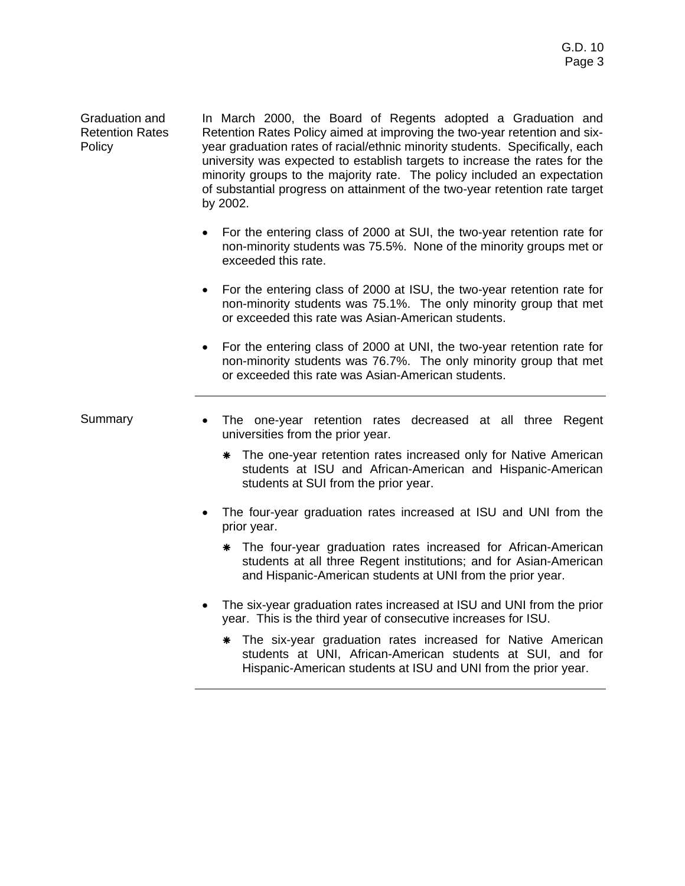Graduation and Retention Rates **Policy** 

In March 2000, the Board of Regents adopted a Graduation and Retention Rates Policy aimed at improving the two-year retention and sixyear graduation rates of racial/ethnic minority students. Specifically, each university was expected to establish targets to increase the rates for the minority groups to the majority rate. The policy included an expectation of substantial progress on attainment of the two-year retention rate target by 2002.

- For the entering class of 2000 at SUI, the two-year retention rate for non-minority students was 75.5%. None of the minority groups met or exceeded this rate.
- For the entering class of 2000 at ISU, the two-year retention rate for non-minority students was 75.1%. The only minority group that met or exceeded this rate was Asian-American students.
- For the entering class of 2000 at UNI, the two-year retention rate for non-minority students was 76.7%. The only minority group that met or exceeded this rate was Asian-American students.

- Summary The one-year retention rates decreased at all three Regent universities from the prior year.
	- \* The one-year retention rates increased only for Native American students at ISU and African-American and Hispanic-American students at SUI from the prior year.
	- The four-year graduation rates increased at ISU and UNI from the prior year.
		- \* The four-year graduation rates increased for African-American students at all three Regent institutions; and for Asian-American and Hispanic-American students at UNI from the prior year.
	- The six-year graduation rates increased at ISU and UNI from the prior year. This is the third year of consecutive increases for ISU.
		- \* The six-year graduation rates increased for Native American students at UNI, African-American students at SUI, and for Hispanic-American students at ISU and UNI from the prior year.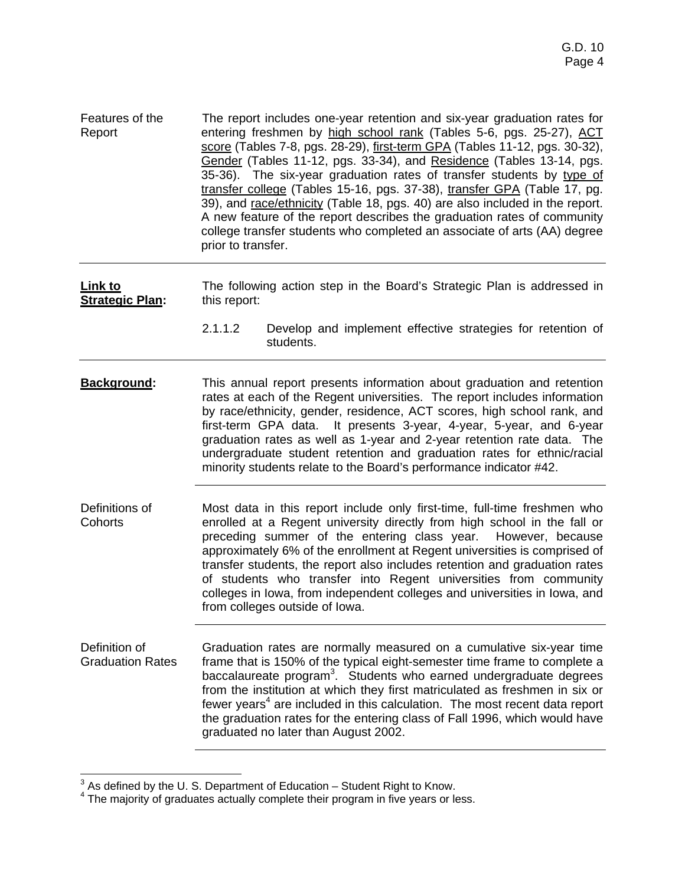Features of the Report The report includes one-year retention and six-year graduation rates for entering freshmen by high school rank (Tables 5-6, pgs. 25-27), ACT score (Tables 7-8, pgs. 28-29), first-term GPA (Tables 11-12, pgs. 30-32), Gender (Tables 11-12, pgs. 33-34), and Residence (Tables 13-14, pgs. 35-36). The six-year graduation rates of transfer students by type of transfer college (Tables 15-16, pgs. 37-38), transfer GPA (Table 17, pg. 39), and race/ethnicity (Table 18, pgs. 40) are also included in the report. A new feature of the report describes the graduation rates of community college transfer students who completed an associate of arts (AA) degree prior to transfer.

**Link to Strategic Plan:**  The following action step in the Board's Strategic Plan is addressed in this report:

- 2.1.1.2 Develop and implement effective strategies for retention of students.
- **Background:** This annual report presents information about graduation and retention rates at each of the Regent universities. The report includes information by race/ethnicity, gender, residence, ACT scores, high school rank, and first-term GPA data. It presents 3-year, 4-year, 5-year, and 6-year graduation rates as well as 1-year and 2-year retention rate data. The undergraduate student retention and graduation rates for ethnic/racial minority students relate to the Board's performance indicator #42.
- Definitions of **Cohorts** Most data in this report include only first-time, full-time freshmen who enrolled at a Regent university directly from high school in the fall or preceding summer of the entering class year. However, because approximately 6% of the enrollment at Regent universities is comprised of transfer students, the report also includes retention and graduation rates of students who transfer into Regent universities from community colleges in Iowa, from independent colleges and universities in Iowa, and from colleges outside of Iowa.
- Definition of Graduation Rates Graduation rates are normally measured on a cumulative six-year time frame that is 150% of the typical eight-semester time frame to complete a baccalaureate program<sup>3</sup>. Students who earned undergraduate degrees from the institution at which they first matriculated as freshmen in six or fewer years<sup>4</sup> are included in this calculation. The most recent data report the graduation rates for the entering class of Fall 1996, which would have graduated no later than August 2002.

 $\frac{3}{3}$  As defined by the U. S. Department of Education – Student Right to Know.

<sup>&</sup>lt;sup>4</sup> The majority of graduates actually complete their program in five years or less.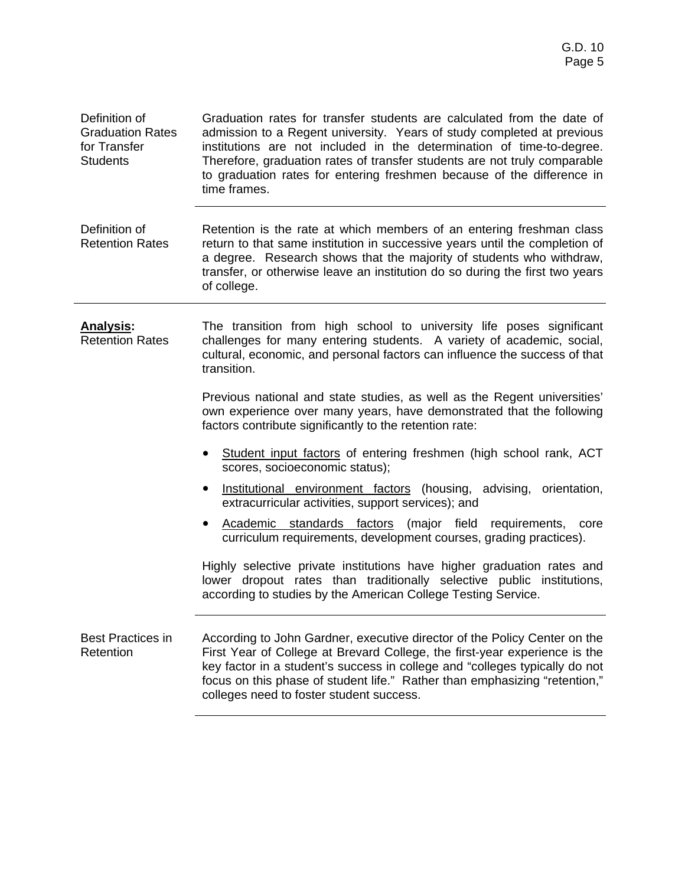| Definition of<br><b>Graduation Rates</b><br>for Transfer<br><b>Students</b> | Graduation rates for transfer students are calculated from the date of<br>admission to a Regent university. Years of study completed at previous<br>institutions are not included in the determination of time-to-degree.<br>Therefore, graduation rates of transfer students are not truly comparable<br>to graduation rates for entering freshmen because of the difference in<br>time frames. |
|-----------------------------------------------------------------------------|--------------------------------------------------------------------------------------------------------------------------------------------------------------------------------------------------------------------------------------------------------------------------------------------------------------------------------------------------------------------------------------------------|
| Definition of<br><b>Retention Rates</b>                                     | Retention is the rate at which members of an entering freshman class<br>return to that same institution in successive years until the completion of<br>a degree. Research shows that the majority of students who withdraw,<br>transfer, or otherwise leave an institution do so during the first two years<br>of college.                                                                       |
| <b>Analysis:</b><br><b>Retention Rates</b>                                  | The transition from high school to university life poses significant<br>challenges for many entering students. A variety of academic, social,<br>cultural, economic, and personal factors can influence the success of that<br>transition.                                                                                                                                                       |
|                                                                             | Previous national and state studies, as well as the Regent universities'<br>own experience over many years, have demonstrated that the following<br>factors contribute significantly to the retention rate:                                                                                                                                                                                      |
|                                                                             | Student input factors of entering freshmen (high school rank, ACT<br>$\bullet$<br>scores, socioeconomic status);                                                                                                                                                                                                                                                                                 |
|                                                                             | Institutional environment factors (housing, advising, orientation,<br>extracurricular activities, support services); and                                                                                                                                                                                                                                                                         |
|                                                                             | Academic standards factors (major field<br>requirements,<br>core<br>curriculum requirements, development courses, grading practices).                                                                                                                                                                                                                                                            |
|                                                                             | Highly selective private institutions have higher graduation rates and<br>lower dropout rates than traditionally selective public institutions,<br>according to studies by the American College Testing Service.                                                                                                                                                                                 |
| <b>Best Practices in</b><br>Retention                                       | According to John Gardner, executive director of the Policy Center on the<br>First Year of College at Brevard College, the first-year experience is the<br>key factor in a student's success in college and "colleges typically do not<br>focus on this phase of student life." Rather than emphasizing "retention,"<br>colleges need to foster student success.                                 |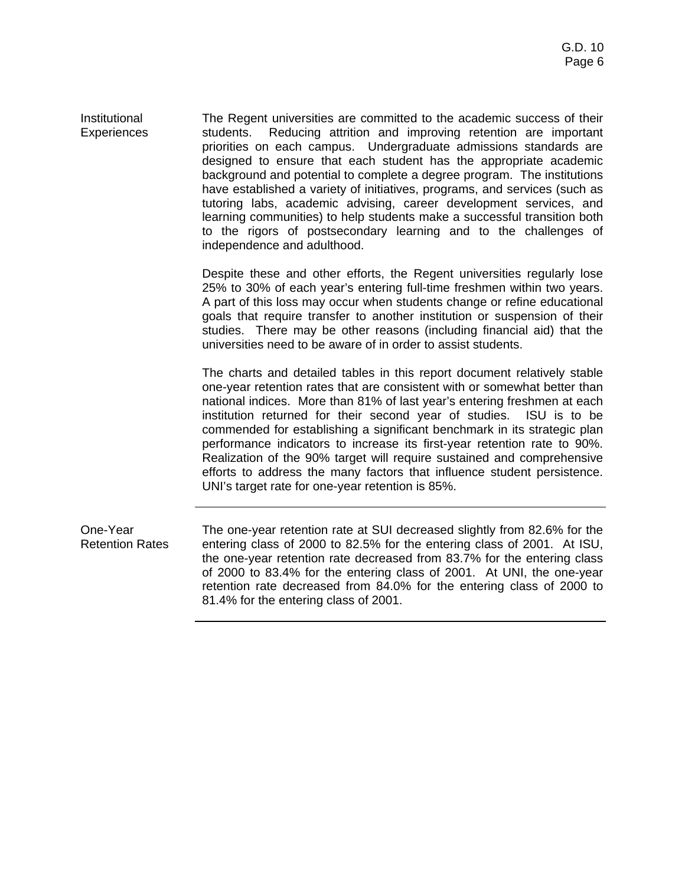Institutional **Experiences** The Regent universities are committed to the academic success of their students. Reducing attrition and improving retention are important priorities on each campus. Undergraduate admissions standards are designed to ensure that each student has the appropriate academic background and potential to complete a degree program. The institutions have established a variety of initiatives, programs, and services (such as tutoring labs, academic advising, career development services, and learning communities) to help students make a successful transition both to the rigors of postsecondary learning and to the challenges of independence and adulthood.

> Despite these and other efforts, the Regent universities regularly lose 25% to 30% of each year's entering full-time freshmen within two years. A part of this loss may occur when students change or refine educational goals that require transfer to another institution or suspension of their studies. There may be other reasons (including financial aid) that the universities need to be aware of in order to assist students.

> The charts and detailed tables in this report document relatively stable one-year retention rates that are consistent with or somewhat better than national indices. More than 81% of last year's entering freshmen at each institution returned for their second year of studies. ISU is to be commended for establishing a significant benchmark in its strategic plan performance indicators to increase its first-year retention rate to 90%. Realization of the 90% target will require sustained and comprehensive efforts to address the many factors that influence student persistence. UNI's target rate for one-year retention is 85%.

One-Year Retention Rates The one-year retention rate at SUI decreased slightly from 82.6% for the entering class of 2000 to 82.5% for the entering class of 2001. At ISU, the one-year retention rate decreased from 83.7% for the entering class of 2000 to 83.4% for the entering class of 2001. At UNI, the one-year retention rate decreased from 84.0% for the entering class of 2000 to 81.4% for the entering class of 2001.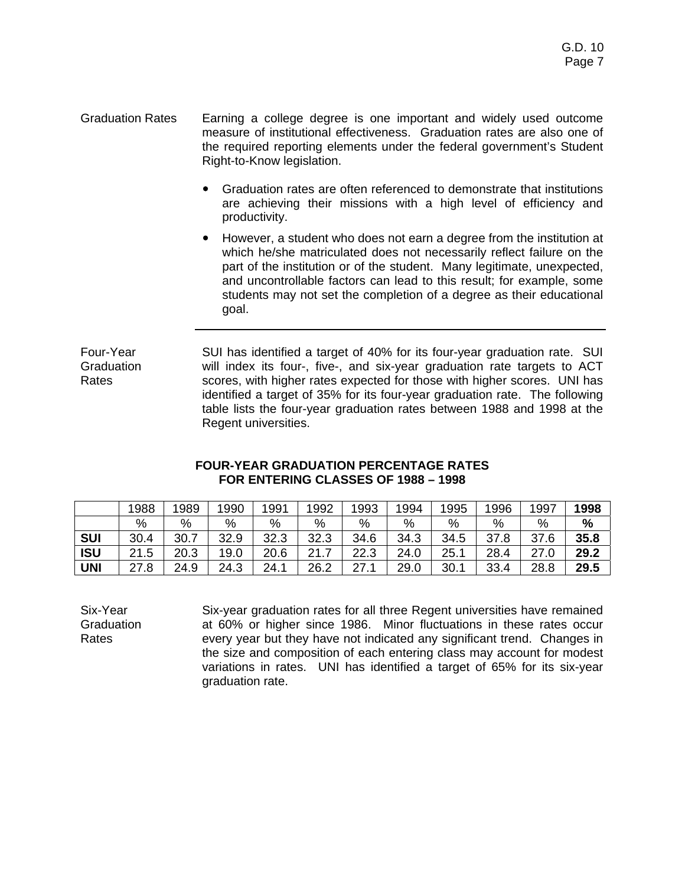- Graduation Rates Earning a college degree is one important and widely used outcome measure of institutional effectiveness. Graduation rates are also one of the required reporting elements under the federal government's Student Right-to-Know legislation.
	- Graduation rates are often referenced to demonstrate that institutions are achieving their missions with a high level of efficiency and productivity.
	- However, a student who does not earn a degree from the institution at which he/she matriculated does not necessarily reflect failure on the part of the institution or of the student. Many legitimate, unexpected, and uncontrollable factors can lead to this result; for example, some students may not set the completion of a degree as their educational goal.

Four-Year **Graduation** Rates SUI has identified a target of 40% for its four-year graduation rate. SUI will index its four-, five-, and six-year graduation rate targets to ACT scores, with higher rates expected for those with higher scores. UNI has identified a target of 35% for its four-year graduation rate. The following table lists the four-year graduation rates between 1988 and 1998 at the Regent universities.

#### **FOUR-YEAR GRADUATION PERCENTAGE RATES FOR ENTERING CLASSES OF 1988 – 1998**

|            | 1988       | 1989 | 1990 | 1991 | 1992 | 1993 | 1994 | 1995 | 1996 | 1997 | 1998 |
|------------|------------|------|------|------|------|------|------|------|------|------|------|
|            | %          | $\%$ | $\%$ | $\%$ | %    | %    | %    | %    | %    | $\%$ | %    |
| <b>SUI</b> | 30.4       | 30.7 | 32.9 | 32.3 | 32.3 | 34.6 | 34.3 | 34.5 | 37.8 | 37.6 | 35.8 |
| <b>ISU</b> | 21<br>21.5 | 20.3 | 19.0 | 20.6 | 21.7 | 22.3 | 24.0 | 25.1 | 28.4 | 27.0 | 29.2 |
| UNI        | 27.8       | 24.9 | 24.3 | 24.1 | 26.2 | 27.  | 29.0 | 30.1 | 33.4 | 28.8 | 29.5 |

Six-Year Graduation Rates

Six-year graduation rates for all three Regent universities have remained at 60% or higher since 1986. Minor fluctuations in these rates occur every year but they have not indicated any significant trend. Changes in the size and composition of each entering class may account for modest variations in rates. UNI has identified a target of 65% for its six-year graduation rate.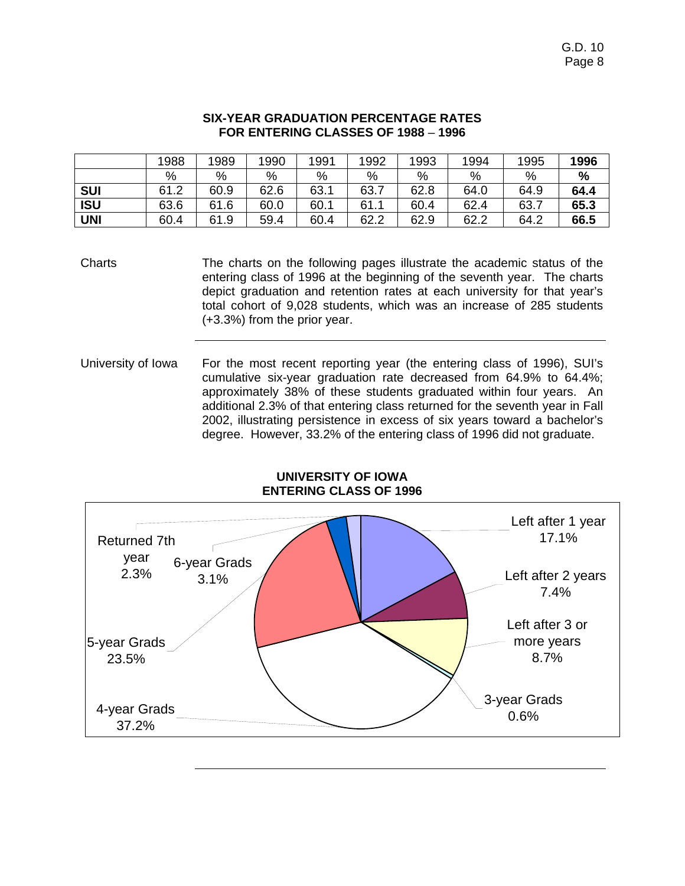#### **SIX-YEAR GRADUATION PERCENTAGE RATES FOR ENTERING CLASSES OF 1988** – **1996**

|            | 1988 | 1989 | 1990 | 1991 | 1992 | 1993 | 1994 | 1995 | 1996 |
|------------|------|------|------|------|------|------|------|------|------|
|            | %    | %    | %    | %    | %    | %    | %    | %    | %    |
| <b>SUI</b> | 61.2 | 60.9 | 62.6 | 63.1 | 63.7 | 62.8 | 64.0 | 64.9 | 64.4 |
| <b>ISU</b> | 63.6 | 61.6 | 60.0 | 60.1 | 61.1 | 60.4 | 62.4 | 63.7 | 65.3 |
| <b>UNI</b> | 60.4 | 61.9 | 59.4 | 60.4 | 62.2 | 62.9 | 62.2 | 64.2 | 66.5 |

Charts The charts on the following pages illustrate the academic status of the entering class of 1996 at the beginning of the seventh year. The charts depict graduation and retention rates at each university for that year's total cohort of 9,028 students, which was an increase of 285 students (+3.3%) from the prior year.

University of Iowa For the most recent reporting year (the entering class of 1996), SUI's cumulative six-year graduation rate decreased from 64.9% to 64.4%; approximately 38% of these students graduated within four years. An additional 2.3% of that entering class returned for the seventh year in Fall 2002, illustrating persistence in excess of six years toward a bachelor's degree. However, 33.2% of the entering class of 1996 did not graduate.



#### **UNIVERSITY OF IOWA ENTERING CLASS OF 1996**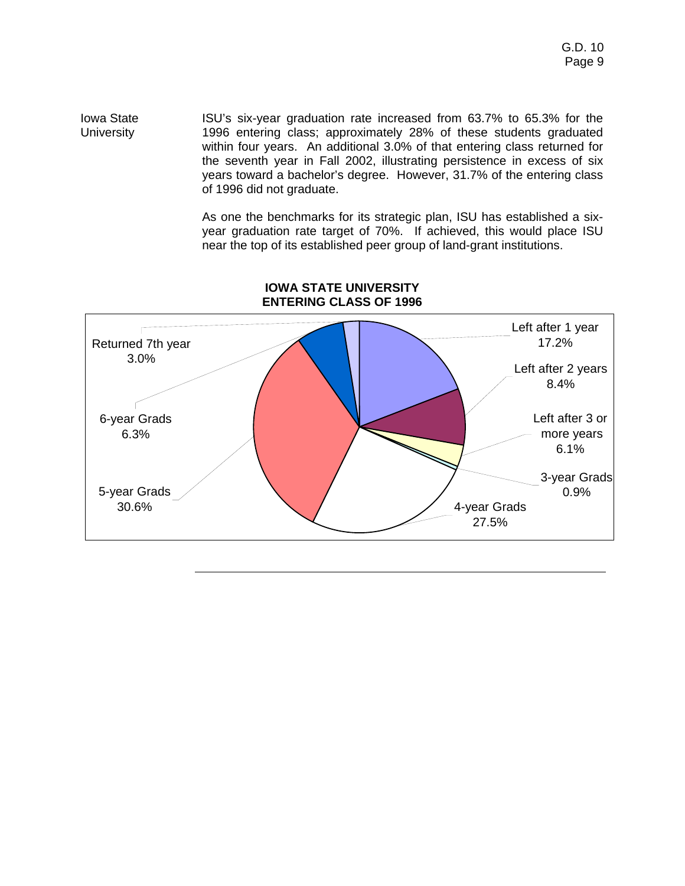Iowa State **University** ISU's six-year graduation rate increased from 63.7% to 65.3% for the 1996 entering class; approximately 28% of these students graduated within four years. An additional 3.0% of that entering class returned for the seventh year in Fall 2002, illustrating persistence in excess of six years toward a bachelor's degree. However, 31.7% of the entering class of 1996 did not graduate.

> As one the benchmarks for its strategic plan, ISU has established a sixyear graduation rate target of 70%. If achieved, this would place ISU near the top of its established peer group of land-grant institutions.



### **IOWA STATE UNIVERSITY ENTERING CLASS OF 1996**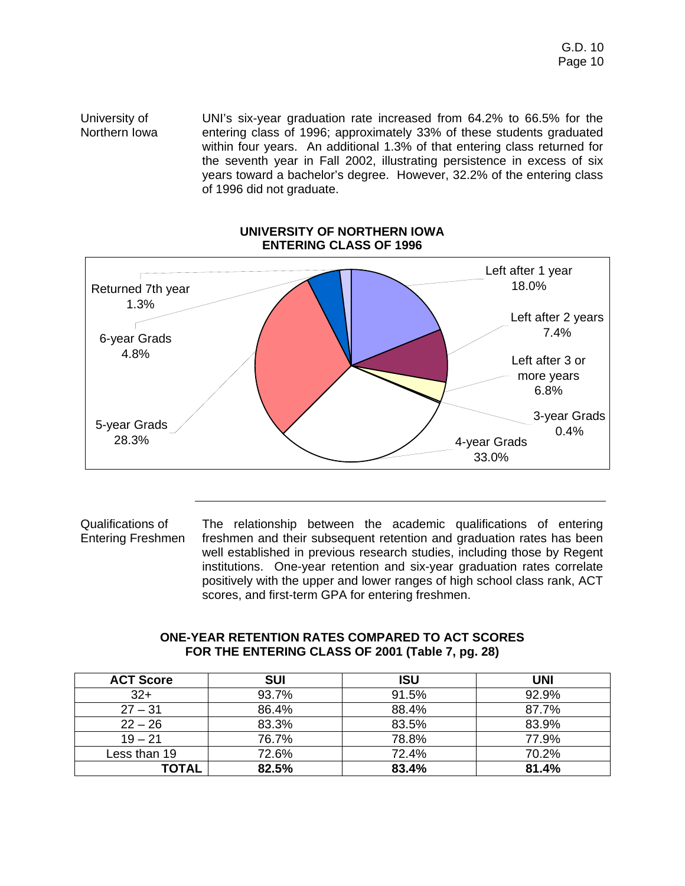University of Northern Iowa UNI's six-year graduation rate increased from 64.2% to 66.5% for the entering class of 1996; approximately 33% of these students graduated within four years. An additional 1.3% of that entering class returned for the seventh year in Fall 2002, illustrating persistence in excess of six years toward a bachelor's degree. However, 32.2% of the entering class of 1996 did not graduate.



#### **UNIVERSITY OF NORTHERN IOWA ENTERING CLASS OF 1996**

Qualifications of Entering Freshmen The relationship between the academic qualifications of entering freshmen and their subsequent retention and graduation rates has been well established in previous research studies, including those by Regent institutions. One-year retention and six-year graduation rates correlate positively with the upper and lower ranges of high school class rank, ACT scores, and first-term GPA for entering freshmen.

### **ONE-YEAR RETENTION RATES COMPARED TO ACT SCORES FOR THE ENTERING CLASS OF 2001 (Table 7, pg. 28)**

| <b>ACT Score</b> | <b>SUI</b> | <b>ISU</b> | <b>UNI</b> |
|------------------|------------|------------|------------|
| $32+$            | 93.7%      | 91.5%      | 92.9%      |
| $27 - 31$        | 86.4%      | 88.4%      | 87.7%      |
| $22 - 26$        | 83.3%      | 83.5%      | 83.9%      |
| $19 - 21$        | 76.7%      | 78.8%      | 77.9%      |
| Less than 19     | 72.6%      | 72.4%      | 70.2%      |
| <b>TOTAL</b>     | 82.5%      | 83.4%      | 81.4%      |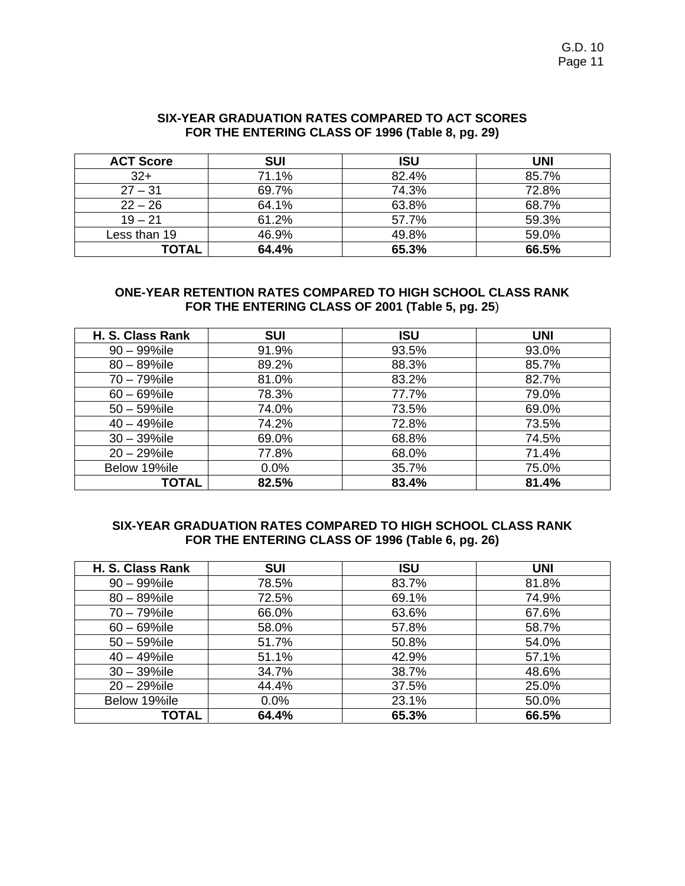| SIX-YEAR GRADUATION RATES COMPARED TO ACT SCORES |
|--------------------------------------------------|
| FOR THE ENTERING CLASS OF 1996 (Table 8, pg. 29) |

| <b>ACT Score</b> | <b>SUI</b> | <b>ISU</b> | UNI   |
|------------------|------------|------------|-------|
| $32+$            | 71.1%      | 82.4%      | 85.7% |
| $27 - 31$        | 69.7%      | 74.3%      | 72.8% |
| $22 - 26$        | 64.1%      | 63.8%      | 68.7% |
| $19 - 21$        | 61.2%      | 57.7%      | 59.3% |
| Less than 19     | 46.9%      | 49.8%      | 59.0% |
| <b>TOTAL</b>     | 64.4%      | 65.3%      | 66.5% |

#### **ONE-YEAR RETENTION RATES COMPARED TO HIGH SCHOOL CLASS RANK FOR THE ENTERING CLASS OF 2001 (Table 5, pg. 25**)

| H. S. Class Rank | <b>SUI</b> | <b>ISU</b> | <b>UNI</b> |
|------------------|------------|------------|------------|
| $90 - 99\%$ ile  | 91.9%      | 93.5%      | 93.0%      |
| $80 - 89\%$ ile  | 89.2%      | 88.3%      | 85.7%      |
| 70 - 79%ile      | 81.0%      | 83.2%      | 82.7%      |
| $60 - 69\%$ ile  | 78.3%      | 77.7%      | 79.0%      |
| $50 - 59\%$ ile  | 74.0%      | 73.5%      | 69.0%      |
| $40 - 49\%$ ile  | 74.2%      | 72.8%      | 73.5%      |
| $30 - 39\%$ ile  | 69.0%      | 68.8%      | 74.5%      |
| $20 - 29\%$ ile  | 77.8%      | 68.0%      | 71.4%      |
| Below 19%ile     | 0.0%       | 35.7%      | 75.0%      |
| TOTAL            | 82.5%      | 83.4%      | 81.4%      |

### **SIX-YEAR GRADUATION RATES COMPARED TO HIGH SCHOOL CLASS RANK FOR THE ENTERING CLASS OF 1996 (Table 6, pg. 26)**

| H. S. Class Rank | <b>SUI</b> | <b>ISU</b> | <b>UNI</b> |
|------------------|------------|------------|------------|
| $90 - 99\%$ ile  | 78.5%      | 83.7%      | 81.8%      |
| $80 - 89\%$ ile  | 72.5%      | 69.1%      | 74.9%      |
| 70 - 79%ile      | 66.0%      | 63.6%      | 67.6%      |
| $60 - 69\%$ ile  | 58.0%      | 57.8%      | 58.7%      |
| $50 - 59\%$ ile  | 51.7%      | 50.8%      | 54.0%      |
| $40 - 49\%$ ile  | 51.1%      | 42.9%      | 57.1%      |
| $30 - 39\%$ ile  | 34.7%      | 38.7%      | 48.6%      |
| $20 - 29\%$ ile  | 44.4%      | 37.5%      | 25.0%      |
| Below 19%ile     | 0.0%       | 23.1%      | 50.0%      |
| <b>TOTAL</b>     | 64.4%      | 65.3%      | 66.5%      |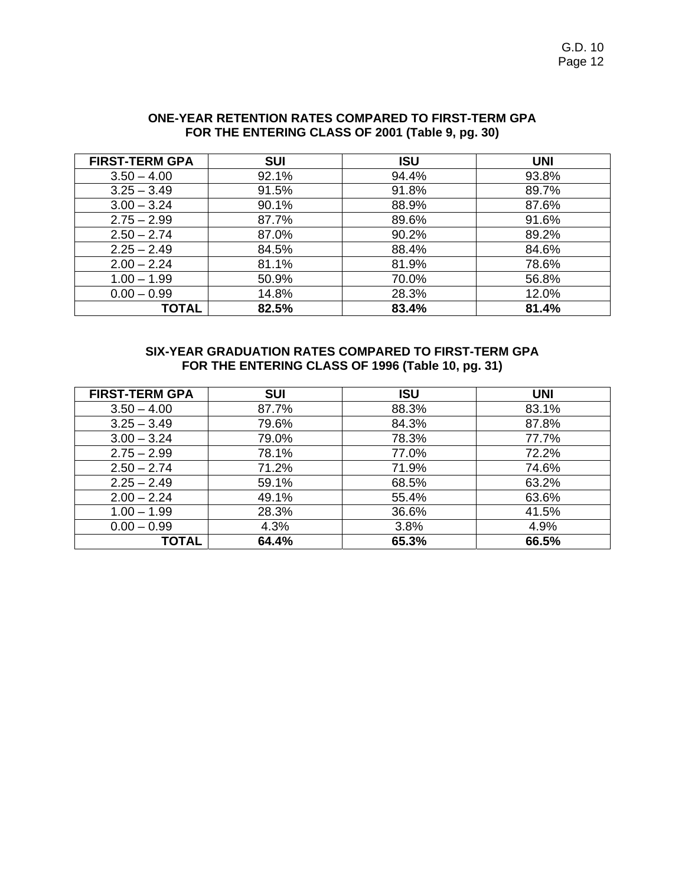G.D. 10 Page 12

| <b>FIRST-TERM GPA</b> | <b>SUI</b> | <b>ISU</b> | <b>UNI</b> |
|-----------------------|------------|------------|------------|
| $3.50 - 4.00$         | 92.1%      | 94.4%      | 93.8%      |
| $3.25 - 3.49$         | 91.5%      | 91.8%      | 89.7%      |
| $3.00 - 3.24$         | 90.1%      | 88.9%      | 87.6%      |
| $2.75 - 2.99$         | 87.7%      | 89.6%      | 91.6%      |
| $2.50 - 2.74$         | 87.0%      | 90.2%      | 89.2%      |
| $2.25 - 2.49$         | 84.5%      | 88.4%      | 84.6%      |
| $2.00 - 2.24$         | 81.1%      | 81.9%      | 78.6%      |
| $1.00 - 1.99$         | 50.9%      | 70.0%      | 56.8%      |
| $0.00 - 0.99$         | 14.8%      | 28.3%      | 12.0%      |
| <b>TOTAL</b>          | 82.5%      | 83.4%      | 81.4%      |

### **ONE-YEAR RETENTION RATES COMPARED TO FIRST-TERM GPA FOR THE ENTERING CLASS OF 2001 (Table 9, pg. 30)**

### **SIX-YEAR GRADUATION RATES COMPARED TO FIRST-TERM GPA FOR THE ENTERING CLASS OF 1996 (Table 10, pg. 31)**

| <b>FIRST-TERM GPA</b> | <b>SUI</b> | <b>ISU</b> | <b>UNI</b> |
|-----------------------|------------|------------|------------|
| $3.50 - 4.00$         | 87.7%      | 88.3%      | 83.1%      |
| $3.25 - 3.49$         | 79.6%      | 84.3%      | 87.8%      |
| $3.00 - 3.24$         | 79.0%      | 78.3%      | 77.7%      |
| $2.75 - 2.99$         | 78.1%      | 77.0%      | 72.2%      |
| $2.50 - 2.74$         | 71.2%      | 71.9%      | 74.6%      |
| $2.25 - 2.49$         | 59.1%      | 68.5%      | 63.2%      |
| $2.00 - 2.24$         | 49.1%      | 55.4%      | 63.6%      |
| $1.00 - 1.99$         | 28.3%      | 36.6%      | 41.5%      |
| $0.00 - 0.99$         | 4.3%       | 3.8%       | 4.9%       |
| TOTAL                 | 64.4%      | 65.3%      | 66.5%      |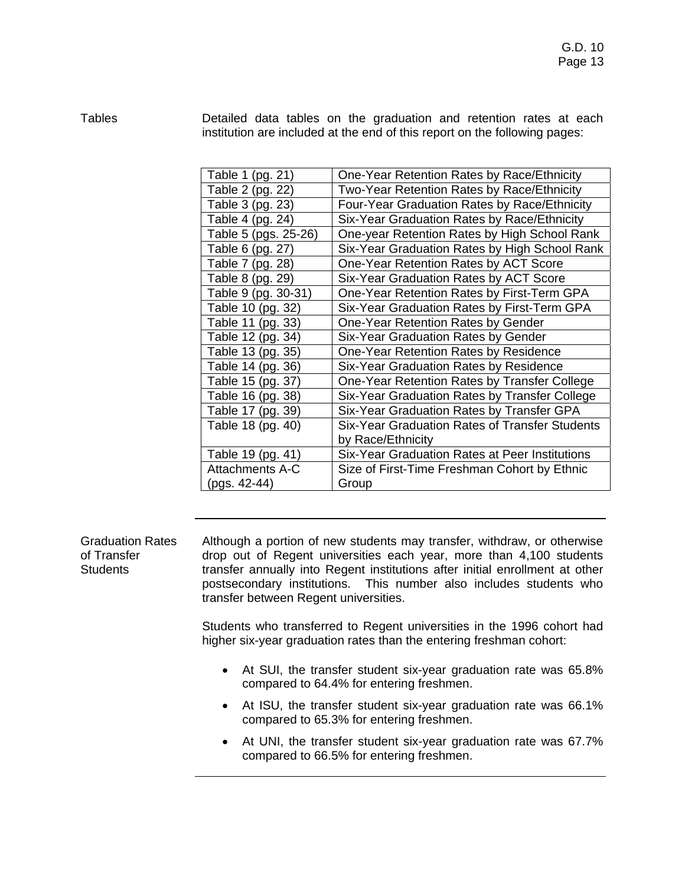Tables Detailed data tables on the graduation and retention rates at each institution are included at the end of this report on the following pages:

| Table 1 (pg. 21)     | One-Year Retention Rates by Race/Ethnicity     |
|----------------------|------------------------------------------------|
| Table 2 (pg. 22)     | Two-Year Retention Rates by Race/Ethnicity     |
| Table 3 (pg. 23)     | Four-Year Graduation Rates by Race/Ethnicity   |
| Table 4 (pg. 24)     | Six-Year Graduation Rates by Race/Ethnicity    |
| Table 5 (pgs. 25-26) | One-year Retention Rates by High School Rank   |
| Table 6 (pg. 27)     | Six-Year Graduation Rates by High School Rank  |
| Table 7 (pg. 28)     | One-Year Retention Rates by ACT Score          |
| Table 8 (pg. 29)     | Six-Year Graduation Rates by ACT Score         |
| Table 9 (pg. 30-31)  | One-Year Retention Rates by First-Term GPA     |
| Table 10 (pg. 32)    | Six-Year Graduation Rates by First-Term GPA    |
| Table 11 (pg. 33)    | One-Year Retention Rates by Gender             |
| Table 12 (pg. 34)    | Six-Year Graduation Rates by Gender            |
| Table 13 (pg. 35)    | One-Year Retention Rates by Residence          |
| Table 14 (pg. 36)    | Six-Year Graduation Rates by Residence         |
| Table 15 (pg. 37)    | One-Year Retention Rates by Transfer College   |
| Table 16 (pg. 38)    | Six-Year Graduation Rates by Transfer College  |
| Table 17 (pg. 39)    | Six-Year Graduation Rates by Transfer GPA      |
| Table 18 (pg. 40)    | Six-Year Graduation Rates of Transfer Students |
|                      | by Race/Ethnicity                              |
| Table 19 (pg. 41)    | Six-Year Graduation Rates at Peer Institutions |
| Attachments A-C      | Size of First-Time Freshman Cohort by Ethnic   |
| (pgs. 42-44)         | Group                                          |

Graduation Rates Although a portion of new students may transfer, withdraw, or otherwise drop out of Regent universities each year, more than 4,100 students transfer annually into Regent institutions after initial enrollment at other postsecondary institutions. This number also includes students who transfer between Regent universities.

> Students who transferred to Regent universities in the 1996 cohort had higher six-year graduation rates than the entering freshman cohort:

- At SUI, the transfer student six-year graduation rate was 65.8% compared to 64.4% for entering freshmen.
- At ISU, the transfer student six-year graduation rate was 66.1% compared to 65.3% for entering freshmen.
- At UNI, the transfer student six-year graduation rate was 67.7% compared to 66.5% for entering freshmen.

of Transfer **Students**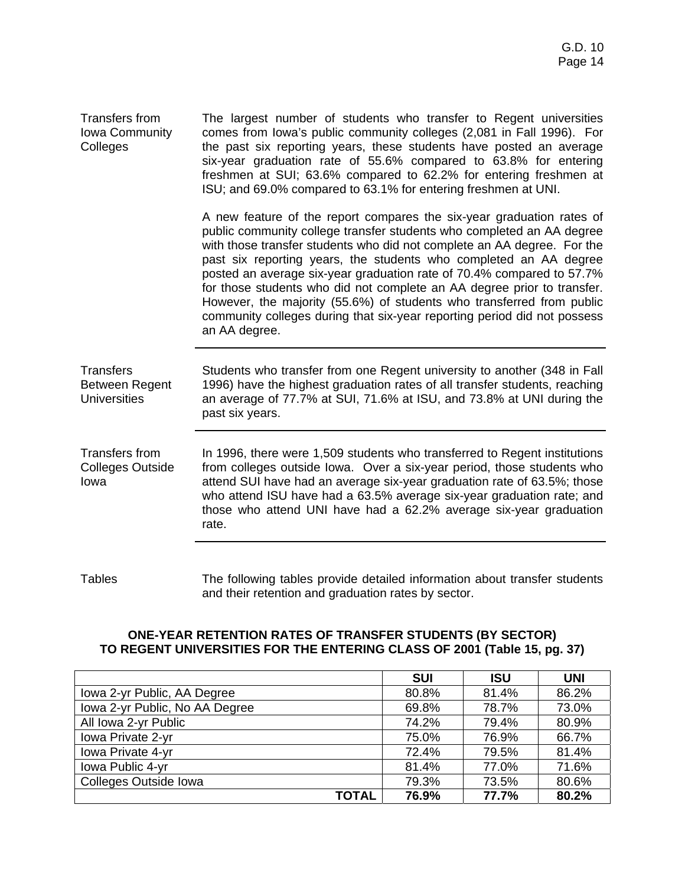| <b>Transfers from</b><br><b>Iowa Community</b><br>Colleges | The largest number of students who transfer to Regent universities<br>comes from lowa's public community colleges (2,081 in Fall 1996). For<br>the past six reporting years, these students have posted an average<br>six-year graduation rate of 55.6% compared to 63.8% for entering<br>freshmen at SUI; 63.6% compared to 62.2% for entering freshmen at<br>ISU; and 69.0% compared to 63.1% for entering freshmen at UNI.                                                                                                                                                                                            |
|------------------------------------------------------------|--------------------------------------------------------------------------------------------------------------------------------------------------------------------------------------------------------------------------------------------------------------------------------------------------------------------------------------------------------------------------------------------------------------------------------------------------------------------------------------------------------------------------------------------------------------------------------------------------------------------------|
|                                                            | A new feature of the report compares the six-year graduation rates of<br>public community college transfer students who completed an AA degree<br>with those transfer students who did not complete an AA degree. For the<br>past six reporting years, the students who completed an AA degree<br>posted an average six-year graduation rate of 70.4% compared to 57.7%<br>for those students who did not complete an AA degree prior to transfer.<br>However, the majority (55.6%) of students who transferred from public<br>community colleges during that six-year reporting period did not possess<br>an AA degree. |
| <b>Transfers</b><br>Between Regent<br><b>Universities</b>  | Students who transfer from one Regent university to another (348 in Fall<br>1996) have the highest graduation rates of all transfer students, reaching<br>an average of 77.7% at SUI, 71.6% at ISU, and 73.8% at UNI during the<br>past six years.                                                                                                                                                                                                                                                                                                                                                                       |
| <b>Transfers from</b><br><b>Colleges Outside</b><br>lowa   | In 1996, there were 1,509 students who transferred to Regent institutions<br>from colleges outside lowa. Over a six-year period, those students who<br>attend SUI have had an average six-year graduation rate of 63.5%; those<br>who attend ISU have had a 63.5% average six-year graduation rate; and<br>those who attend UNI have had a 62.2% average six-year graduation<br>rate.                                                                                                                                                                                                                                    |
|                                                            |                                                                                                                                                                                                                                                                                                                                                                                                                                                                                                                                                                                                                          |

Tables The following tables provide detailed information about transfer students and their retention and graduation rates by sector.

### **ONE-YEAR RETENTION RATES OF TRANSFER STUDENTS (BY SECTOR) TO REGENT UNIVERSITIES FOR THE ENTERING CLASS OF 2001 (Table 15, pg. 37)**

|                                | <b>SUI</b> | <b>ISU</b> | <b>UNI</b> |
|--------------------------------|------------|------------|------------|
| Iowa 2-yr Public, AA Degree    | 80.8%      | 81.4%      | 86.2%      |
| Iowa 2-yr Public, No AA Degree | 69.8%      | 78.7%      | 73.0%      |
| All Iowa 2-yr Public           | 74.2%      | 79.4%      | 80.9%      |
| Iowa Private 2-yr              | 75.0%      | 76.9%      | 66.7%      |
| Iowa Private 4-yr              | 72.4%      | 79.5%      | 81.4%      |
| Iowa Public 4-yr               | 81.4%      | 77.0%      | 71.6%      |
| Colleges Outside Iowa          | 79.3%      | 73.5%      | 80.6%      |
| <b>TOTAL</b>                   | 76.9%      | 77.7%      | 80.2%      |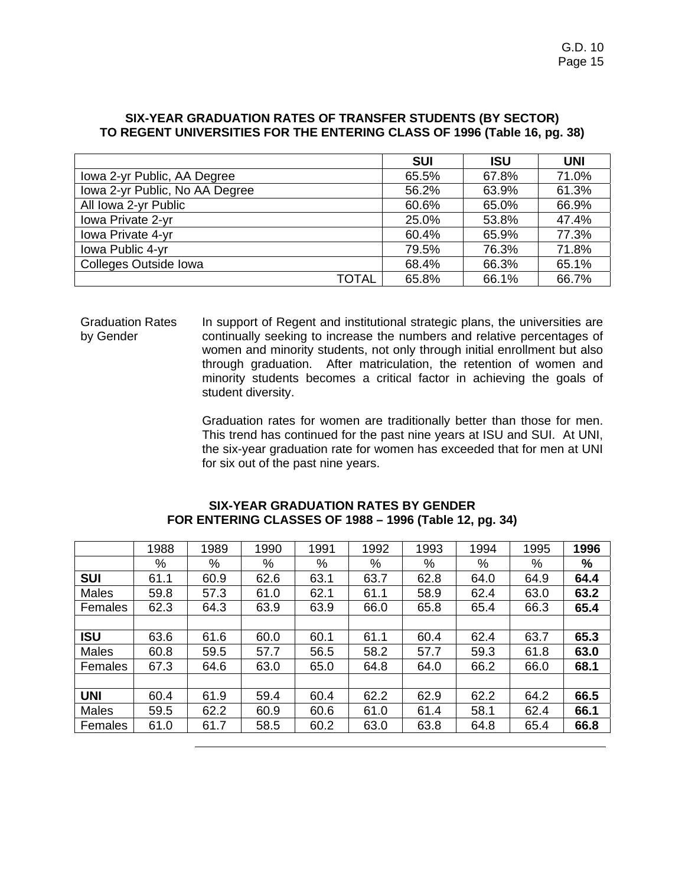|                                | <b>SUI</b> | <b>ISU</b> | <b>UNI</b> |
|--------------------------------|------------|------------|------------|
| Iowa 2-yr Public, AA Degree    | 65.5%      | 67.8%      | 71.0%      |
| Iowa 2-yr Public, No AA Degree | 56.2%      | 63.9%      | 61.3%      |
| All Iowa 2-yr Public           | 60.6%      | 65.0%      | 66.9%      |
| Iowa Private 2-yr              | 25.0%      | 53.8%      | 47.4%      |
| Iowa Private 4-yr              | 60.4%      | 65.9%      | 77.3%      |
| Iowa Public 4-yr               | 79.5%      | 76.3%      | 71.8%      |
| Colleges Outside Iowa          | 68.4%      | 66.3%      | 65.1%      |
| <b>TOTAL</b>                   | 65.8%      | 66.1%      | 66.7%      |

#### **SIX-YEAR GRADUATION RATES OF TRANSFER STUDENTS (BY SECTOR) TO REGENT UNIVERSITIES FOR THE ENTERING CLASS OF 1996 (Table 16, pg. 38)**

Graduation Rates by Gender In support of Regent and institutional strategic plans, the universities are continually seeking to increase the numbers and relative percentages of women and minority students, not only through initial enrollment but also through graduation. After matriculation, the retention of women and minority students becomes a critical factor in achieving the goals of student diversity.

> Graduation rates for women are traditionally better than those for men. This trend has continued for the past nine years at ISU and SUI. At UNI, the six-year graduation rate for women has exceeded that for men at UNI for six out of the past nine years.

|              | 1988 | 1989 | 1990 | 1991 | 1992 | 1993 | 1994 | 1995 | 1996 |
|--------------|------|------|------|------|------|------|------|------|------|
|              | %    | %    | %    | %    | %    | %    | %    | %    | %    |
| <b>SUI</b>   | 61.1 | 60.9 | 62.6 | 63.1 | 63.7 | 62.8 | 64.0 | 64.9 | 64.4 |
| Males        | 59.8 | 57.3 | 61.0 | 62.1 | 61.1 | 58.9 | 62.4 | 63.0 | 63.2 |
| Females      | 62.3 | 64.3 | 63.9 | 63.9 | 66.0 | 65.8 | 65.4 | 66.3 | 65.4 |
|              |      |      |      |      |      |      |      |      |      |
| <b>ISU</b>   | 63.6 | 61.6 | 60.0 | 60.1 | 61.1 | 60.4 | 62.4 | 63.7 | 65.3 |
| <b>Males</b> | 60.8 | 59.5 | 57.7 | 56.5 | 58.2 | 57.7 | 59.3 | 61.8 | 63.0 |
| Females      | 67.3 | 64.6 | 63.0 | 65.0 | 64.8 | 64.0 | 66.2 | 66.0 | 68.1 |
|              |      |      |      |      |      |      |      |      |      |
| <b>UNI</b>   | 60.4 | 61.9 | 59.4 | 60.4 | 62.2 | 62.9 | 62.2 | 64.2 | 66.5 |
| <b>Males</b> | 59.5 | 62.2 | 60.9 | 60.6 | 61.0 | 61.4 | 58.1 | 62.4 | 66.1 |
| Females      | 61.0 | 61.7 | 58.5 | 60.2 | 63.0 | 63.8 | 64.8 | 65.4 | 66.8 |

#### **SIX-YEAR GRADUATION RATES BY GENDER FOR ENTERING CLASSES OF 1988 – 1996 (Table 12, pg. 34)**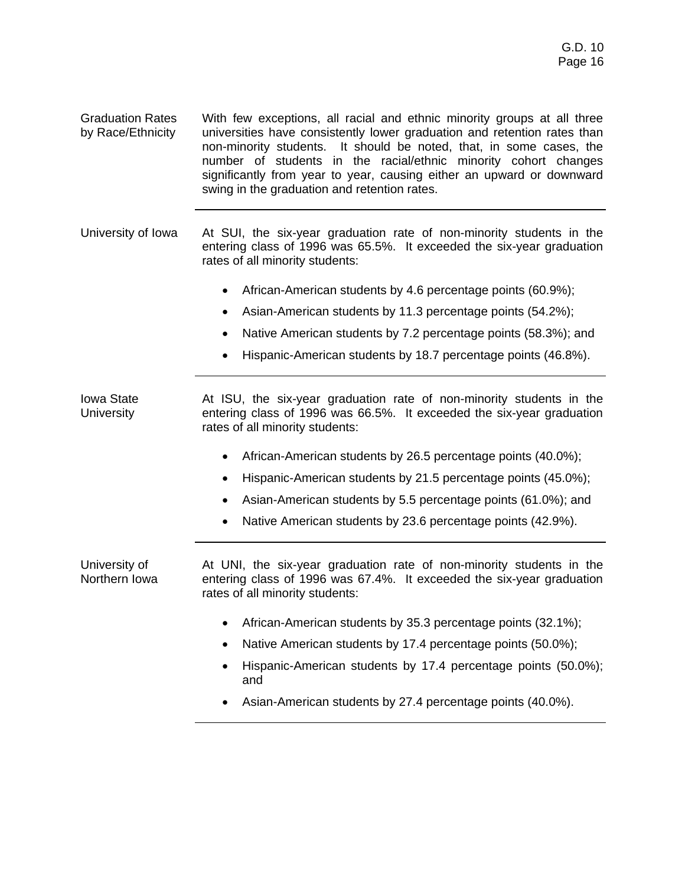Graduation Rates by Race/Ethnicity With few exceptions, all racial and ethnic minority groups at all three universities have consistently lower graduation and retention rates than non-minority students. It should be noted, that, in some cases, the number of students in the racial/ethnic minority cohort changes significantly from year to year, causing either an upward or downward swing in the graduation and retention rates.

University of Iowa At SUI, the six-year graduation rate of non-minority students in the entering class of 1996 was 65.5%. It exceeded the six-year graduation rates of all minority students:

- African-American students by 4.6 percentage points (60.9%);
- Asian-American students by 11.3 percentage points (54.2%);
- Native American students by 7.2 percentage points (58.3%); and
- Hispanic-American students by 18.7 percentage points (46.8%).

Iowa State **University** At ISU, the six-year graduation rate of non-minority students in the entering class of 1996 was 66.5%. It exceeded the six-year graduation rates of all minority students:

- African-American students by 26.5 percentage points (40.0%);
- Hispanic-American students by 21.5 percentage points (45.0%);
- Asian-American students by 5.5 percentage points (61.0%); and
- Native American students by 23.6 percentage points (42.9%).

University of Northern Iowa

At UNI, the six-year graduation rate of non-minority students in the entering class of 1996 was 67.4%. It exceeded the six-year graduation rates of all minority students:

- African-American students by 35.3 percentage points (32.1%);
- Native American students by 17.4 percentage points (50.0%);
- Hispanic-American students by 17.4 percentage points (50.0%); and
- Asian-American students by 27.4 percentage points (40.0%).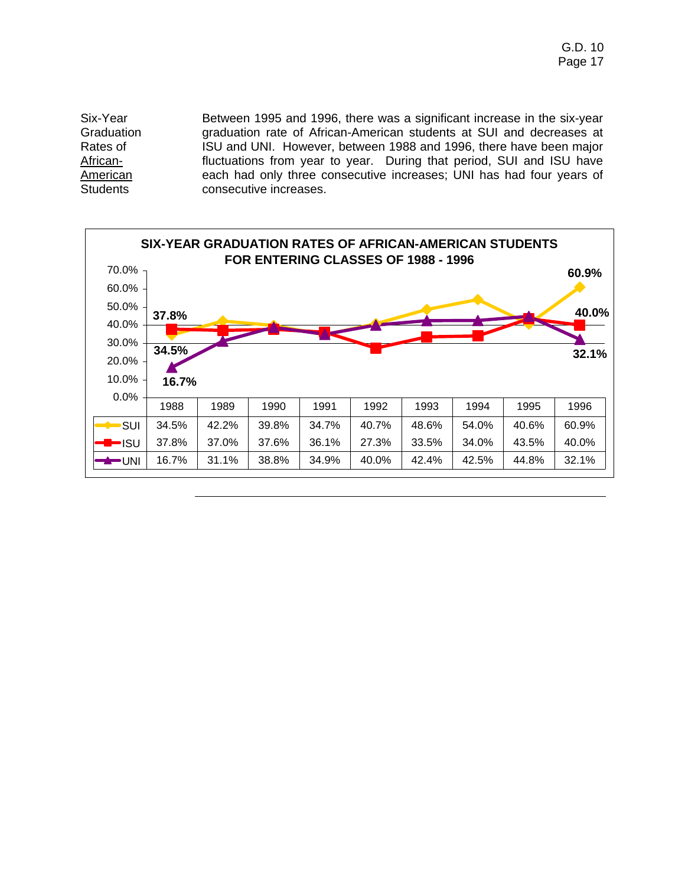Six-Year **Graduation** Rates of African-**American Students** Between 1995 and 1996, there was a significant increase in the six-year graduation rate of African-American students at SUI and decreases at ISU and UNI. However, between 1988 and 1996, there have been major fluctuations from year to year. During that period, SUI and ISU have each had only three consecutive increases; UNI has had four years of consecutive increases.

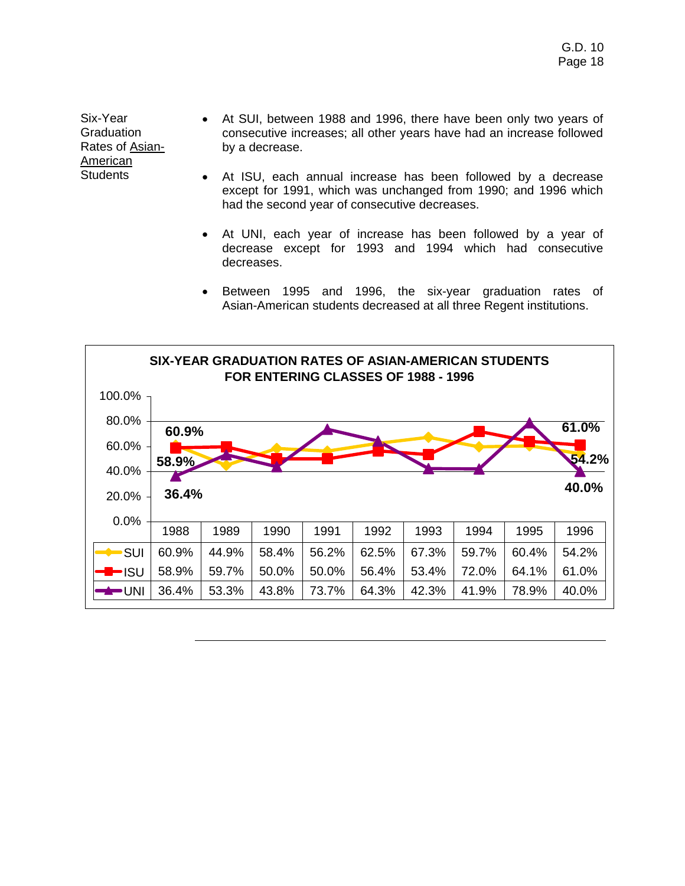Six-Year **Graduation** Rates of Asian-American **Students** 

- At SUI, between 1988 and 1996, there have been only two years of consecutive increases; all other years have had an increase followed by a decrease.
- At ISU, each annual increase has been followed by a decrease except for 1991, which was unchanged from 1990; and 1996 which had the second year of consecutive decreases.
- At UNI, each year of increase has been followed by a year of decrease except for 1993 and 1994 which had consecutive decreases.
- Between 1995 and 1996, the six-year graduation rates of Asian-American students decreased at all three Regent institutions.

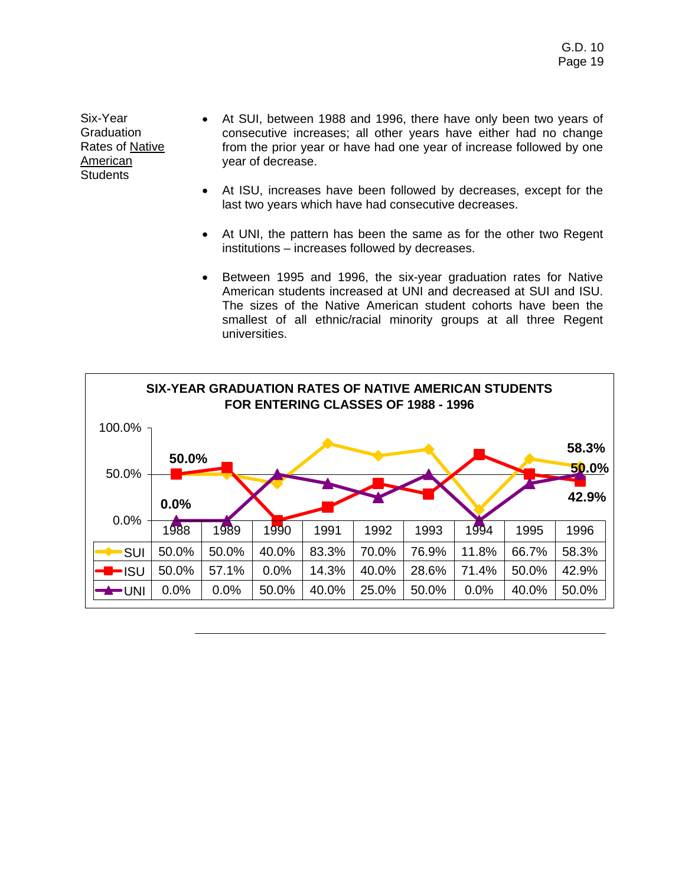Six-Year **Graduation** Rates of Native American **Students** 

- At SUI, between 1988 and 1996, there have only been two years of consecutive increases; all other years have either had no change from the prior year or have had one year of increase followed by one year of decrease.
- At ISU, increases have been followed by decreases, except for the last two years which have had consecutive decreases.
- At UNI, the pattern has been the same as for the other two Regent institutions – increases followed by decreases.
- Between 1995 and 1996, the six-year graduation rates for Native American students increased at UNI and decreased at SUI and ISU. The sizes of the Native American student cohorts have been the smallest of all ethnic/racial minority groups at all three Regent universities.

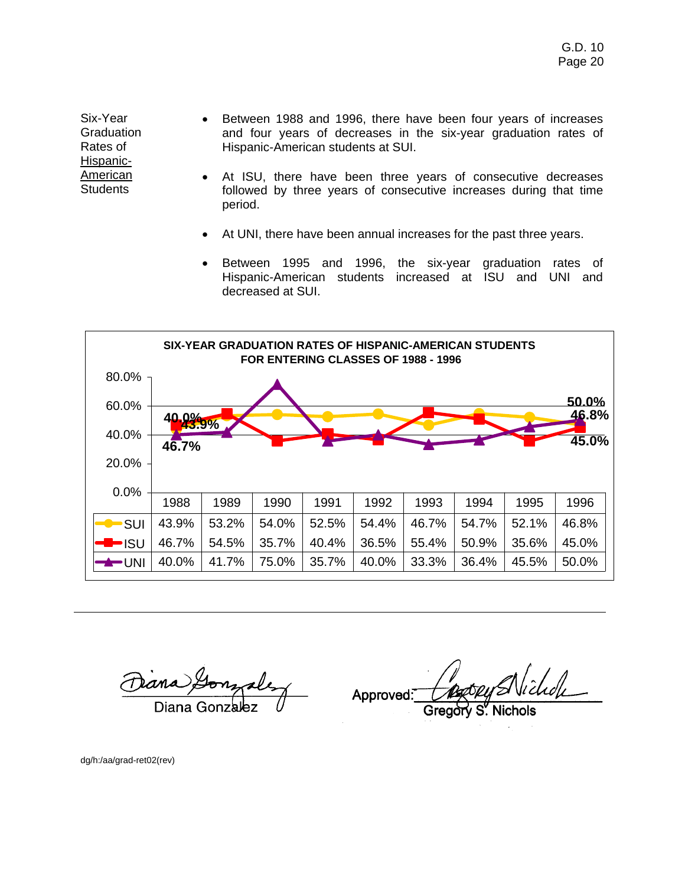Six-Year **Graduation** Rates of Hispanic-American **Students** 

- Between 1988 and 1996, there have been four years of increases and four years of decreases in the six-year graduation rates of Hispanic-American students at SUI.
- At ISU, there have been three years of consecutive decreases followed by three years of consecutive increases during that time period.
- At UNI, there have been annual increases for the past three years.
- Between 1995 and 1996, the six-year graduation rates of Hispanic-American students increased at ISU and UNI and decreased at SUI.



Diana Gonzale

Approved:

dg/h:/aa/grad-ret02(rev)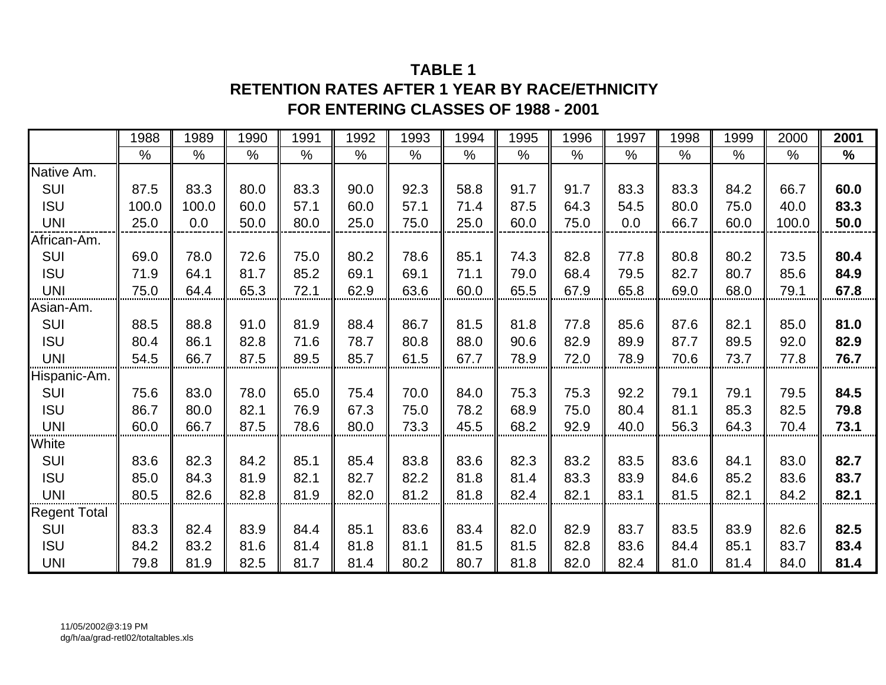### **TABLE 1RETENTION RATES AFTER 1 YEAR BY RACE/ETHNICITY FOR ENTERING CLASSES OF 1988 - 2001**

|                     | 1988  | 1989  | 1990 | 1991          | 1992          | 1993 | 1994          | 1995 | 1996          | 1997          | 1998 | 1999          | 2000          | 2001          |
|---------------------|-------|-------|------|---------------|---------------|------|---------------|------|---------------|---------------|------|---------------|---------------|---------------|
|                     | $\%$  | $\%$  | $\%$ | $\frac{0}{0}$ | $\frac{0}{0}$ | $\%$ | $\frac{0}{0}$ | $\%$ | $\frac{0}{0}$ | $\frac{0}{0}$ | $\%$ | $\frac{0}{0}$ | $\frac{0}{0}$ | $\frac{9}{6}$ |
| Native Am.          |       |       |      |               |               |      |               |      |               |               |      |               |               |               |
| <b>SUI</b>          | 87.5  | 83.3  | 80.0 | 83.3          | 90.0          | 92.3 | 58.8          | 91.7 | 91.7          | 83.3          | 83.3 | 84.2          | 66.7          | 60.0          |
| <b>ISU</b>          | 100.0 | 100.0 | 60.0 | 57.1          | 60.0          | 57.1 | 71.4          | 87.5 | 64.3          | 54.5          | 80.0 | 75.0          | 40.0          | 83.3          |
| <b>UNI</b>          | 25.0  | 0.0   | 50.0 | 80.0          | 25.0          | 75.0 | 25.0          | 60.0 | 75.0          | 0.0           | 66.7 | 60.0          | 100.0         | 50.0          |
| African-Am.         |       |       |      |               |               |      |               |      |               |               |      |               |               |               |
| SUI                 | 69.0  | 78.0  | 72.6 | 75.0          | 80.2          | 78.6 | 85.1          | 74.3 | 82.8          | 77.8          | 80.8 | 80.2          | 73.5          | 80.4          |
| <b>ISU</b>          | 71.9  | 64.1  | 81.7 | 85.2          | 69.1          | 69.1 | 71.1          | 79.0 | 68.4          | 79.5          | 82.7 | 80.7          | 85.6          | 84.9          |
| <b>UNI</b>          | 75.0  | 64.4  | 65.3 | 72.1          | 62.9          | 63.6 | 60.0          | 65.5 | 67.9          | 65.8          | 69.0 | 68.0          | 79.1          | 67.8          |
| Asian-Am.           |       |       |      |               |               |      |               |      |               |               |      |               |               |               |
| <b>SUI</b>          | 88.5  | 88.8  | 91.0 | 81.9          | 88.4          | 86.7 | 81.5          | 81.8 | 77.8          | 85.6          | 87.6 | 82.1          | 85.0          | 81.0          |
| <b>ISU</b>          | 80.4  | 86.1  | 82.8 | 71.6          | 78.7          | 80.8 | 88.0          | 90.6 | 82.9          | 89.9          | 87.7 | 89.5          | 92.0          | 82.9          |
| <b>UNI</b>          | 54.5  | 66.7  | 87.5 | 89.5          | 85.7          | 61.5 | 67.7          | 78.9 | 72.0          | 78.9          | 70.6 | 73.7          | 77.8          | 76.7          |
| Hispanic-Am.        |       |       |      |               |               |      |               |      |               |               |      |               |               |               |
| SUI                 | 75.6  | 83.0  | 78.0 | 65.0          | 75.4          | 70.0 | 84.0          | 75.3 | 75.3          | 92.2          | 79.1 | 79.1          | 79.5          | 84.5          |
| <b>ISU</b>          | 86.7  | 80.0  | 82.1 | 76.9          | 67.3          | 75.0 | 78.2          | 68.9 | 75.0          | 80.4          | 81.1 | 85.3          | 82.5          | 79.8          |
| <b>UNI</b>          | 60.0  | 66.7  | 87.5 | 78.6          | 80.0          | 73.3 | 45.5          | 68.2 | 92.9          | 40.0          | 56.3 | 64.3          | 70.4          | 73.1          |
| White               |       |       |      |               |               |      |               |      |               |               |      |               |               |               |
| SUI                 | 83.6  | 82.3  | 84.2 | 85.1          | 85.4          | 83.8 | 83.6          | 82.3 | 83.2          | 83.5          | 83.6 | 84.1          | 83.0          | 82.7          |
| <b>ISU</b>          | 85.0  | 84.3  | 81.9 | 82.1          | 82.7          | 82.2 | 81.8          | 81.4 | 83.3          | 83.9          | 84.6 | 85.2          | 83.6          | 83.7          |
| <b>UNI</b>          | 80.5  | 82.6  | 82.8 | 81.9          | 82.0          | 81.2 | 81.8          | 82.4 | 82.1          | 83.1          | 81.5 | 82.1          | 84.2          | 82.1          |
| <b>Regent Total</b> |       |       |      |               |               |      |               |      |               |               |      |               |               |               |
| SUI                 | 83.3  | 82.4  | 83.9 | 84.4          | 85.1          | 83.6 | 83.4          | 82.0 | 82.9          | 83.7          | 83.5 | 83.9          | 82.6          | 82.5          |
| <b>ISU</b>          | 84.2  | 83.2  | 81.6 | 81.4          | 81.8          | 81.1 | 81.5          | 81.5 | 82.8          | 83.6          | 84.4 | 85.1          | 83.7          | 83.4          |
| <b>UNI</b>          | 79.8  | 81.9  | 82.5 | 81.7          | 81.4          | 80.2 | 80.7          | 81.8 | 82.0          | 82.4          | 81.0 | 81.4          | 84.0          | 81.4          |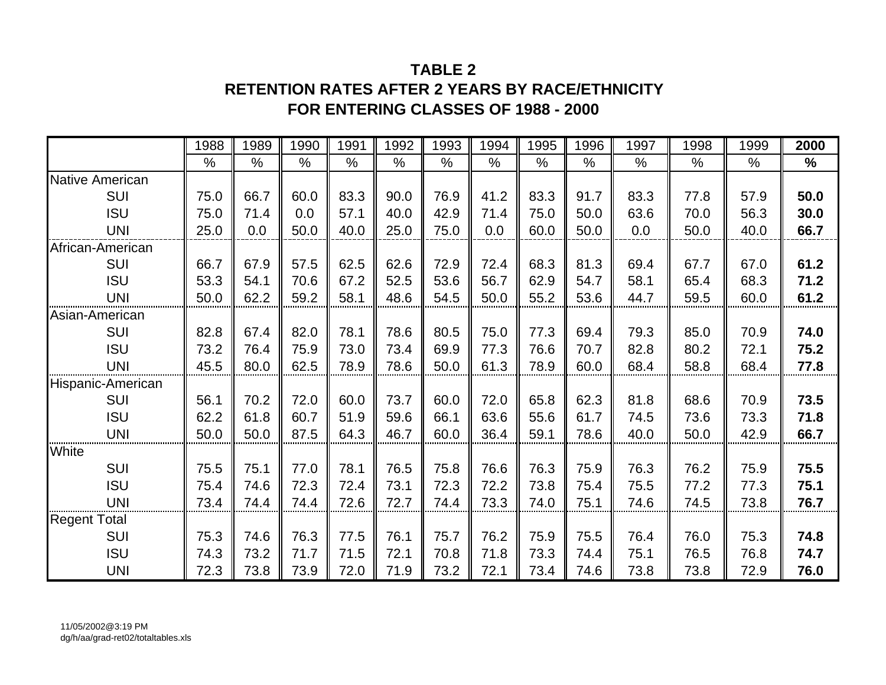### **TABLE 2RETENTION RATES AFTER 2 YEARS BY RACE/ETHNICITYFOR ENTERING CLASSES OF 1988 - 2000**

|                     | 1988          | 1989          | 1990          | 1991 | 1992          | 1993          | 1994 | 1995 | 1996          | 1997          | 1998          | 1999          | 2000          |
|---------------------|---------------|---------------|---------------|------|---------------|---------------|------|------|---------------|---------------|---------------|---------------|---------------|
|                     | $\frac{0}{0}$ | $\frac{0}{0}$ | $\frac{0}{0}$ | $\%$ | $\frac{0}{0}$ | $\frac{0}{0}$ | $\%$ | $\%$ | $\frac{0}{0}$ | $\frac{0}{0}$ | $\frac{0}{0}$ | $\frac{0}{0}$ | $\frac{0}{0}$ |
| Native American     |               |               |               |      |               |               |      |      |               |               |               |               |               |
| <b>SUI</b>          | 75.0          | 66.7          | 60.0          | 83.3 | 90.0          | 76.9          | 41.2 | 83.3 | 91.7          | 83.3          | 77.8          | 57.9          | 50.0          |
| <b>ISU</b>          | 75.0          | 71.4          | 0.0           | 57.1 | 40.0          | 42.9          | 71.4 | 75.0 | 50.0          | 63.6          | 70.0          | 56.3          | 30.0          |
| <b>UNI</b>          | 25.0          | 0.0           | 50.0          | 40.0 | 25.0          | 75.0          | 0.0  | 60.0 | 50.0          | 0.0           | 50.0          | 40.0          | 66.7          |
| African-American    |               |               |               |      |               |               |      |      |               |               |               |               |               |
| <b>SUI</b>          | 66.7          | 67.9          | 57.5          | 62.5 | 62.6          | 72.9          | 72.4 | 68.3 | 81.3          | 69.4          | 67.7          | 67.0          | 61.2          |
| <b>ISU</b>          | 53.3          | 54.1          | 70.6          | 67.2 | 52.5          | 53.6          | 56.7 | 62.9 | 54.7          | 58.1          | 65.4          | 68.3          | 71.2          |
| <b>UNI</b>          | 50.0          | 62.2          | 59.2          | 58.1 | 48.6          | 54.5          | 50.0 | 55.2 | 53.6          | 44.7          | 59.5          | 60.0          | 61.2          |
| Asian-American      |               |               |               |      |               |               |      |      |               |               |               |               |               |
| <b>SUI</b>          | 82.8          | 67.4          | 82.0          | 78.1 | 78.6          | 80.5          | 75.0 | 77.3 | 69.4          | 79.3          | 85.0          | 70.9          | 74.0          |
| <b>ISU</b>          | 73.2          | 76.4          | 75.9          | 73.0 | 73.4          | 69.9          | 77.3 | 76.6 | 70.7          | 82.8          | 80.2          | 72.1          | 75.2          |
| <b>UNI</b>          | 45.5          | 80.0          | 62.5          | 78.9 | 78.6          | 50.0          | 61.3 | 78.9 | 60.0          | 68.4          | 58.8          | 68.4          | 77.8          |
| Hispanic-American   |               |               |               |      |               |               |      |      |               |               |               |               |               |
| <b>SUI</b>          | 56.1          | 70.2          | 72.0          | 60.0 | 73.7          | 60.0          | 72.0 | 65.8 | 62.3          | 81.8          | 68.6          | 70.9          | 73.5          |
| <b>ISU</b>          | 62.2          | 61.8          | 60.7          | 51.9 | 59.6          | 66.1          | 63.6 | 55.6 | 61.7          | 74.5          | 73.6          | 73.3          | 71.8          |
| <b>UNI</b>          | 50.0          | 50.0          | 87.5          | 64.3 | 46.7          | 60.0          | 36.4 | 59.1 | 78.6          | 40.0          | 50.0          | 42.9          | 66.7          |
| White               |               |               |               |      |               |               |      |      |               |               |               |               |               |
| SUI                 | 75.5          | 75.1          | 77.0          | 78.1 | 76.5          | 75.8          | 76.6 | 76.3 | 75.9          | 76.3          | 76.2          | 75.9          | 75.5          |
| <b>ISU</b>          | 75.4          | 74.6          | 72.3          | 72.4 | 73.1          | 72.3          | 72.2 | 73.8 | 75.4          | 75.5          | 77.2          | 77.3          | 75.1          |
| <b>UNI</b>          | 73.4          | 74.4          | 74.4          | 72.6 | 72.7          | 74.4          | 73.3 | 74.0 | 75.1          | 74.6          | 74.5          | 73.8          | 76.7          |
| <b>Regent Total</b> |               |               |               |      |               |               |      |      |               |               |               |               |               |
| <b>SUI</b>          | 75.3          | 74.6          | 76.3          | 77.5 | 76.1          | 75.7          | 76.2 | 75.9 | 75.5          | 76.4          | 76.0          | 75.3          | 74.8          |
| <b>ISU</b>          | 74.3          | 73.2          | 71.7          | 71.5 | 72.1          | 70.8          | 71.8 | 73.3 | 74.4          | 75.1          | 76.5          | 76.8          | 74.7          |
| <b>UNI</b>          | 72.3          | 73.8          | 73.9          | 72.0 | 71.9          | 73.2          | 72.1 | 73.4 | 74.6          | 73.8          | 73.8          | 72.9          | 76.0          |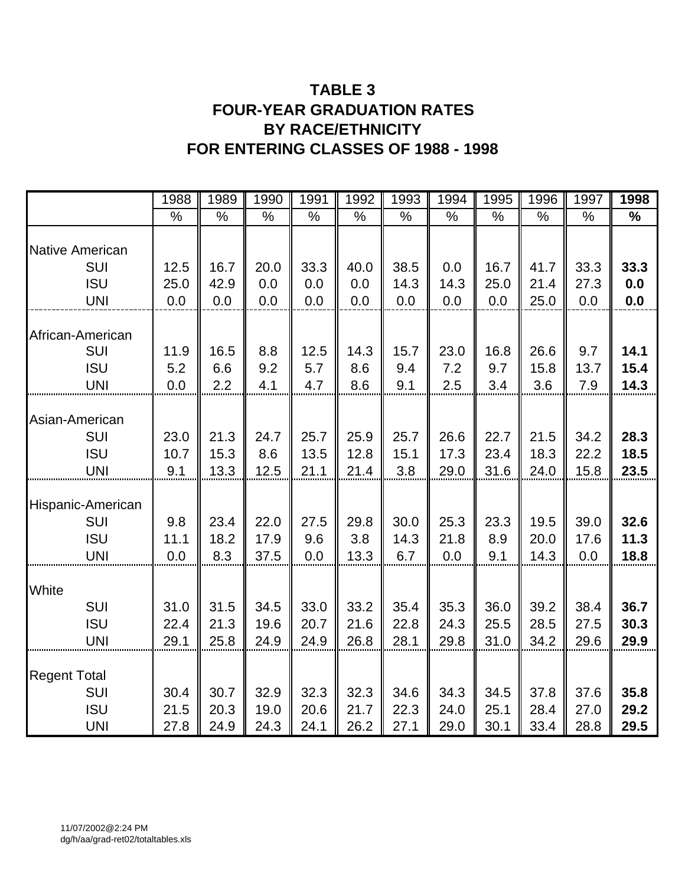## **TABLE 3 FOUR-YEAR GRADUATION RATES BY RACE/ETHNICITY FOR ENTERING CLASSES OF 1988 - 1998**

|                                                               | 1988                 | 1989                 | 1990                 | 1991                 | 1992                 | 1993                 | 1994                 | 1995                 | 1996                 | 1997                 | 1998                 |
|---------------------------------------------------------------|----------------------|----------------------|----------------------|----------------------|----------------------|----------------------|----------------------|----------------------|----------------------|----------------------|----------------------|
|                                                               | $\frac{0}{0}$        | $\%$                 | %                    | $\%$                 | $\%$                 | $\frac{0}{0}$        | %                    | $\%$                 | $\%$                 | %                    | %                    |
| <b>Native American</b>                                        |                      |                      |                      |                      |                      |                      |                      |                      |                      |                      |                      |
| <b>SUI</b>                                                    | 12.5                 | 16.7                 | 20.0                 | 33.3                 | 40.0                 | 38.5                 | 0.0                  | 16.7                 | 41.7                 | 33.3                 | 33.3                 |
| <b>ISU</b>                                                    | 25.0                 | 42.9                 | 0.0                  | 0.0                  | 0.0                  | 14.3                 | 14.3                 | 25.0                 | 21.4                 | 27.3                 | 0.0                  |
| <b>UNI</b>                                                    | 0.0                  | 0.0                  | 0.0                  | 0.0                  | 0.0                  | 0.0                  | 0.0                  | 0.0                  | 25.0                 | 0.0                  | 0.0                  |
| African-American<br>SUI<br><b>ISU</b>                         | 11.9<br>5.2          | 16.5<br>6.6          | 8.8<br>9.2           | 12.5<br>5.7          | 14.3<br>8.6          | 15.7<br>9.4          | 23.0<br>7.2          | 16.8<br>9.7          | 26.6<br>15.8         | 9.7<br>13.7          | 14.1<br>15.4         |
| <b>UNI</b>                                                    | 0.0                  | 2.2                  | 4.1                  | 4.7                  | 8.6                  | 9.1                  | 2.5                  | 3.4                  | 3.6                  | 7.9                  | 14.3                 |
| Asian-American<br>SUI<br><b>ISU</b><br><b>UNI</b>             | 23.0<br>10.7<br>9.1  | 21.3<br>15.3<br>13.3 | 24.7<br>8.6<br>12.5  | 25.7<br>13.5<br>21.1 | 25.9<br>12.8<br>21.4 | 25.7<br>15.1<br>3.8  | 26.6<br>17.3<br>29.0 | 22.7<br>23.4<br>31.6 | 21.5<br>18.3<br>24.0 | 34.2<br>22.2<br>15.8 | 28.3<br>18.5<br>23.5 |
| Hispanic-American<br><b>SUI</b><br><b>ISU</b><br><b>UNI</b>   | 9.8<br>11.1<br>0.0   | 23.4<br>18.2<br>8.3  | 22.0<br>17.9<br>37.5 | 27.5<br>9.6<br>0.0   | 29.8<br>3.8<br>13.3  | 30.0<br>14.3<br>6.7  | 25.3<br>21.8<br>0.0  | 23.3<br>8.9<br>9.1   | 19.5<br>20.0<br>14.3 | 39.0<br>17.6<br>0.0  | 32.6<br>11.3<br>18.8 |
| White<br><b>SUI</b><br><b>ISU</b><br><b>UNI</b>               | 31.0<br>22.4<br>29.1 | 31.5<br>21.3<br>25.8 | 34.5<br>19.6<br>24.9 | 33.0<br>20.7<br>24.9 | 33.2<br>21.6<br>26.8 | 35.4<br>22.8<br>28.1 | 35.3<br>24.3<br>29.8 | 36.0<br>25.5<br>31.0 | 39.2<br>28.5<br>34.2 | 38.4<br>27.5<br>29.6 | 36.7<br>30.3<br>29.9 |
| <b>Regent Total</b><br><b>SUI</b><br><b>ISU</b><br><b>UNI</b> | 30.4<br>21.5<br>27.8 | 30.7<br>20.3<br>24.9 | 32.9<br>19.0<br>24.3 | 32.3<br>20.6<br>24.1 | 32.3<br>21.7<br>26.2 | 34.6<br>22.3<br>27.1 | 34.3<br>24.0<br>29.0 | 34.5<br>25.1<br>30.1 | 37.8<br>28.4<br>33.4 | 37.6<br>27.0<br>28.8 | 35.8<br>29.2<br>29.5 |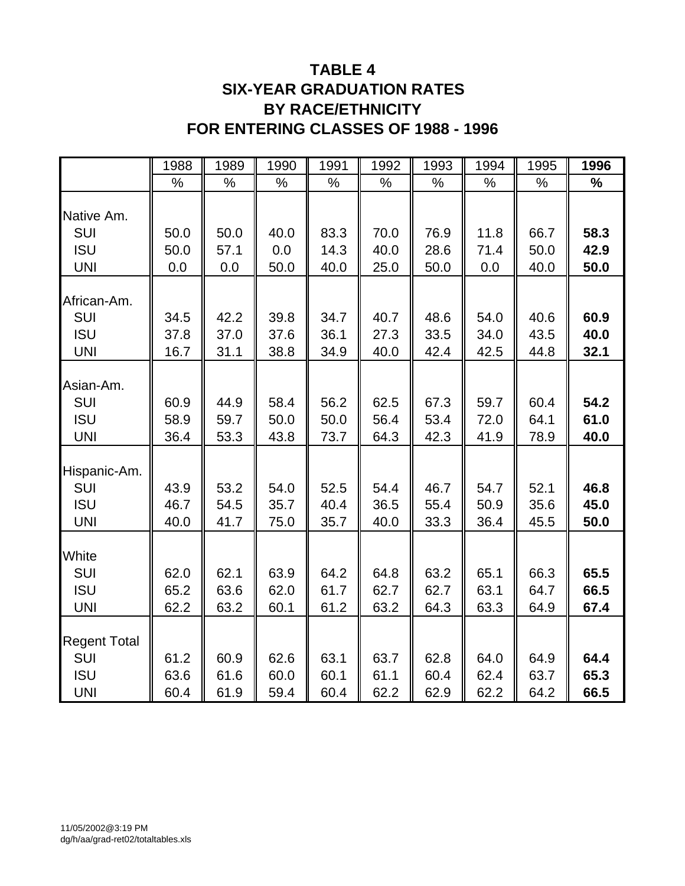### **TABLE 4 SIX-YEAR GRADUATION RATES BY RACE/ETHNICITY FOR ENTERING CLASSES OF 1988 - 1996**

|                     | 1988 | 1989 | 1990 | 1991 | 1992 | 1993 | 1994 | 1995 | 1996          |
|---------------------|------|------|------|------|------|------|------|------|---------------|
|                     | $\%$ | %    | $\%$ | %    | %    | $\%$ | $\%$ | %    | $\frac{1}{2}$ |
| Native Am.          |      |      |      |      |      |      |      |      |               |
| SUI                 | 50.0 | 50.0 | 40.0 | 83.3 | 70.0 | 76.9 | 11.8 | 66.7 | 58.3          |
| <b>ISU</b>          | 50.0 | 57.1 | 0.0  | 14.3 | 40.0 | 28.6 | 71.4 | 50.0 | 42.9          |
| <b>UNI</b>          | 0.0  | 0.0  | 50.0 | 40.0 | 25.0 | 50.0 | 0.0  | 40.0 | 50.0          |
| African-Am.         |      |      |      |      |      |      |      |      |               |
| SUI                 | 34.5 | 42.2 | 39.8 | 34.7 | 40.7 | 48.6 | 54.0 | 40.6 | 60.9          |
| <b>ISU</b>          | 37.8 | 37.0 | 37.6 | 36.1 | 27.3 | 33.5 | 34.0 | 43.5 | 40.0          |
| <b>UNI</b>          | 16.7 | 31.1 | 38.8 | 34.9 | 40.0 | 42.4 | 42.5 | 44.8 | 32.1          |
| Asian-Am.           |      |      |      |      |      |      |      |      |               |
| SUI                 | 60.9 | 44.9 | 58.4 | 56.2 | 62.5 | 67.3 | 59.7 | 60.4 | 54.2          |
| <b>ISU</b>          | 58.9 | 59.7 | 50.0 | 50.0 | 56.4 | 53.4 | 72.0 | 64.1 | 61.0          |
| <b>UNI</b>          | 36.4 | 53.3 | 43.8 | 73.7 | 64.3 | 42.3 | 41.9 | 78.9 | 40.0          |
|                     |      |      |      |      |      |      |      |      |               |
| Hispanic-Am.        |      |      |      |      |      |      |      |      |               |
| SUI                 | 43.9 | 53.2 | 54.0 | 52.5 | 54.4 | 46.7 | 54.7 | 52.1 | 46.8          |
| <b>ISU</b>          | 46.7 | 54.5 | 35.7 | 40.4 | 36.5 | 55.4 | 50.9 | 35.6 | 45.0          |
| <b>UNI</b>          | 40.0 | 41.7 | 75.0 | 35.7 | 40.0 | 33.3 | 36.4 | 45.5 | 50.0          |
|                     |      |      |      |      |      |      |      |      |               |
| White<br>SUI        | 62.0 | 62.1 | 63.9 | 64.2 | 64.8 | 63.2 | 65.1 | 66.3 | 65.5          |
| <b>ISU</b>          | 65.2 | 63.6 | 62.0 | 61.7 | 62.7 | 62.7 | 63.1 | 64.7 | 66.5          |
| <b>UNI</b>          | 62.2 | 63.2 | 60.1 | 61.2 | 63.2 | 64.3 | 63.3 | 64.9 | 67.4          |
|                     |      |      |      |      |      |      |      |      |               |
| <b>Regent Total</b> |      |      |      |      |      |      |      |      |               |
| SUI                 | 61.2 | 60.9 | 62.6 | 63.1 | 63.7 | 62.8 | 64.0 | 64.9 | 64.4          |
| <b>ISU</b>          | 63.6 | 61.6 | 60.0 | 60.1 | 61.1 | 60.4 | 62.4 | 63.7 | 65.3          |
| <b>UNI</b>          | 60.4 | 61.9 | 59.4 | 60.4 | 62.2 | 62.9 | 62.2 | 64.2 | 66.5          |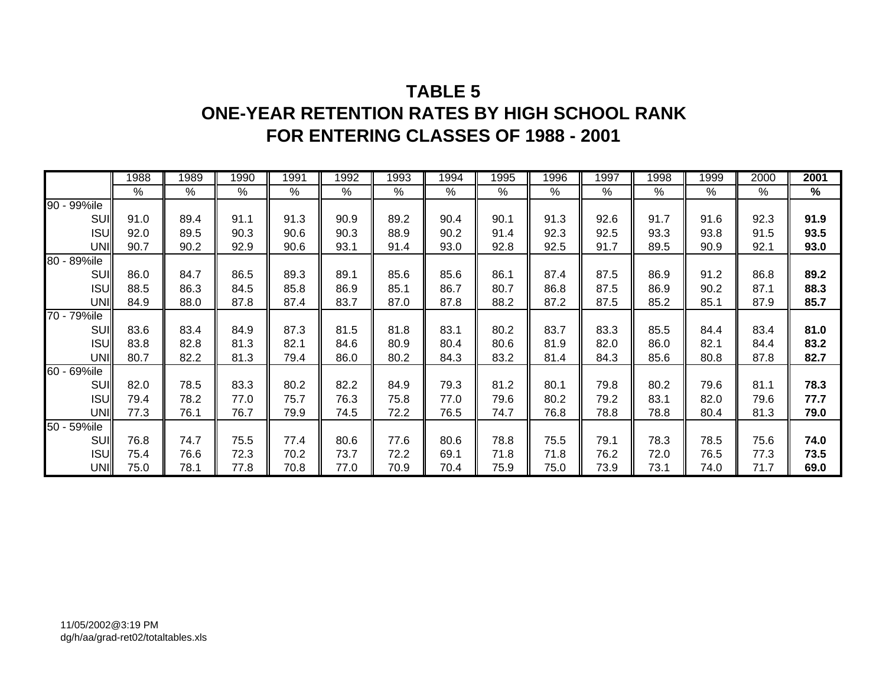## **TABLE 5ONE-YEAR RETENTION RATES BY HIGH SCHOOL RANK FOR ENTERING CLASSES OF 1988 - 2001**

|             | 1988 | 1989 | 1990 | 1991 | 1992 | 1993 | 1994 | 1995 | 1996 | 1997 | 1998 | 1999 | 2000 | 2001 |
|-------------|------|------|------|------|------|------|------|------|------|------|------|------|------|------|
|             | %    | %    | %    | %    | %    | %    | %    | %    | %    | %    | %    | %    | %    | %    |
| 90 - 99%ile |      |      |      |      |      |      |      |      |      |      |      |      |      |      |
| SUI         | 91.0 | 89.4 | 91.1 | 91.3 | 90.9 | 89.2 | 90.4 | 90.1 | 91.3 | 92.6 | 91.7 | 91.6 | 92.3 | 91.9 |
| <b>ISU</b>  | 92.0 | 89.5 | 90.3 | 90.6 | 90.3 | 88.9 | 90.2 | 91.4 | 92.3 | 92.5 | 93.3 | 93.8 | 91.5 | 93.5 |
| UNI         | 90.7 | 90.2 | 92.9 | 90.6 | 93.1 | 91.4 | 93.0 | 92.8 | 92.5 | 91.7 | 89.5 | 90.9 | 92.1 | 93.0 |
| 80 - 89%ile |      |      |      |      |      |      |      |      |      |      |      |      |      |      |
| <b>SUI</b>  | 86.0 | 84.7 | 86.5 | 89.3 | 89.1 | 85.6 | 85.6 | 86.1 | 87.4 | 87.5 | 86.9 | 91.2 | 86.8 | 89.2 |
| <b>ISU</b>  | 88.5 | 86.3 | 84.5 | 85.8 | 86.9 | 85.1 | 86.7 | 80.7 | 86.8 | 87.5 | 86.9 | 90.2 | 87.1 | 88.3 |
| UNI         | 84.9 | 88.0 | 87.8 | 87.4 | 83.7 | 87.0 | 87.8 | 88.2 | 87.2 | 87.5 | 85.2 | 85.1 | 87.9 | 85.7 |
| 70 - 79%ile |      |      |      |      |      |      |      |      |      |      |      |      |      |      |
| SUI         | 83.6 | 83.4 | 84.9 | 87.3 | 81.5 | 81.8 | 83.1 | 80.2 | 83.7 | 83.3 | 85.5 | 84.4 | 83.4 | 81.0 |
| <b>ISU</b>  | 83.8 | 82.8 | 81.3 | 82.1 | 84.6 | 80.9 | 80.4 | 80.6 | 81.9 | 82.0 | 86.0 | 82.1 | 84.4 | 83.2 |
| UNI         | 80.7 | 82.2 | 81.3 | 79.4 | 86.0 | 80.2 | 84.3 | 83.2 | 81.4 | 84.3 | 85.6 | 80.8 | 87.8 | 82.7 |
| 60 - 69%ile |      |      |      |      |      |      |      |      |      |      |      |      |      |      |
| SUI         | 82.0 | 78.5 | 83.3 | 80.2 | 82.2 | 84.9 | 79.3 | 81.2 | 80.1 | 79.8 | 80.2 | 79.6 | 81.1 | 78.3 |
| <b>ISU</b>  | 79.4 | 78.2 | 77.0 | 75.7 | 76.3 | 75.8 | 77.0 | 79.6 | 80.2 | 79.2 | 83.1 | 82.0 | 79.6 | 77.7 |
| UNI         | 77.3 | 76.1 | 76.7 | 79.9 | 74.5 | 72.2 | 76.5 | 74.7 | 76.8 | 78.8 | 78.8 | 80.4 | 81.3 | 79.0 |
| 50 - 59%ile |      |      |      |      |      |      |      |      |      |      |      |      |      |      |
| SUI         | 76.8 | 74.7 | 75.5 | 77.4 | 80.6 | 77.6 | 80.6 | 78.8 | 75.5 | 79.1 | 78.3 | 78.5 | 75.6 | 74.0 |
| <b>ISU</b>  | 75.4 | 76.6 | 72.3 | 70.2 | 73.7 | 72.2 | 69.1 | 71.8 | 71.8 | 76.2 | 72.0 | 76.5 | 77.3 | 73.5 |
| UNI         | 75.0 | 78.1 | 77.8 | 70.8 | 77.0 | 70.9 | 70.4 | 75.9 | 75.0 | 73.9 | 73.1 | 74.0 | 71.7 | 69.0 |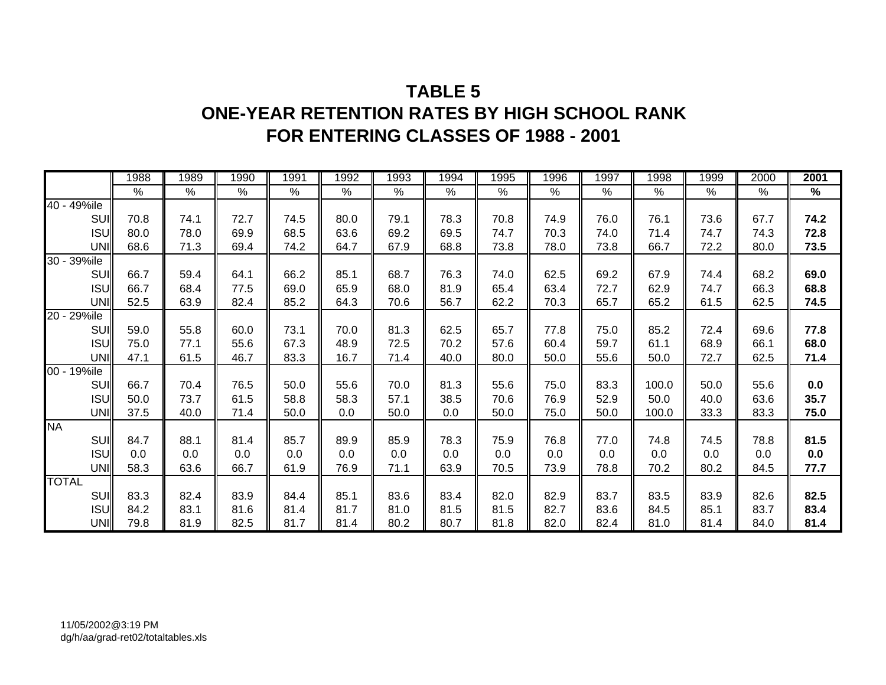## **TABLE 5ONE-YEAR RETENTION RATES BY HIGH SCHOOL RANK FOR ENTERING CLASSES OF 1988 - 2001**

|              |            | 1988 | 1989 | 1990 | 1991 | 1992 | 1993 | 1994          | 1995 | 1996 | 1997 | 1998  | 1999 | 2000 | 2001 |
|--------------|------------|------|------|------|------|------|------|---------------|------|------|------|-------|------|------|------|
|              |            | $\%$ | $\%$ | $\%$ | $\%$ | $\%$ | $\%$ | $\frac{1}{6}$ | $\%$ | $\%$ | $\%$ | $\%$  | $\%$ | $\%$ | $\%$ |
| 40 - 49%ile  |            |      |      |      |      |      |      |               |      |      |      |       |      |      |      |
|              | <b>SUI</b> | 70.8 | 74.1 | 72.7 | 74.5 | 80.0 | 79.1 | 78.3          | 70.8 | 74.9 | 76.0 | 76.1  | 73.6 | 67.7 | 74.2 |
|              | <b>ISU</b> | 80.0 | 78.0 | 69.9 | 68.5 | 63.6 | 69.2 | 69.5          | 74.7 | 70.3 | 74.0 | 71.4  | 74.7 | 74.3 | 72.8 |
|              | UNI        | 68.6 | 71.3 | 69.4 | 74.2 | 64.7 | 67.9 | 68.8          | 73.8 | 78.0 | 73.8 | 66.7  | 72.2 | 80.0 | 73.5 |
| 30 - 39%ile  |            |      |      |      |      |      |      |               |      |      |      |       |      |      |      |
|              | <b>SUI</b> | 66.7 | 59.4 | 64.1 | 66.2 | 85.1 | 68.7 | 76.3          | 74.0 | 62.5 | 69.2 | 67.9  | 74.4 | 68.2 | 69.0 |
|              | <b>ISU</b> | 66.7 | 68.4 | 77.5 | 69.0 | 65.9 | 68.0 | 81.9          | 65.4 | 63.4 | 72.7 | 62.9  | 74.7 | 66.3 | 68.8 |
|              | UNI        | 52.5 | 63.9 | 82.4 | 85.2 | 64.3 | 70.6 | 56.7          | 62.2 | 70.3 | 65.7 | 65.2  | 61.5 | 62.5 | 74.5 |
| 20 - 29%ile  |            |      |      |      |      |      |      |               |      |      |      |       |      |      |      |
|              | <b>SUI</b> | 59.0 | 55.8 | 60.0 | 73.1 | 70.0 | 81.3 | 62.5          | 65.7 | 77.8 | 75.0 | 85.2  | 72.4 | 69.6 | 77.8 |
|              | <b>ISU</b> | 75.0 | 77.1 | 55.6 | 67.3 | 48.9 | 72.5 | 70.2          | 57.6 | 60.4 | 59.7 | 61.1  | 68.9 | 66.1 | 68.0 |
|              | UNI        | 47.1 | 61.5 | 46.7 | 83.3 | 16.7 | 71.4 | 40.0          | 80.0 | 50.0 | 55.6 | 50.0  | 72.7 | 62.5 | 71.4 |
| 00 - 19%ile  |            |      |      |      |      |      |      |               |      |      |      |       |      |      |      |
|              | <b>SUI</b> | 66.7 | 70.4 | 76.5 | 50.0 | 55.6 | 70.0 | 81.3          | 55.6 | 75.0 | 83.3 | 100.0 | 50.0 | 55.6 | 0.0  |
|              | <b>ISU</b> | 50.0 | 73.7 | 61.5 | 58.8 | 58.3 | 57.1 | 38.5          | 70.6 | 76.9 | 52.9 | 50.0  | 40.0 | 63.6 | 35.7 |
|              | UNI        | 37.5 | 40.0 | 71.4 | 50.0 | 0.0  | 50.0 | 0.0           | 50.0 | 75.0 | 50.0 | 100.0 | 33.3 | 83.3 | 75.0 |
| <b>NA</b>    |            |      |      |      |      |      |      |               |      |      |      |       |      |      |      |
|              | <b>SUI</b> | 84.7 | 88.1 | 81.4 | 85.7 | 89.9 | 85.9 | 78.3          | 75.9 | 76.8 | 77.0 | 74.8  | 74.5 | 78.8 | 81.5 |
|              | <b>ISU</b> | 0.0  | 0.0  | 0.0  | 0.0  | 0.0  | 0.0  | 0.0           | 0.0  | 0.0  | 0.0  | 0.0   | 0.0  | 0.0  | 0.0  |
|              | UNI        | 58.3 | 63.6 | 66.7 | 61.9 | 76.9 | 71.1 | 63.9          | 70.5 | 73.9 | 78.8 | 70.2  | 80.2 | 84.5 | 77.7 |
| <b>TOTAL</b> |            |      |      |      |      |      |      |               |      |      |      |       |      |      |      |
|              | <b>SUI</b> | 83.3 | 82.4 | 83.9 | 84.4 | 85.1 | 83.6 | 83.4          | 82.0 | 82.9 | 83.7 | 83.5  | 83.9 | 82.6 | 82.5 |
|              | <b>ISU</b> | 84.2 | 83.1 | 81.6 | 81.4 | 81.7 | 81.0 | 81.5          | 81.5 | 82.7 | 83.6 | 84.5  | 85.1 | 83.7 | 83.4 |
|              | UNI        | 79.8 | 81.9 | 82.5 | 81.7 | 81.4 | 80.2 | 80.7          | 81.8 | 82.0 | 82.4 | 81.0  | 81.4 | 84.0 | 81.4 |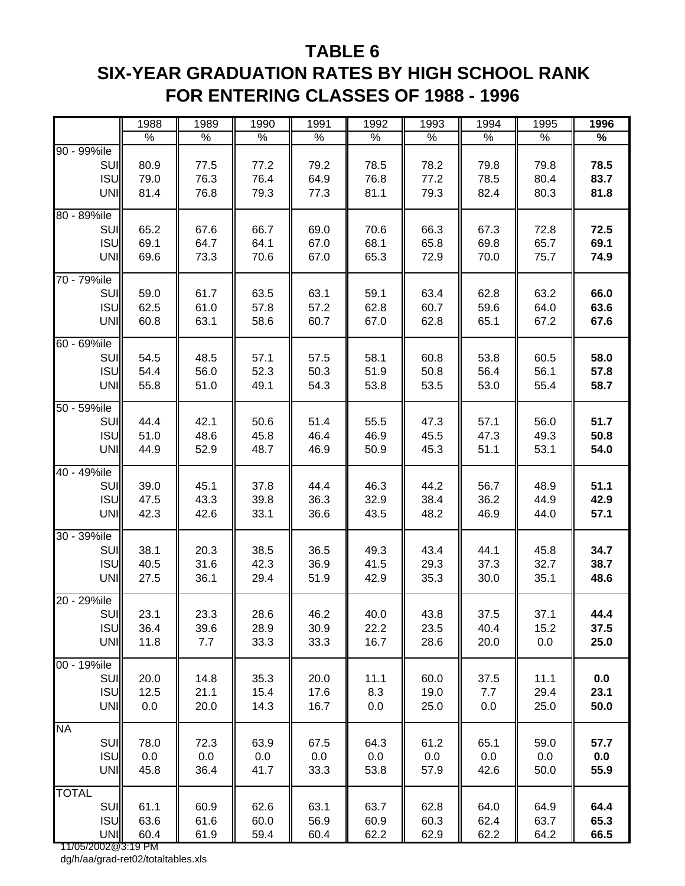### **TABLE 6**

# **SIX-YEAR GRADUATION RATES BY HIGH SCHOOL RANK FOR ENTERING CLASSES OF 1988 - 1996**

|                    | 1988 | 1989 | 1990 | 1991 | 1992 | 1993 | 1994 | 1995 | 1996 |
|--------------------|------|------|------|------|------|------|------|------|------|
|                    | $\%$ | $\%$ | $\%$ | $\%$ | $\%$ | $\%$ | $\%$ | $\%$ | $\%$ |
| 90 - 99%ile        |      |      |      |      |      |      |      |      |      |
| SUI                | 80.9 | 77.5 | 77.2 | 79.2 | 78.5 | 78.2 | 79.8 | 79.8 | 78.5 |
| <b>ISU</b>         | 79.0 | 76.3 | 76.4 | 64.9 | 76.8 | 77.2 | 78.5 | 80.4 | 83.7 |
| UNI                | 81.4 | 76.8 | 79.3 | 77.3 | 81.1 | 79.3 | 82.4 | 80.3 | 81.8 |
|                    |      |      |      |      |      |      |      |      |      |
| 80 - 89%ile        |      |      |      |      |      |      |      |      |      |
| SUI                | 65.2 | 67.6 | 66.7 | 69.0 | 70.6 | 66.3 | 67.3 | 72.8 | 72.5 |
| <b>ISU</b>         | 69.1 | 64.7 | 64.1 | 67.0 | 68.1 | 65.8 | 69.8 | 65.7 | 69.1 |
| UNI                | 69.6 | 73.3 | 70.6 | 67.0 | 65.3 | 72.9 | 70.0 | 75.7 | 74.9 |
| 70 - 79%ile        |      |      |      |      |      |      |      |      |      |
| SUI                | 59.0 | 61.7 | 63.5 | 63.1 | 59.1 | 63.4 | 62.8 | 63.2 | 66.0 |
| <b>ISU</b>         | 62.5 | 61.0 | 57.8 | 57.2 | 62.8 | 60.7 | 59.6 | 64.0 | 63.6 |
| UNI                | 60.8 | 63.1 | 58.6 | 60.7 | 67.0 | 62.8 | 65.1 | 67.2 | 67.6 |
|                    |      |      |      |      |      |      |      |      |      |
| 60 - 69%ile        |      |      |      |      |      |      |      |      |      |
| SUI                | 54.5 | 48.5 | 57.1 | 57.5 | 58.1 | 60.8 | 53.8 | 60.5 | 58.0 |
| <b>ISU</b>         | 54.4 | 56.0 | 52.3 | 50.3 | 51.9 | 50.8 | 56.4 | 56.1 | 57.8 |
| UNI                | 55.8 | 51.0 | 49.1 | 54.3 | 53.8 | 53.5 | 53.0 | 55.4 | 58.7 |
| 50 - 59%ile        |      |      |      |      |      |      |      |      |      |
| SUI                | 44.4 | 42.1 | 50.6 | 51.4 | 55.5 | 47.3 | 57.1 | 56.0 | 51.7 |
| <b>ISU</b>         | 51.0 | 48.6 | 45.8 | 46.4 | 46.9 | 45.5 | 47.3 | 49.3 | 50.8 |
|                    |      |      |      |      |      |      |      |      | 54.0 |
| UNI                | 44.9 | 52.9 | 48.7 | 46.9 | 50.9 | 45.3 | 51.1 | 53.1 |      |
| 40 - 49%ile        |      |      |      |      |      |      |      |      |      |
| SUI                | 39.0 | 45.1 | 37.8 | 44.4 | 46.3 | 44.2 | 56.7 | 48.9 | 51.1 |
| <b>ISU</b>         | 47.5 | 43.3 | 39.8 | 36.3 | 32.9 | 38.4 | 36.2 | 44.9 | 42.9 |
| UNI                | 42.3 | 42.6 | 33.1 | 36.6 | 43.5 | 48.2 | 46.9 | 44.0 | 57.1 |
|                    |      |      |      |      |      |      |      |      |      |
| 30 - 39%ile        |      |      |      |      |      |      |      |      |      |
| SUI                | 38.1 | 20.3 | 38.5 | 36.5 | 49.3 | 43.4 | 44.1 | 45.8 | 34.7 |
| <b>ISU</b>         | 40.5 | 31.6 | 42.3 | 36.9 | 41.5 | 29.3 | 37.3 | 32.7 | 38.7 |
| <b>UNI</b>         | 27.5 | 36.1 | 29.4 | 51.9 | 42.9 | 35.3 | 30.0 | 35.1 | 48.6 |
| 20 - 29%ile        |      |      |      |      |      |      |      |      |      |
| SUI                | 23.1 | 23.3 | 28.6 | 46.2 | 40.0 | 43.8 | 37.5 | 37.1 | 44.4 |
| ISU                | 36.4 | 39.6 | 28.9 | 30.9 | 22.2 | 23.5 | 40.4 | 15.2 | 37.5 |
| <b>UNI</b>         | 11.8 | 7.7  | 33.3 | 33.3 | 16.7 | 28.6 | 20.0 | 0.0  | 25.0 |
|                    |      |      |      |      |      |      |      |      |      |
| 00 - 19%ile        |      |      |      |      |      |      |      |      |      |
| SUI                | 20.0 | 14.8 | 35.3 | 20.0 | 11.1 | 60.0 | 37.5 | 11.1 | 0.0  |
| <b>ISU</b>         | 12.5 | 21.1 | 15.4 | 17.6 | 8.3  | 19.0 | 7.7  | 29.4 | 23.1 |
| <b>UNI</b>         | 0.0  | 20.0 | 14.3 | 16.7 | 0.0  | 25.0 | 0.0  | 25.0 | 50.0 |
|                    |      |      |      |      |      |      |      |      |      |
| <b>NA</b>          |      |      |      |      |      |      |      |      |      |
| SUI                | 78.0 | 72.3 | 63.9 | 67.5 | 64.3 | 61.2 | 65.1 | 59.0 | 57.7 |
| <b>ISU</b>         | 0.0  | 0.0  | 0.0  | 0.0  | 0.0  | 0.0  | 0.0  | 0.0  | 0.0  |
| <b>UNI</b>         | 45.8 | 36.4 | 41.7 | 33.3 | 53.8 | 57.9 | 42.6 | 50.0 | 55.9 |
| <b>TOTAL</b>       |      |      |      |      |      |      |      |      |      |
| SUI                | 61.1 | 60.9 | 62.6 | 63.1 | 63.7 | 62.8 | 64.0 | 64.9 | 64.4 |
| <b>ISU</b>         | 63.6 | 61.6 | 60.0 | 56.9 | 60.9 | 60.3 | 62.4 | 63.7 | 65.3 |
| <b>UNI</b>         | 60.4 | 61.9 | 59.4 | 60.4 | 62.2 | 62.9 | 62.2 | 64.2 | 66.5 |
| 11/05/2002@3:19 PM |      |      |      |      |      |      |      |      |      |

dg/h/aa/grad-ret02/totaltables.xls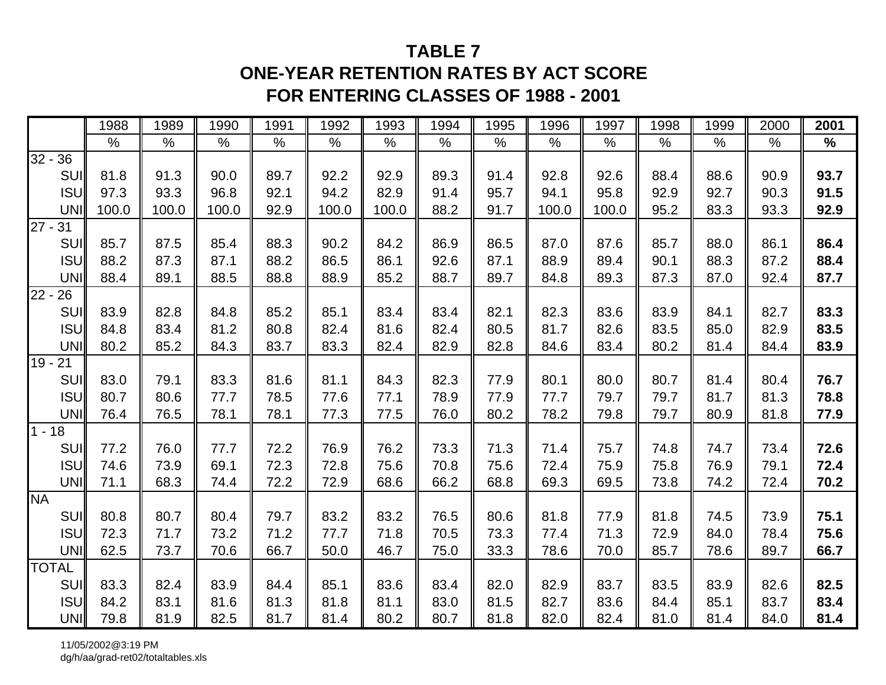## **TABLE 7**

## **ONE-YEAR RETENTION RATES BY ACT SCORE FOR ENTERING CLASSES OF 1988 - 2001**

|                      | 1988  | 1989  | 1990  | 1991 | 1992  | 1993  | 1994 | 1995 | 1996  | 1997  | 1998 | 1999 | 2000 | 2001 |
|----------------------|-------|-------|-------|------|-------|-------|------|------|-------|-------|------|------|------|------|
|                      | $\%$  | $\%$  | $\%$  | $\%$ | $\%$  | %     | $\%$ | $\%$ | %     | $\%$  | $\%$ | $\%$ | $\%$ | $\%$ |
| $\overline{32} - 36$ |       |       |       |      |       |       |      |      |       |       |      |      |      |      |
| SUI                  | 81.8  | 91.3  | 90.0  | 89.7 | 92.2  | 92.9  | 89.3 | 91.4 | 92.8  | 92.6  | 88.4 | 88.6 | 90.9 | 93.7 |
| <b>ISU</b>           | 97.3  | 93.3  | 96.8  | 92.1 | 94.2  | 82.9  | 91.4 | 95.7 | 94.1  | 95.8  | 92.9 | 92.7 | 90.3 | 91.5 |
| <b>UNI</b>           | 100.0 | 100.0 | 100.0 | 92.9 | 100.0 | 100.0 | 88.2 | 91.7 | 100.0 | 100.0 | 95.2 | 83.3 | 93.3 | 92.9 |
| $\frac{1}{27 - 31}$  |       |       |       |      |       |       |      |      |       |       |      |      |      |      |
| SUI                  | 85.7  | 87.5  | 85.4  | 88.3 | 90.2  | 84.2  | 86.9 | 86.5 | 87.0  | 87.6  | 85.7 | 88.0 | 86.1 | 86.4 |
| <b>ISU</b>           | 88.2  | 87.3  | 87.1  | 88.2 | 86.5  | 86.1  | 92.6 | 87.1 | 88.9  | 89.4  | 90.1 | 88.3 | 87.2 | 88.4 |
| <b>UNI</b>           | 88.4  | 89.1  | 88.5  | 88.8 | 88.9  | 85.2  | 88.7 | 89.7 | 84.8  | 89.3  | 87.3 | 87.0 | 92.4 | 87.7 |
| $\sqrt{22}$ -<br>26  |       |       |       |      |       |       |      |      |       |       |      |      |      |      |
| SUI                  | 83.9  | 82.8  | 84.8  | 85.2 | 85.1  | 83.4  | 83.4 | 82.1 | 82.3  | 83.6  | 83.9 | 84.1 | 82.7 | 83.3 |
| <b>ISU</b>           | 84.8  | 83.4  | 81.2  | 80.8 | 82.4  | 81.6  | 82.4 | 80.5 | 81.7  | 82.6  | 83.5 | 85.0 | 82.9 | 83.5 |
| UNI                  | 80.2  | 85.2  | 84.3  | 83.7 | 83.3  | 82.4  | 82.9 | 82.8 | 84.6  | 83.4  | 80.2 | 81.4 | 84.4 | 83.9 |
| $19 - 21$            |       |       |       |      |       |       |      |      |       |       |      |      |      |      |
| <b>SUI</b>           | 83.0  | 79.1  | 83.3  | 81.6 | 81.1  | 84.3  | 82.3 | 77.9 | 80.1  | 80.0  | 80.7 | 81.4 | 80.4 | 76.7 |
| <b>ISU</b>           | 80.7  | 80.6  | 77.7  | 78.5 | 77.6  | 77.1  | 78.9 | 77.9 | 77.7  | 79.7  | 79.7 | 81.7 | 81.3 | 78.8 |
| <b>UNI</b>           | 76.4  | 76.5  | 78.1  | 78.1 | 77.3  | 77.5  | 76.0 | 80.2 | 78.2  | 79.8  | 79.7 | 80.9 | 81.8 | 77.9 |
| $1 - 18$             |       |       |       |      |       |       |      |      |       |       |      |      |      |      |
| <b>SUI</b>           | 77.2  | 76.0  | 77.7  | 72.2 | 76.9  | 76.2  | 73.3 | 71.3 | 71.4  | 75.7  | 74.8 | 74.7 | 73.4 | 72.6 |
| <b>ISU</b>           | 74.6  | 73.9  | 69.1  | 72.3 | 72.8  | 75.6  | 70.8 | 75.6 | 72.4  | 75.9  | 75.8 | 76.9 | 79.1 | 72.4 |
| <b>UNI</b>           | 71.1  | 68.3  | 74.4  | 72.2 | 72.9  | 68.6  | 66.2 | 68.8 | 69.3  | 69.5  | 73.8 | 74.2 | 72.4 | 70.2 |
| <b>NA</b>            |       |       |       |      |       |       |      |      |       |       |      |      |      |      |
| <b>SUI</b>           | 80.8  | 80.7  | 80.4  | 79.7 | 83.2  | 83.2  | 76.5 | 80.6 | 81.8  | 77.9  | 81.8 | 74.5 | 73.9 | 75.1 |
| <b>ISU</b>           | 72.3  | 71.7  | 73.2  | 71.2 | 77.7  | 71.8  | 70.5 | 73.3 | 77.4  | 71.3  | 72.9 | 84.0 | 78.4 | 75.6 |
| <b>UNI</b>           | 62.5  | 73.7  | 70.6  | 66.7 | 50.0  | 46.7  | 75.0 | 33.3 | 78.6  | 70.0  | 85.7 | 78.6 | 89.7 | 66.7 |
| <b>TOTAL</b>         |       |       |       |      |       |       |      |      |       |       |      |      |      |      |
| <b>SUI</b>           | 83.3  | 82.4  | 83.9  | 84.4 | 85.1  | 83.6  | 83.4 | 82.0 | 82.9  | 83.7  | 83.5 | 83.9 | 82.6 | 82.5 |
| <b>ISU</b>           | 84.2  | 83.1  | 81.6  | 81.3 | 81.8  | 81.1  | 83.0 | 81.5 | 82.7  | 83.6  | 84.4 | 85.1 | 83.7 | 83.4 |
| UNI                  | 79.8  | 81.9  | 82.5  | 81.7 | 81.4  | 80.2  | 80.7 | 81.8 | 82.0  | 82.4  | 81.0 | 81.4 | 84.0 | 81.4 |

11/05/2002@3:19 PMdg/h/aa/grad-ret02/totaltables.xls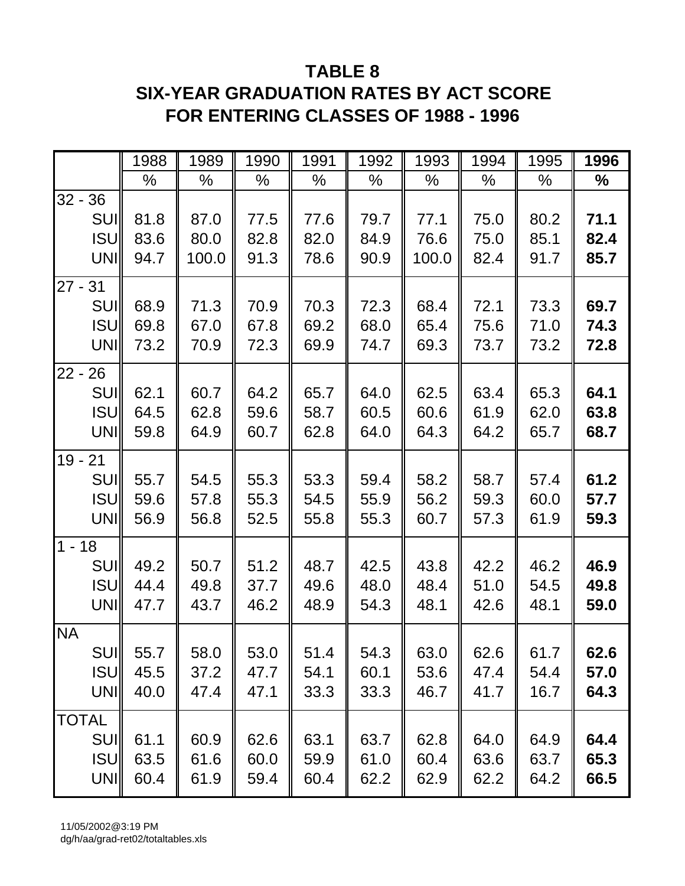# **TABLE 8 SIX-YEAR GRADUATION RATES BY ACT SCORE FOR ENTERING CLASSES OF 1988 - 1996**

|                   | 1988 | 1989  | 1990 | 1991 | 1992 | 1993  | 1994 | 1995 | 1996 |
|-------------------|------|-------|------|------|------|-------|------|------|------|
|                   | %    | %     | $\%$ | %    | %    | %     | %    | %    | $\%$ |
| $32 - 36$         |      |       |      |      |      |       |      |      |      |
| <b>SUII</b>       | 81.8 | 87.0  | 77.5 | 77.6 | 79.7 | 77.1  | 75.0 | 80.2 | 71.1 |
| <b>ISU</b>        | 83.6 | 80.0  | 82.8 | 82.0 | 84.9 | 76.6  | 75.0 | 85.1 | 82.4 |
| <b>UNI</b>        | 94.7 | 100.0 | 91.3 | 78.6 | 90.9 | 100.0 | 82.4 | 91.7 | 85.7 |
| $27 -$<br>31      |      |       |      |      |      |       |      |      |      |
| <b>SUI</b>        | 68.9 | 71.3  | 70.9 | 70.3 | 72.3 | 68.4  | 72.1 | 73.3 | 69.7 |
| <b>ISU</b>        | 69.8 | 67.0  | 67.8 | 69.2 | 68.0 | 65.4  | 75.6 | 71.0 | 74.3 |
| UNI               | 73.2 | 70.9  | 72.3 | 69.9 | 74.7 | 69.3  | 73.7 | 73.2 | 72.8 |
| $22 -$<br>26      |      |       |      |      |      |       |      |      |      |
| <b>SUI</b>        | 62.1 | 60.7  | 64.2 | 65.7 | 64.0 | 62.5  | 63.4 | 65.3 | 64.1 |
| <b>ISU</b>        | 64.5 | 62.8  | 59.6 | 58.7 | 60.5 | 60.6  | 61.9 | 62.0 | 63.8 |
| <b>UNI</b>        | 59.8 | 64.9  | 60.7 | 62.8 | 64.0 | 64.3  | 64.2 | 65.7 | 68.7 |
| $19 -$<br>21      |      |       |      |      |      |       |      |      |      |
| <b>SUI</b>        | 55.7 | 54.5  | 55.3 | 53.3 | 59.4 | 58.2  | 58.7 | 57.4 | 61.2 |
| <b>ISU</b>        | 59.6 | 57.8  | 55.3 | 54.5 | 55.9 | 56.2  | 59.3 | 60.0 | 57.7 |
| <b>UNI</b>        | 56.9 | 56.8  | 52.5 | 55.8 | 55.3 | 60.7  | 57.3 | 61.9 | 59.3 |
| $1 - 18$          |      |       |      |      |      |       |      |      |      |
| <b>SUI</b>        | 49.2 | 50.7  | 51.2 | 48.7 | 42.5 | 43.8  | 42.2 | 46.2 | 46.9 |
| <b>ISU</b>        | 44.4 | 49.8  | 37.7 | 49.6 | 48.0 | 48.4  | 51.0 | 54.5 | 49.8 |
| <b>UNI</b>        | 47.7 | 43.7  | 46.2 | 48.9 | 54.3 | 48.1  | 42.6 | 48.1 | 59.0 |
| <b>NA</b>         |      |       |      |      |      |       |      |      |      |
| <b>SUI</b>        | 55.7 | 58.0  | 53.0 | 51.4 | 54.3 | 63.0  | 62.6 | 61.7 | 62.6 |
| <b>ISU</b>        | 45.5 | 37.2  | 47.7 | 54.1 | 60.1 | 53.6  | 47.4 | 54.4 | 57.0 |
| UNI               | 40.0 | 47.4  | 47.1 | 33.3 | 33.3 | 46.7  | 41.7 | 16.7 | 64.3 |
|                   |      |       |      |      |      |       |      |      |      |
| <b>TOTAL</b>      |      |       |      |      |      |       |      |      |      |
| <b>SUI</b>        | 61.1 | 60.9  | 62.6 | 63.1 | 63.7 | 62.8  | 64.0 | 64.9 | 64.4 |
| <b>ISU</b><br>UNI | 63.5 | 61.6  | 60.0 | 59.9 | 61.0 | 60.4  | 63.6 | 63.7 | 65.3 |
|                   | 60.4 | 61.9  | 59.4 | 60.4 | 62.2 | 62.9  | 62.2 | 64.2 | 66.5 |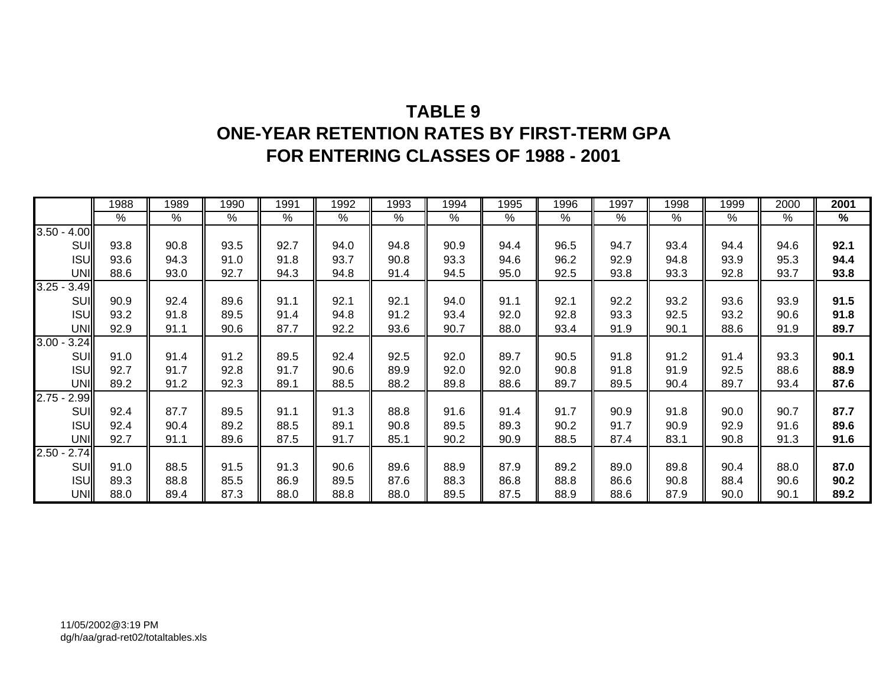## **TABLE 9 ONE-YEAR RETENTION RATES BY FIRST-TERM GPA FOR ENTERING CLASSES OF 1988 - 2001**

|                  | 1988 | 1989 | 1990          | 1991 | 1992 | 1993 | 1994            | 1995 | 1996 | 1997 | 1998 | 1999 | 2000          | 2001 |
|------------------|------|------|---------------|------|------|------|-----------------|------|------|------|------|------|---------------|------|
|                  | $\%$ | %    | $\frac{9}{6}$ | %    | %    | $\%$ | $\overline{\%}$ | $\%$ | %    | %    | %    | $\%$ | $\frac{9}{6}$ | $\%$ |
| $3.50 -$<br>4.00 |      |      |               |      |      |      |                 |      |      |      |      |      |               |      |
| SUI              | 93.8 | 90.8 | 93.5          | 92.7 | 94.0 | 94.8 | 90.9            | 94.4 | 96.5 | 94.7 | 93.4 | 94.4 | 94.6          | 92.1 |
| <b>ISU</b>       | 93.6 | 94.3 | 91.0          | 91.8 | 93.7 | 90.8 | 93.3            | 94.6 | 96.2 | 92.9 | 94.8 | 93.9 | 95.3          | 94.4 |
| UNI              | 88.6 | 93.0 | 92.7          | 94.3 | 94.8 | 91.4 | 94.5            | 95.0 | 92.5 | 93.8 | 93.3 | 92.8 | 93.7          | 93.8 |
| $3.25 -$<br>3.49 |      |      |               |      |      |      |                 |      |      |      |      |      |               |      |
| SUI              | 90.9 | 92.4 | 89.6          | 91.1 | 92.1 | 92.1 | 94.0            | 91.1 | 92.1 | 92.2 | 93.2 | 93.6 | 93.9          | 91.5 |
| <b>ISU</b>       | 93.2 | 91.8 | 89.5          | 91.4 | 94.8 | 91.2 | 93.4            | 92.0 | 92.8 | 93.3 | 92.5 | 93.2 | 90.6          | 91.8 |
| <b>UNI</b>       | 92.9 | 91.1 | 90.6          | 87.7 | 92.2 | 93.6 | 90.7            | 88.0 | 93.4 | 91.9 | 90.1 | 88.6 | 91.9          | 89.7 |
| 3.00<br>3.24     |      |      |               |      |      |      |                 |      |      |      |      |      |               |      |
| SUI              | 91.0 | 91.4 | 91.2          | 89.5 | 92.4 | 92.5 | 92.0            | 89.7 | 90.5 | 91.8 | 91.2 | 91.4 | 93.3          | 90.1 |
| <b>ISU</b>       | 92.7 | 91.7 | 92.8          | 91.7 | 90.6 | 89.9 | 92.0            | 92.0 | 90.8 | 91.8 | 91.9 | 92.5 | 88.6          | 88.9 |
| <b>UNI</b>       | 89.2 | 91.2 | 92.3          | 89.1 | 88.5 | 88.2 | 89.8            | 88.6 | 89.7 | 89.5 | 90.4 | 89.7 | 93.4          | 87.6 |
| $2.75 -$<br>2.99 |      |      |               |      |      |      |                 |      |      |      |      |      |               |      |
| SUI              | 92.4 | 87.7 | 89.5          | 91.1 | 91.3 | 88.8 | 91.6            | 91.4 | 91.7 | 90.9 | 91.8 | 90.0 | 90.7          | 87.7 |
| <b>ISU</b>       | 92.4 | 90.4 | 89.2          | 88.5 | 89.1 | 90.8 | 89.5            | 89.3 | 90.2 | 91.7 | 90.9 | 92.9 | 91.6          | 89.6 |
| <b>UNI</b>       | 92.7 | 91.1 | 89.6          | 87.5 | 91.7 | 85.1 | 90.2            | 90.9 | 88.5 | 87.4 | 83.1 | 90.8 | 91.3          | 91.6 |
| 2.74<br>$2.50 -$ |      |      |               |      |      |      |                 |      |      |      |      |      |               |      |
| SUI              | 91.0 | 88.5 | 91.5          | 91.3 | 90.6 | 89.6 | 88.9            | 87.9 | 89.2 | 89.0 | 89.8 | 90.4 | 88.0          | 87.0 |
| <b>ISU</b>       | 89.3 | 88.8 | 85.5          | 86.9 | 89.5 | 87.6 | 88.3            | 86.8 | 88.8 | 86.6 | 90.8 | 88.4 | 90.6          | 90.2 |
| UNI              | 88.0 | 89.4 | 87.3          | 88.0 | 88.8 | 88.0 | 89.5            | 87.5 | 88.9 | 88.6 | 87.9 | 90.0 | 90.1          | 89.2 |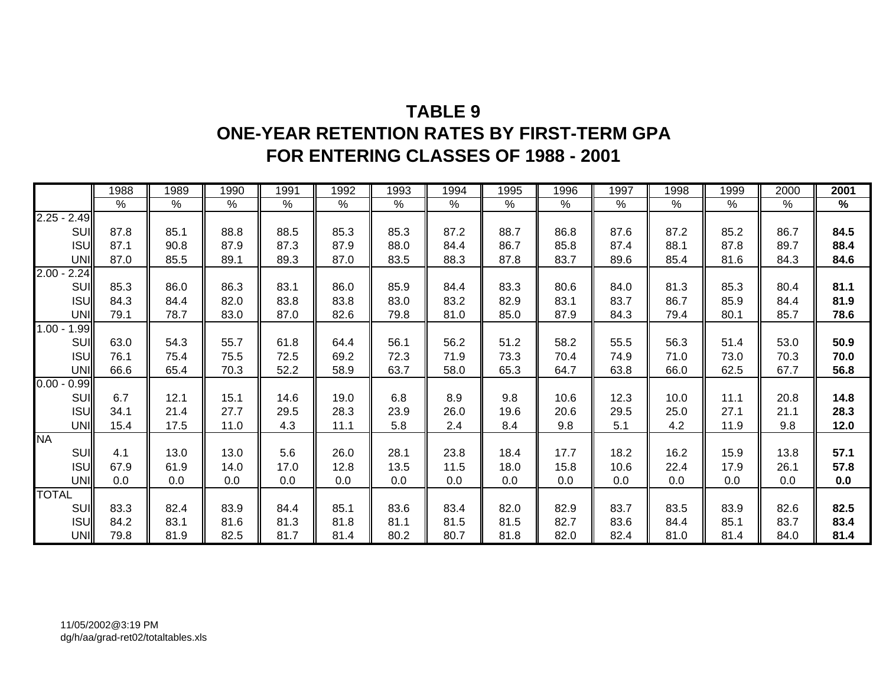## **TABLE 9ONE-YEAR RETENTION RATES BY FIRST-TERM GPA FOR ENTERING CLASSES OF 1988 - 2001**

|                  | 1988          | 1989 | 1990 | 1991 | 1992 | 1993 | 1994 | 1995 | 1996 | 1997 | 1998 | 1999 | 2000          | 2001 |
|------------------|---------------|------|------|------|------|------|------|------|------|------|------|------|---------------|------|
|                  | $\frac{9}{6}$ | %    | $\%$ | %    | %    | %    | %    | %    | %    | %    | %    | %    | $\frac{0}{0}$ | %    |
| $2.25 - 2.49$    |               |      |      |      |      |      |      |      |      |      |      |      |               |      |
| SUI              | 87.8          | 85.1 | 88.8 | 88.5 | 85.3 | 85.3 | 87.2 | 88.7 | 86.8 | 87.6 | 87.2 | 85.2 | 86.7          | 84.5 |
| <b>ISU</b>       | 87.1          | 90.8 | 87.9 | 87.3 | 87.9 | 88.0 | 84.4 | 86.7 | 85.8 | 87.4 | 88.1 | 87.8 | 89.7          | 88.4 |
| UNI              | 87.0          | 85.5 | 89.1 | 89.3 | 87.0 | 83.5 | 88.3 | 87.8 | 83.7 | 89.6 | 85.4 | 81.6 | 84.3          | 84.6 |
| $2.00 -$<br>2.24 |               |      |      |      |      |      |      |      |      |      |      |      |               |      |
| SUI              | 85.3          | 86.0 | 86.3 | 83.1 | 86.0 | 85.9 | 84.4 | 83.3 | 80.6 | 84.0 | 81.3 | 85.3 | 80.4          | 81.1 |
| <b>ISU</b>       | 84.3          | 84.4 | 82.0 | 83.8 | 83.8 | 83.0 | 83.2 | 82.9 | 83.1 | 83.7 | 86.7 | 85.9 | 84.4          | 81.9 |
| <b>UNI</b>       | 79.1          | 78.7 | 83.0 | 87.0 | 82.6 | 79.8 | 81.0 | 85.0 | 87.9 | 84.3 | 79.4 | 80.1 | 85.7          | 78.6 |
| $1.00 -$<br>1.99 |               |      |      |      |      |      |      |      |      |      |      |      |               |      |
| SUI              | 63.0          | 54.3 | 55.7 | 61.8 | 64.4 | 56.1 | 56.2 | 51.2 | 58.2 | 55.5 | 56.3 | 51.4 | 53.0          | 50.9 |
| <b>ISU</b>       | 76.1          | 75.4 | 75.5 | 72.5 | 69.2 | 72.3 | 71.9 | 73.3 | 70.4 | 74.9 | 71.0 | 73.0 | 70.3          | 70.0 |
| UNI              | 66.6          | 65.4 | 70.3 | 52.2 | 58.9 | 63.7 | 58.0 | 65.3 | 64.7 | 63.8 | 66.0 | 62.5 | 67.7          | 56.8 |
| $0.00 -$<br>0.99 |               |      |      |      |      |      |      |      |      |      |      |      |               |      |
| SUI              | 6.7           | 12.1 | 15.1 | 14.6 | 19.0 | 6.8  | 8.9  | 9.8  | 10.6 | 12.3 | 10.0 | 11.1 | 20.8          | 14.8 |
| <b>ISU</b>       | 34.1          | 21.4 | 27.7 | 29.5 | 28.3 | 23.9 | 26.0 | 19.6 | 20.6 | 29.5 | 25.0 | 27.1 | 21.1          | 28.3 |
| <b>UNI</b>       | 15.4          | 17.5 | 11.0 | 4.3  | 11.1 | 5.8  | 2.4  | 8.4  | 9.8  | 5.1  | 4.2  | 11.9 | 9.8           | 12.0 |
| <b>NA</b>        |               |      |      |      |      |      |      |      |      |      |      |      |               |      |
| SUI              | 4.1           | 13.0 | 13.0 | 5.6  | 26.0 | 28.1 | 23.8 | 18.4 | 17.7 | 18.2 | 16.2 | 15.9 | 13.8          | 57.1 |
| <b>ISU</b>       | 67.9          | 61.9 | 14.0 | 17.0 | 12.8 | 13.5 | 11.5 | 18.0 | 15.8 | 10.6 | 22.4 | 17.9 | 26.1          | 57.8 |
| <b>UNI</b>       | 0.0           | 0.0  | 0.0  | 0.0  | 0.0  | 0.0  | 0.0  | 0.0  | 0.0  | 0.0  | 0.0  | 0.0  | 0.0           | 0.0  |
| <b>TOTAL</b>     |               |      |      |      |      |      |      |      |      |      |      |      |               |      |
| SUI              | 83.3          | 82.4 | 83.9 | 84.4 | 85.1 | 83.6 | 83.4 | 82.0 | 82.9 | 83.7 | 83.5 | 83.9 | 82.6          | 82.5 |
| <b>ISU</b>       | 84.2          | 83.1 | 81.6 | 81.3 | 81.8 | 81.1 | 81.5 | 81.5 | 82.7 | 83.6 | 84.4 | 85.1 | 83.7          | 83.4 |
| <b>UNI</b>       | 79.8          | 81.9 | 82.5 | 81.7 | 81.4 | 80.2 | 80.7 | 81.8 | 82.0 | 82.4 | 81.0 | 81.4 | 84.0          | 81.4 |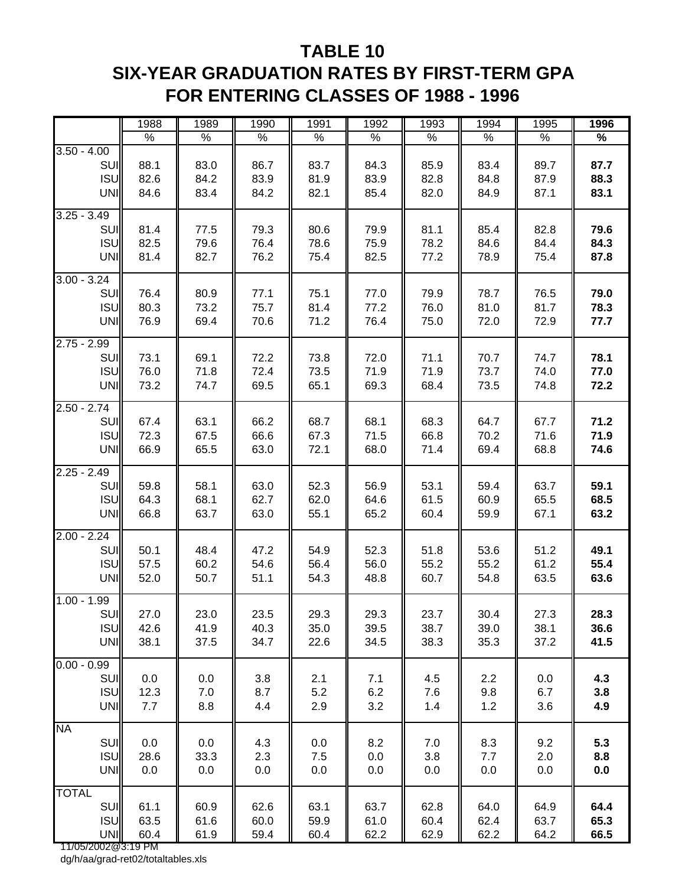## **TABLE 10 SIX-YEAR GRADUATION RATES BY FIRST-TERM GPA FOR ENTERING CLASSES OF 1988 - 1996**

|                                                                       | 1988                 | 1989                 | 1990                 | 1991                 | 1992                 | 1993                 | 1994                 | 1995                 | 1996                 |
|-----------------------------------------------------------------------|----------------------|----------------------|----------------------|----------------------|----------------------|----------------------|----------------------|----------------------|----------------------|
|                                                                       | $\%$                 | $\%$                 | $\%$                 | $\%$                 | $\%$                 | $\%$                 | $\%$                 | $\%$                 | $\%$                 |
| $3.50 - 4.00$<br>SUI<br><b>ISU</b><br>UNI                             | 88.1<br>82.6<br>84.6 | 83.0<br>84.2<br>83.4 | 86.7<br>83.9<br>84.2 | 83.7<br>81.9<br>82.1 | 84.3<br>83.9<br>85.4 | 85.9<br>82.8<br>82.0 | 83.4<br>84.8<br>84.9 | 89.7<br>87.9<br>87.1 | 87.7<br>88.3<br>83.1 |
| $3.25 - 3.49$<br>SUI<br><b>ISU</b><br>UNI                             | 81.4<br>82.5<br>81.4 | 77.5<br>79.6<br>82.7 | 79.3<br>76.4<br>76.2 | 80.6<br>78.6<br>75.4 | 79.9<br>75.9<br>82.5 | 81.1<br>78.2<br>77.2 | 85.4<br>84.6<br>78.9 | 82.8<br>84.4<br>75.4 | 79.6<br>84.3<br>87.8 |
| $3.00 - 3.24$<br>SUI<br><b>ISU</b><br><b>UNI</b>                      | 76.4<br>80.3<br>76.9 | 80.9<br>73.2<br>69.4 | 77.1<br>75.7<br>70.6 | 75.1<br>81.4<br>71.2 | 77.0<br>77.2<br>76.4 | 79.9<br>76.0<br>75.0 | 78.7<br>81.0<br>72.0 | 76.5<br>81.7<br>72.9 | 79.0<br>78.3<br>77.7 |
| $2.75 - 2.99$<br>SUI<br><b>ISU</b><br>UNI                             | 73.1<br>76.0<br>73.2 | 69.1<br>71.8<br>74.7 | 72.2<br>72.4<br>69.5 | 73.8<br>73.5<br>65.1 | 72.0<br>71.9<br>69.3 | 71.1<br>71.9<br>68.4 | 70.7<br>73.7<br>73.5 | 74.7<br>74.0<br>74.8 | 78.1<br>77.0<br>72.2 |
| $2.50 - 2.74$<br>SUI<br><b>ISU</b><br><b>UNI</b>                      | 67.4<br>72.3<br>66.9 | 63.1<br>67.5<br>65.5 | 66.2<br>66.6<br>63.0 | 68.7<br>67.3<br>72.1 | 68.1<br>71.5<br>68.0 | 68.3<br>66.8<br>71.4 | 64.7<br>70.2<br>69.4 | 67.7<br>71.6<br>68.8 | 71.2<br>71.9<br>74.6 |
| $2.25 - 2.49$<br>SUI<br><b>ISU</b><br>UNI                             | 59.8<br>64.3<br>66.8 | 58.1<br>68.1<br>63.7 | 63.0<br>62.7<br>63.0 | 52.3<br>62.0<br>55.1 | 56.9<br>64.6<br>65.2 | 53.1<br>61.5<br>60.4 | 59.4<br>60.9<br>59.9 | 63.7<br>65.5<br>67.1 | 59.1<br>68.5<br>63.2 |
| $2.00 - 2.24$<br>SUI<br><b>ISU</b><br>UNI                             | 50.1<br>57.5<br>52.0 | 48.4<br>60.2<br>50.7 | 47.2<br>54.6<br>51.1 | 54.9<br>56.4<br>54.3 | 52.3<br>56.0<br>48.8 | 51.8<br>55.2<br>60.7 | 53.6<br>55.2<br>54.8 | 51.2<br>61.2<br>63.5 | 49.1<br>55.4<br>63.6 |
| $1.00 - 1.99$<br>SUI<br><b>ISU</b><br><b>UNI</b>                      | 27.0<br>42.6<br>38.1 | 23.0<br>41.9<br>37.5 | 23.5<br>40.3<br>34.7 | 29.3<br>35.0<br>22.6 | 29.3<br>39.5<br>34.5 | 23.7<br>38.7<br>38.3 | 30.4<br>39.0<br>35.3 | 27.3<br>38.1<br>37.2 | 28.3<br>36.6<br>41.5 |
| $0.00 - 0.99$<br>SUI<br><b>ISU</b><br><b>UNI</b>                      | 0.0<br>12.3<br>7.7   | 0.0<br>7.0<br>8.8    | 3.8<br>8.7<br>4.4    | 2.1<br>5.2<br>2.9    | 7.1<br>6.2<br>3.2    | 4.5<br>7.6<br>1.4    | 2.2<br>9.8<br>1.2    | 0.0<br>6.7<br>3.6    | 4.3<br>3.8<br>4.9    |
| <b>NA</b><br>SUI<br><b>ISU</b><br><b>UNI</b>                          | 0.0<br>28.6<br>0.0   | 0.0<br>33.3<br>0.0   | 4.3<br>2.3<br>0.0    | 0.0<br>7.5<br>0.0    | 8.2<br>0.0<br>0.0    | 7.0<br>3.8<br>0.0    | 8.3<br>7.7<br>0.0    | 9.2<br>2.0<br>0.0    | 5.3<br>8.8<br>0.0    |
| <b>TOTAL</b><br>SUI<br><b>ISU</b><br><b>UNI</b><br>11/05/2002@3:19 PM | 61.1<br>63.5<br>60.4 | 60.9<br>61.6<br>61.9 | 62.6<br>60.0<br>59.4 | 63.1<br>59.9<br>60.4 | 63.7<br>61.0<br>62.2 | 62.8<br>60.4<br>62.9 | 64.0<br>62.4<br>62.2 | 64.9<br>63.7<br>64.2 | 64.4<br>65.3<br>66.5 |

dg/h/aa/grad-ret02/totaltables.xls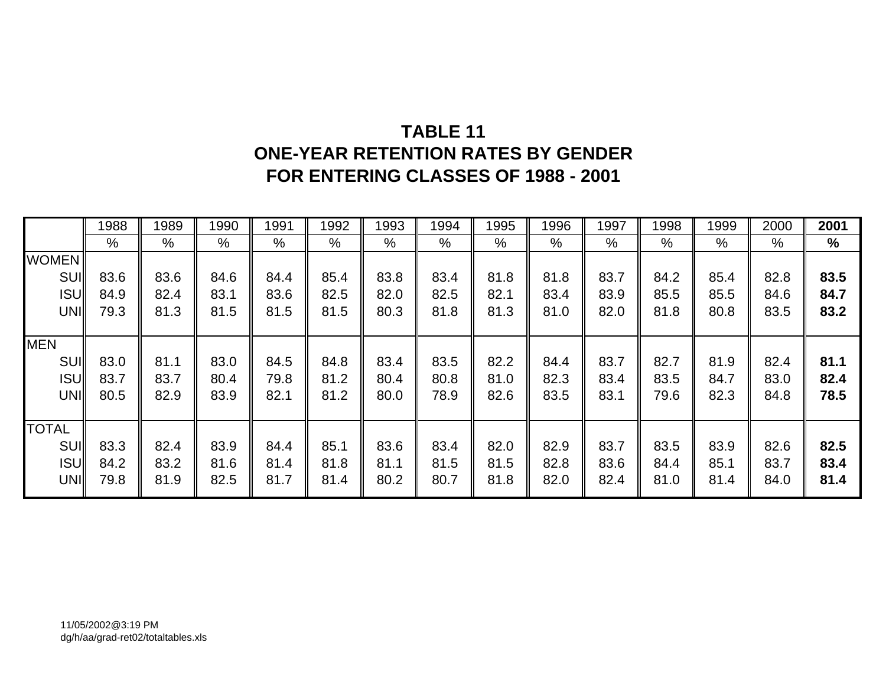# **TABLE 11ONE-YEAR RETENTION RATES BY GENDER FOR ENTERING CLASSES OF 1988 - 2001**

|              | 1988 | 1989 | 1990 | 1991 | 1992 | 1993 | 1994 | 1995 | 1996          | 1997 | 1998 | 1999 | 2000 | 2001 |
|--------------|------|------|------|------|------|------|------|------|---------------|------|------|------|------|------|
|              | %    | %    | $\%$ | %    | %    | $\%$ | %    | %    | $\frac{0}{0}$ | $\%$ | %    | %    | %    | $\%$ |
| <b>WOMEN</b> |      |      |      |      |      |      |      |      |               |      |      |      |      |      |
| <b>SUI</b>   | 83.6 | 83.6 | 84.6 | 84.4 | 85.4 | 83.8 | 83.4 | 81.8 | 81.8          | 83.7 | 84.2 | 85.4 | 82.8 | 83.5 |
| <b>ISU</b>   | 84.9 | 82.4 | 83.1 | 83.6 | 82.5 | 82.0 | 82.5 | 82.1 | 83.4          | 83.9 | 85.5 | 85.5 | 84.6 | 84.7 |
| UNI          | 79.3 | 81.3 | 81.5 | 81.5 | 81.5 | 80.3 | 81.8 | 81.3 | 81.0          | 82.0 | 81.8 | 80.8 | 83.5 | 83.2 |
|              |      |      |      |      |      |      |      |      |               |      |      |      |      |      |
| <b>MEN</b>   |      |      |      |      |      |      |      |      |               |      |      |      |      |      |
| <b>SUI</b>   | 83.0 | 81.1 | 83.0 | 84.5 | 84.8 | 83.4 | 83.5 | 82.2 | 84.4          | 83.7 | 82.7 | 81.9 | 82.4 | 81.1 |
| <b>ISU</b>   | 83.7 | 83.7 | 80.4 | 79.8 | 81.2 | 80.4 | 80.8 | 81.0 | 82.3          | 83.4 | 83.5 | 84.7 | 83.0 | 82.4 |
| UNI          | 80.5 | 82.9 | 83.9 | 82.1 | 81.2 | 80.0 | 78.9 | 82.6 | 83.5          | 83.1 | 79.6 | 82.3 | 84.8 | 78.5 |
|              |      |      |      |      |      |      |      |      |               |      |      |      |      |      |
| <b>TOTAL</b> |      |      |      |      |      |      |      |      |               |      |      |      |      |      |
| SUI          | 83.3 | 82.4 | 83.9 | 84.4 | 85.1 | 83.6 | 83.4 | 82.0 | 82.9          | 83.7 | 83.5 | 83.9 | 82.6 | 82.5 |
| <b>ISU</b>   | 84.2 | 83.2 | 81.6 | 81.4 | 81.8 | 81.1 | 81.5 | 81.5 | 82.8          | 83.6 | 84.4 | 85.1 | 83.7 | 83.4 |
| <b>UNI</b>   | 79.8 | 81.9 | 82.5 | 81.7 | 81.4 | 80.2 | 80.7 | 81.8 | 82.0          | 82.4 | 81.0 | 81.4 | 84.0 | 81.4 |
|              |      |      |      |      |      |      |      |      |               |      |      |      |      |      |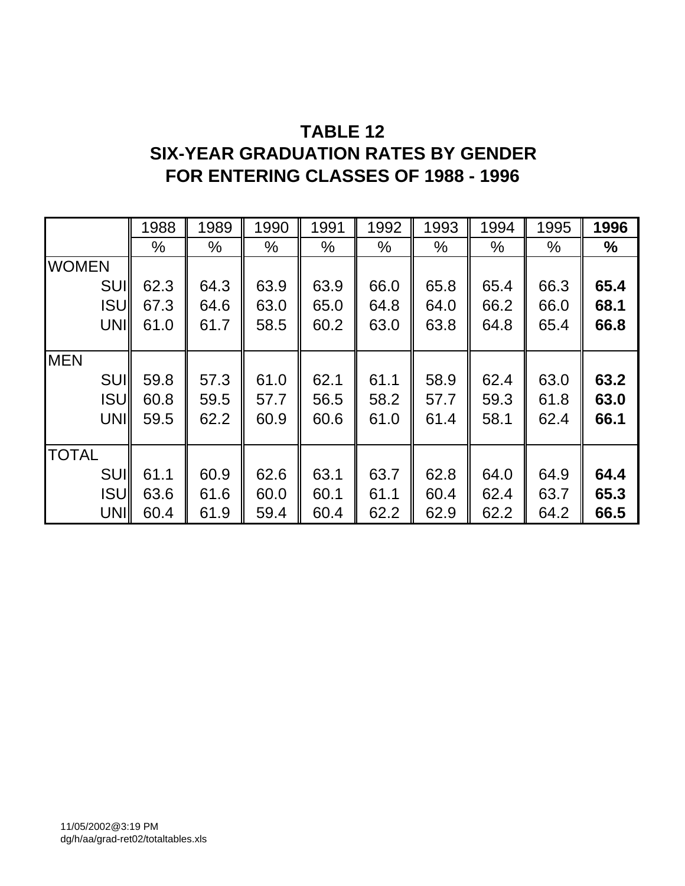## **TABLE 12**

## **SIX-YEAR GRADUATION RATES BY GENDER FOR ENTERING CLASSES OF 1988 - 1996**

|              | 1988 | 1989 | 1990 | 1991          | 1992 | 1993          | 1994 | 1995 | 1996 |
|--------------|------|------|------|---------------|------|---------------|------|------|------|
|              | %    | %    | %    | $\frac{0}{0}$ | %    | $\frac{0}{0}$ | %    | %    | ℅    |
| <b>WOMEN</b> |      |      |      |               |      |               |      |      |      |
| <b>SUI</b>   | 62.3 | 64.3 | 63.9 | 63.9          | 66.0 | 65.8          | 65.4 | 66.3 | 65.4 |
| <b>ISU</b>   | 67.3 | 64.6 | 63.0 | 65.0          | 64.8 | 64.0          | 66.2 | 66.0 | 68.1 |
| <b>UNI</b>   | 61.0 | 61.7 | 58.5 | 60.2          | 63.0 | 63.8          | 64.8 | 65.4 | 66.8 |
|              |      |      |      |               |      |               |      |      |      |
| <b>MEN</b>   |      |      |      |               |      |               |      |      |      |
| <b>SUI</b>   | 59.8 | 57.3 | 61.0 | 62.1          | 61.1 | 58.9          | 62.4 | 63.0 | 63.2 |
| <b>ISU</b>   | 60.8 | 59.5 | 57.7 | 56.5          | 58.2 | 57.7          | 59.3 | 61.8 | 63.0 |
| UNI          | 59.5 | 62.2 | 60.9 | 60.6          | 61.0 | 61.4          | 58.1 | 62.4 | 66.1 |
|              |      |      |      |               |      |               |      |      |      |
| <b>TOTAL</b> |      |      |      |               |      |               |      |      |      |
| SUI          | 61.1 | 60.9 | 62.6 | 63.1          | 63.7 | 62.8          | 64.0 | 64.9 | 64.4 |
| <b>ISU</b>   | 63.6 | 61.6 | 60.0 | 60.1          | 61.1 | 60.4          | 62.4 | 63.7 | 65.3 |
| UNI          | 60.4 | 61.9 | 59.4 | 60.4          | 62.2 | 62.9          | 62.2 | 64.2 | 66.5 |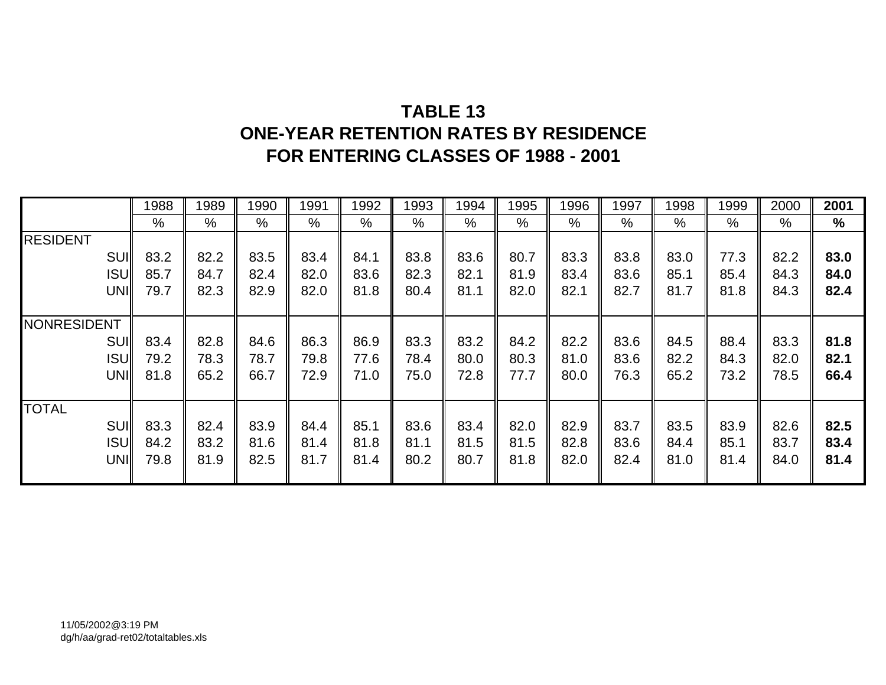# **TABLE 13ONE-YEAR RETENTION RATES BY RESIDENCE FOR ENTERING CLASSES OF 1988 - 2001**

|                 | 1988 | 1989 | 1990 | 1991 | 1992 | 1993 | 1994 | 1995 | 1996          | 1997          | 1998 | 1999 | 2000 | 2001 |
|-----------------|------|------|------|------|------|------|------|------|---------------|---------------|------|------|------|------|
|                 | $\%$ | $\%$ | $\%$ | %    | %    | $\%$ | %    | %    | $\frac{0}{0}$ | $\frac{0}{0}$ | %    | %    | $\%$ | %    |
| <b>RESIDENT</b> |      |      |      |      |      |      |      |      |               |               |      |      |      |      |
| SUI             | 83.2 | 82.2 | 83.5 | 83.4 | 84.1 | 83.8 | 83.6 | 80.7 | 83.3          | 83.8          | 83.0 | 77.3 | 82.2 | 83.0 |
| <b>ISUI</b>     | 85.7 | 84.7 | 82.4 | 82.0 | 83.6 | 82.3 | 82.1 | 81.9 | 83.4          | 83.6          | 85.1 | 85.4 | 84.3 | 84.0 |
| UNI             | 79.7 | 82.3 | 82.9 | 82.0 | 81.8 | 80.4 | 81.1 | 82.0 | 82.1          | 82.7          | 81.7 | 81.8 | 84.3 | 82.4 |
|                 |      |      |      |      |      |      |      |      |               |               |      |      |      |      |
| NONRESIDENT     |      |      |      |      |      |      |      |      |               |               |      |      |      |      |
| SUI             | 83.4 | 82.8 | 84.6 | 86.3 | 86.9 | 83.3 | 83.2 | 84.2 | 82.2          | 83.6          | 84.5 | 88.4 | 83.3 | 81.8 |
| <b>ISUI</b>     | 79.2 | 78.3 | 78.7 | 79.8 | 77.6 | 78.4 | 80.0 | 80.3 | 81.0          | 83.6          | 82.2 | 84.3 | 82.0 | 82.1 |
| UNI             | 81.8 | 65.2 | 66.7 | 72.9 | 71.0 | 75.0 | 72.8 | 77.7 | 80.0          | 76.3          | 65.2 | 73.2 | 78.5 | 66.4 |
|                 |      |      |      |      |      |      |      |      |               |               |      |      |      |      |
| <b>TOTAL</b>    |      |      |      |      |      |      |      |      |               |               |      |      |      |      |
| SUI             | 83.3 | 82.4 | 83.9 | 84.4 | 85.1 | 83.6 | 83.4 | 82.0 | 82.9          | 83.7          | 83.5 | 83.9 | 82.6 | 82.5 |
| <b>ISUI</b>     | 84.2 | 83.2 | 81.6 | 81.4 | 81.8 | 81.1 | 81.5 | 81.5 | 82.8          | 83.6          | 84.4 | 85.1 | 83.7 | 83.4 |
| UNI             | 79.8 | 81.9 | 82.5 | 81.7 | 81.4 | 80.2 | 80.7 | 81.8 | 82.0          | 82.4          | 81.0 | 81.4 | 84.0 | 81.4 |
|                 |      |      |      |      |      |      |      |      |               |               |      |      |      |      |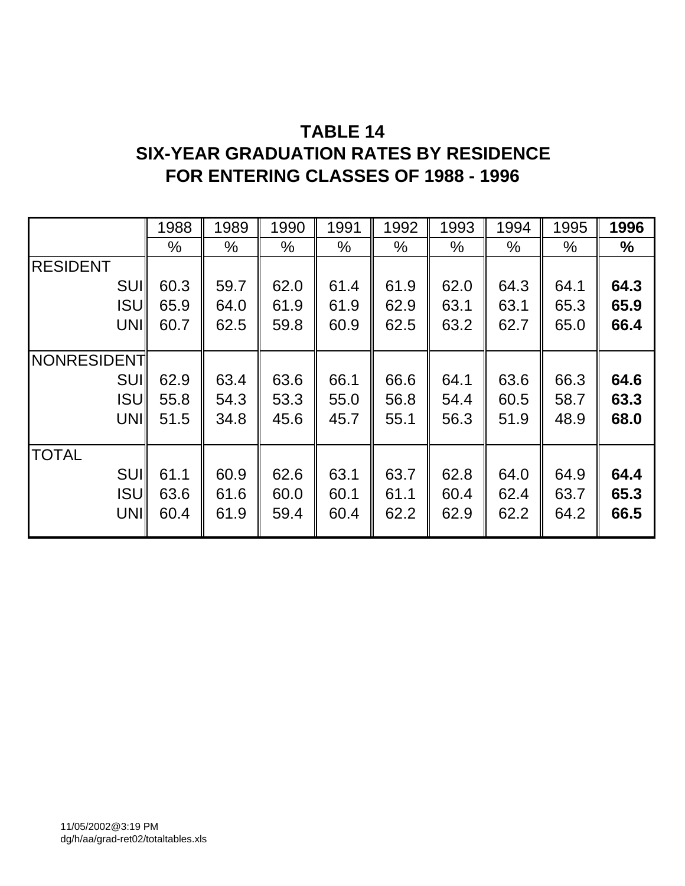## **TABLE 14**

## **SIX-YEAR GRADUATION RATES BY RESIDENCE FOR ENTERING CLASSES OF 1988 - 1996**

|                    | 1988 | 1989 | 1990 | 1991 | 1992 | 1993 | 1994 | 1995 | 1996 |
|--------------------|------|------|------|------|------|------|------|------|------|
|                    | %    | $\%$ | $\%$ | %    | $\%$ | $\%$ | %    | $\%$ | $\%$ |
| <b>RESIDENT</b>    |      |      |      |      |      |      |      |      |      |
| <b>SUI</b>         | 60.3 | 59.7 | 62.0 | 61.4 | 61.9 | 62.0 | 64.3 | 64.1 | 64.3 |
| <b>ISU</b>         | 65.9 | 64.0 | 61.9 | 61.9 | 62.9 | 63.1 | 63.1 | 65.3 | 65.9 |
| UNI                | 60.7 | 62.5 | 59.8 | 60.9 | 62.5 | 63.2 | 62.7 | 65.0 | 66.4 |
|                    |      |      |      |      |      |      |      |      |      |
| <b>NONRESIDENT</b> |      |      |      |      |      |      |      |      |      |
| <b>SUI</b>         | 62.9 | 63.4 | 63.6 | 66.1 | 66.6 | 64.1 | 63.6 | 66.3 | 64.6 |
| <b>ISUI</b>        | 55.8 | 54.3 | 53.3 | 55.0 | 56.8 | 54.4 | 60.5 | 58.7 | 63.3 |
| UNI                | 51.5 | 34.8 | 45.6 | 45.7 | 55.1 | 56.3 | 51.9 | 48.9 | 68.0 |
|                    |      |      |      |      |      |      |      |      |      |
| <b>TOTAL</b>       |      |      |      |      |      |      |      |      |      |
| <b>SUI</b>         | 61.1 | 60.9 | 62.6 | 63.1 | 63.7 | 62.8 | 64.0 | 64.9 | 64.4 |
| <b>ISUI</b>        | 63.6 | 61.6 | 60.0 | 60.1 | 61.1 | 60.4 | 62.4 | 63.7 | 65.3 |
| UNI                | 60.4 | 61.9 | 59.4 | 60.4 | 62.2 | 62.9 | 62.2 | 64.2 | 66.5 |
|                    |      |      |      |      |      |      |      |      |      |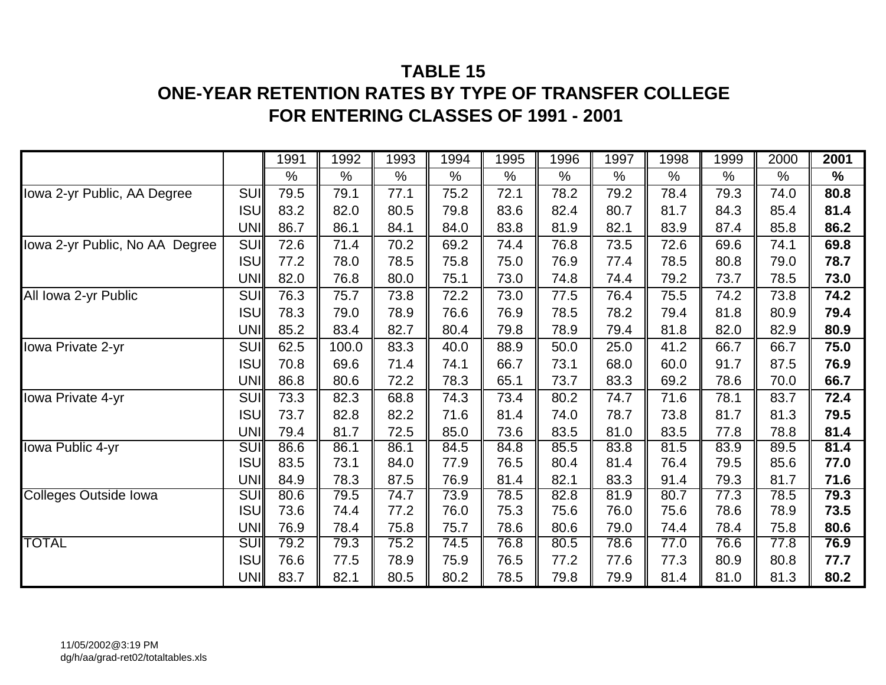## **TABLE 15**

## **ONE-YEAR RETENTION RATES BY TYPE OF TRANSFER COLLEGE FOR ENTERING CLASSES OF 1991 - 2001**

|                                |            | 1991 | 1992  | 1993 | 1994 | 1995 | 1996 | 1997 | 1998 | 1999 | 2000 | 2001          |
|--------------------------------|------------|------|-------|------|------|------|------|------|------|------|------|---------------|
|                                |            | $\%$ | $\%$  | $\%$ | $\%$ | $\%$ | $\%$ | $\%$ | $\%$ | $\%$ | $\%$ | $\frac{9}{6}$ |
| Iowa 2-yr Public, AA Degree    | <b>SUI</b> | 79.5 | 79.1  | 77.1 | 75.2 | 72.1 | 78.2 | 79.2 | 78.4 | 79.3 | 74.0 | 80.8          |
|                                | <b>ISU</b> | 83.2 | 82.0  | 80.5 | 79.8 | 83.6 | 82.4 | 80.7 | 81.7 | 84.3 | 85.4 | 81.4          |
|                                | UNI        | 86.7 | 86.1  | 84.1 | 84.0 | 83.8 | 81.9 | 82.1 | 83.9 | 87.4 | 85.8 | 86.2          |
| lowa 2-yr Public, No AA Degree | SUI        | 72.6 | 71.4  | 70.2 | 69.2 | 74.4 | 76.8 | 73.5 | 72.6 | 69.6 | 74.1 | 69.8          |
|                                | <b>ISU</b> | 77.2 | 78.0  | 78.5 | 75.8 | 75.0 | 76.9 | 77.4 | 78.5 | 80.8 | 79.0 | 78.7          |
|                                | UNI        | 82.0 | 76.8  | 80.0 | 75.1 | 73.0 | 74.8 | 74.4 | 79.2 | 73.7 | 78.5 | 73.0          |
| All Iowa 2-yr Public           | SUI        | 76.3 | 75.7  | 73.8 | 72.2 | 73.0 | 77.5 | 76.4 | 75.5 | 74.2 | 73.8 | 74.2          |
|                                | <b>ISU</b> | 78.3 | 79.0  | 78.9 | 76.6 | 76.9 | 78.5 | 78.2 | 79.4 | 81.8 | 80.9 | 79.4          |
|                                | <b>UNI</b> | 85.2 | 83.4  | 82.7 | 80.4 | 79.8 | 78.9 | 79.4 | 81.8 | 82.0 | 82.9 | 80.9          |
| Iowa Private 2-yr              | <b>SUI</b> | 62.5 | 100.0 | 83.3 | 40.0 | 88.9 | 50.0 | 25.0 | 41.2 | 66.7 | 66.7 | 75.0          |
|                                | ISU∥       | 70.8 | 69.6  | 71.4 | 74.1 | 66.7 | 73.1 | 68.0 | 60.0 | 91.7 | 87.5 | 76.9          |
|                                | UNI        | 86.8 | 80.6  | 72.2 | 78.3 | 65.1 | 73.7 | 83.3 | 69.2 | 78.6 | 70.0 | 66.7          |
| Iowa Private 4-yr              | SUI        | 73.3 | 82.3  | 68.8 | 74.3 | 73.4 | 80.2 | 74.7 | 71.6 | 78.1 | 83.7 | 72.4          |
|                                | ISU        | 73.7 | 82.8  | 82.2 | 71.6 | 81.4 | 74.0 | 78.7 | 73.8 | 81.7 | 81.3 | 79.5          |
|                                | UNI        | 79.4 | 81.7  | 72.5 | 85.0 | 73.6 | 83.5 | 81.0 | 83.5 | 77.8 | 78.8 | 81.4          |
| Iowa Public 4-yr               | <b>SUI</b> | 86.6 | 86.1  | 86.1 | 84.5 | 84.8 | 85.5 | 83.8 | 81.5 | 83.9 | 89.5 | 81.4          |
|                                | <b>ISU</b> | 83.5 | 73.1  | 84.0 | 77.9 | 76.5 | 80.4 | 81.4 | 76.4 | 79.5 | 85.6 | 77.0          |
|                                | UNI        | 84.9 | 78.3  | 87.5 | 76.9 | 81.4 | 82.1 | 83.3 | 91.4 | 79.3 | 81.7 | 71.6          |
| <b>Colleges Outside Iowa</b>   | SUI        | 80.6 | 79.5  | 74.7 | 73.9 | 78.5 | 82.8 | 81.9 | 80.7 | 77.3 | 78.5 | 79.3          |
|                                | ISU∥       | 73.6 | 74.4  | 77.2 | 76.0 | 75.3 | 75.6 | 76.0 | 75.6 | 78.6 | 78.9 | 73.5          |
|                                | UNI        | 76.9 | 78.4  | 75.8 | 75.7 | 78.6 | 80.6 | 79.0 | 74.4 | 78.4 | 75.8 | 80.6          |
| <b>TOTAL</b>                   | SUI        | 79.2 | 79.3  | 75.2 | 74.5 | 76.8 | 80.5 | 78.6 | 77.0 | 76.6 | 77.8 | 76.9          |
|                                | <b>ISU</b> | 76.6 | 77.5  | 78.9 | 75.9 | 76.5 | 77.2 | 77.6 | 77.3 | 80.9 | 80.8 | 77.7          |
|                                | UNI        | 83.7 | 82.1  | 80.5 | 80.2 | 78.5 | 79.8 | 79.9 | 81.4 | 81.0 | 81.3 | 80.2          |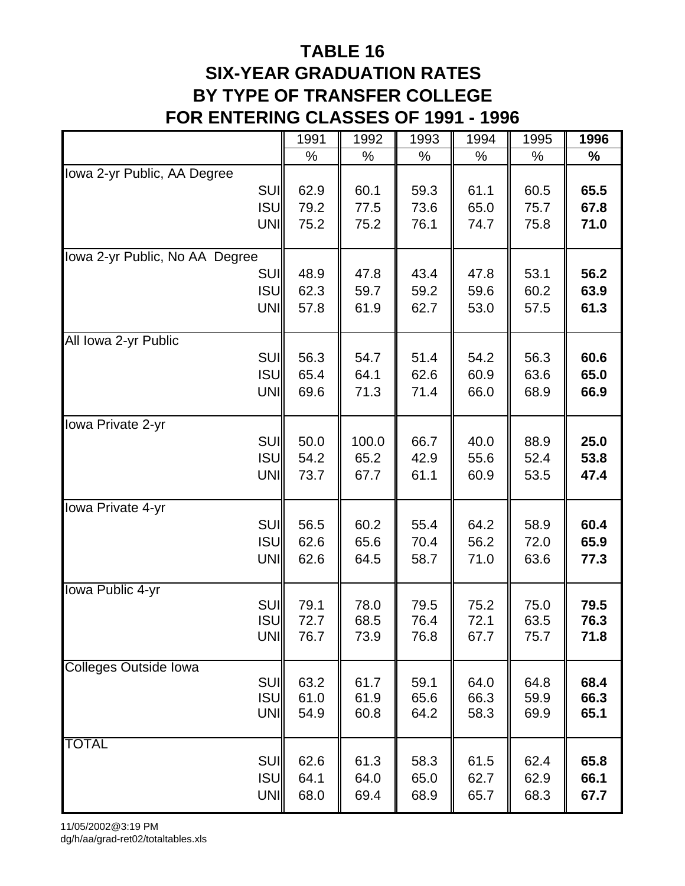# **TABLE 16 SIX-YEAR GRADUATION RATES BY TYPE OF TRANSFER COLLEGE FOR ENTERING CLASSES OF 1991 - 1996**

|                                | 1991 | 1992  | 1993 | 1994 | 1995 | 1996 |
|--------------------------------|------|-------|------|------|------|------|
|                                | $\%$ | $\%$  | %    | $\%$ | %    | %    |
| Iowa 2-yr Public, AA Degree    |      |       |      |      |      |      |
| SUI                            | 62.9 | 60.1  | 59.3 | 61.1 | 60.5 | 65.5 |
| <b>ISU</b>                     | 79.2 | 77.5  | 73.6 | 65.0 | 75.7 | 67.8 |
| <b>UNI</b>                     | 75.2 | 75.2  | 76.1 | 74.7 | 75.8 | 71.0 |
|                                |      |       |      |      |      |      |
| Iowa 2-yr Public, No AA Degree |      |       |      |      |      |      |
| SUI                            | 48.9 | 47.8  | 43.4 | 47.8 | 53.1 | 56.2 |
| ISU                            | 62.3 | 59.7  | 59.2 | 59.6 | 60.2 | 63.9 |
| <b>UNI</b>                     | 57.8 | 61.9  | 62.7 | 53.0 | 57.5 | 61.3 |
| All Iowa 2-yr Public           |      |       |      |      |      |      |
| SUI                            | 56.3 | 54.7  | 51.4 | 54.2 | 56.3 | 60.6 |
| <b>ISU</b>                     | 65.4 | 64.1  | 62.6 | 60.9 | 63.6 | 65.0 |
| UNI                            | 69.6 | 71.3  | 71.4 | 66.0 | 68.9 | 66.9 |
|                                |      |       |      |      |      |      |
| Iowa Private 2-yr              |      |       |      |      |      |      |
| <b>SUI</b>                     | 50.0 | 100.0 | 66.7 | 40.0 | 88.9 | 25.0 |
| <b>ISU</b>                     | 54.2 | 65.2  | 42.9 | 55.6 | 52.4 | 53.8 |
| <b>UNI</b>                     | 73.7 | 67.7  | 61.1 | 60.9 | 53.5 | 47.4 |
|                                |      |       |      |      |      |      |
| Iowa Private 4-yr              |      |       |      |      |      |      |
| <b>SUI</b>                     | 56.5 | 60.2  | 55.4 | 64.2 | 58.9 | 60.4 |
| <b>ISU</b>                     | 62.6 | 65.6  | 70.4 | 56.2 | 72.0 | 65.9 |
| UNI                            | 62.6 | 64.5  | 58.7 | 71.0 | 63.6 | 77.3 |
| Iowa Public 4-yr               |      |       |      |      |      |      |
| <b>SUI</b>                     | 79.1 | 78.0  | 79.5 | 75.2 | 75.0 | 79.5 |
| ISU                            | 72.7 | 68.5  | 76.4 | 72.1 | 63.5 | 76.3 |
| UNII                           | 76.7 | 73.9  | 76.8 | 67.7 | 75.7 | 71.8 |
| <b>Colleges Outside Iowa</b>   |      |       |      |      |      |      |
| SUI                            | 63.2 | 61.7  | 59.1 | 64.0 | 64.8 | 68.4 |
| ISU                            | 61.0 | 61.9  | 65.6 | 66.3 | 59.9 | 66.3 |
| UNI                            | 54.9 | 60.8  | 64.2 | 58.3 | 69.9 | 65.1 |
| <b>TOTAL</b>                   |      |       |      |      |      |      |
| <b>SUI</b>                     | 62.6 | 61.3  | 58.3 | 61.5 | 62.4 | 65.8 |
| <b>ISU</b>                     | 64.1 | 64.0  | 65.0 | 62.7 | 62.9 | 66.1 |
| <b>UNI</b>                     | 68.0 | 69.4  | 68.9 | 65.7 | 68.3 | 67.7 |
|                                |      |       |      |      |      |      |

11/05/2002@3:19 PM

dg/h/aa/grad-ret02/totaltables.xls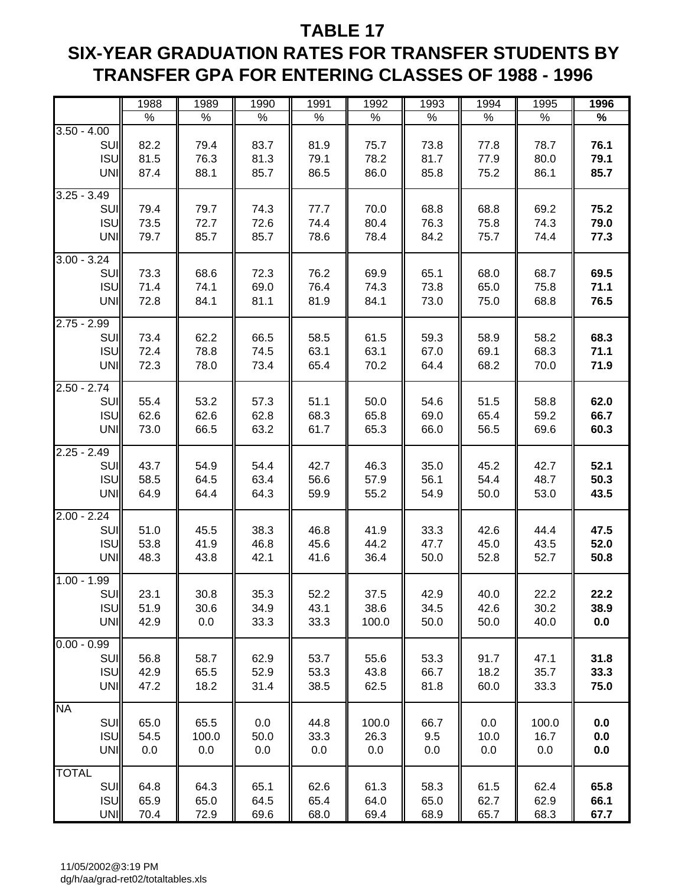## **TABLE 17**

# **SIX-YEAR GRADUATION RATES FOR TRANSFER STUDENTS BY TRANSFER GPA FOR ENTERING CLASSES OF 1988 - 1996**

|               | 1988 | 1989  | 1990 | 1991 | 1992  | 1993 | 1994 | 1995  | 1996 |
|---------------|------|-------|------|------|-------|------|------|-------|------|
|               | $\%$ | $\%$  | $\%$ | $\%$ | $\%$  | $\%$ | $\%$ | $\%$  | $\%$ |
| $3.50 - 4.00$ |      |       |      |      |       |      |      |       |      |
| SUI           | 82.2 | 79.4  | 83.7 | 81.9 | 75.7  | 73.8 | 77.8 | 78.7  | 76.1 |
| <b>ISU</b>    | 81.5 | 76.3  | 81.3 | 79.1 | 78.2  | 81.7 | 77.9 | 80.0  | 79.1 |
| <b>UNI</b>    | 87.4 | 88.1  | 85.7 | 86.5 | 86.0  | 85.8 | 75.2 | 86.1  | 85.7 |
| $3.25 - 3.49$ |      |       |      |      |       |      |      |       |      |
| SUI           | 79.4 | 79.7  | 74.3 | 77.7 | 70.0  | 68.8 | 68.8 | 69.2  | 75.2 |
| <b>ISU</b>    | 73.5 | 72.7  | 72.6 | 74.4 | 80.4  | 76.3 | 75.8 | 74.3  | 79.0 |
| UNI           | 79.7 | 85.7  | 85.7 | 78.6 | 78.4  | 84.2 | 75.7 | 74.4  | 77.3 |
|               |      |       |      |      |       |      |      |       |      |
| $3.00 - 3.24$ |      |       |      |      |       |      |      |       |      |
| SUI           | 73.3 | 68.6  | 72.3 | 76.2 | 69.9  | 65.1 | 68.0 | 68.7  | 69.5 |
| <b>ISU</b>    | 71.4 | 74.1  | 69.0 | 76.4 | 74.3  | 73.8 | 65.0 | 75.8  | 71.1 |
| <b>UNI</b>    | 72.8 | 84.1  | 81.1 | 81.9 | 84.1  | 73.0 | 75.0 | 68.8  | 76.5 |
| $2.75 - 2.99$ |      |       |      |      |       |      |      |       |      |
| SUI           | 73.4 | 62.2  | 66.5 | 58.5 | 61.5  | 59.3 | 58.9 | 58.2  | 68.3 |
| <b>ISU</b>    | 72.4 | 78.8  | 74.5 | 63.1 | 63.1  | 67.0 | 69.1 | 68.3  | 71.1 |
| <b>UNI</b>    | 72.3 | 78.0  | 73.4 | 65.4 | 70.2  | 64.4 | 68.2 | 70.0  | 71.9 |
| $2.50 - 2.74$ |      |       |      |      |       |      |      |       |      |
| SUI           | 55.4 | 53.2  | 57.3 | 51.1 | 50.0  | 54.6 | 51.5 | 58.8  | 62.0 |
| <b>ISU</b>    | 62.6 | 62.6  | 62.8 | 68.3 | 65.8  | 69.0 | 65.4 | 59.2  | 66.7 |
| UNI           | 73.0 | 66.5  | 63.2 | 61.7 | 65.3  | 66.0 | 56.5 | 69.6  | 60.3 |
|               |      |       |      |      |       |      |      |       |      |
| $2.25 - 2.49$ |      |       |      |      |       |      |      |       |      |
| SUI           | 43.7 | 54.9  | 54.4 | 42.7 | 46.3  | 35.0 | 45.2 | 42.7  | 52.1 |
| <b>ISU</b>    | 58.5 | 64.5  | 63.4 | 56.6 | 57.9  | 56.1 | 54.4 | 48.7  | 50.3 |
| UNI           | 64.9 | 64.4  | 64.3 | 59.9 | 55.2  | 54.9 | 50.0 | 53.0  | 43.5 |
| $2.00 - 2.24$ |      |       |      |      |       |      |      |       |      |
| SUI           | 51.0 | 45.5  | 38.3 | 46.8 | 41.9  | 33.3 | 42.6 | 44.4  | 47.5 |
| <b>ISU</b>    | 53.8 | 41.9  | 46.8 | 45.6 | 44.2  | 47.7 | 45.0 | 43.5  | 52.0 |
| UNI           | 48.3 | 43.8  | 42.1 | 41.6 | 36.4  | 50.0 | 52.8 | 52.7  | 50.8 |
|               |      |       |      |      |       |      |      |       |      |
| $1.00 - 1.99$ |      |       |      |      |       |      |      |       |      |
| SUI           | 23.1 | 30.8  | 35.3 | 52.2 | 37.5  | 42.9 | 40.0 | 22.2  | 22.2 |
| <b>ISU</b>    | 51.9 | 30.6  | 34.9 | 43.1 | 38.6  | 34.5 | 42.6 | 30.2  | 38.9 |
| <b>UNI</b>    | 42.9 | 0.0   | 33.3 | 33.3 | 100.0 | 50.0 | 50.0 | 40.0  | 0.0  |
| $0.00 - 0.99$ |      |       |      |      |       |      |      |       |      |
| <b>SUI</b>    | 56.8 | 58.7  | 62.9 | 53.7 | 55.6  | 53.3 | 91.7 | 47.1  | 31.8 |
| <b>ISU</b>    | 42.9 | 65.5  | 52.9 | 53.3 | 43.8  | 66.7 | 18.2 | 35.7  | 33.3 |
| UNI           | 47.2 | 18.2  | 31.4 | 38.5 | 62.5  | 81.8 | 60.0 | 33.3  | 75.0 |
| <b>NA</b>     |      |       |      |      |       |      |      |       |      |
| SUI           | 65.0 | 65.5  | 0.0  | 44.8 | 100.0 | 66.7 | 0.0  | 100.0 | 0.0  |
| <b>ISU</b>    | 54.5 | 100.0 | 50.0 | 33.3 | 26.3  | 9.5  | 10.0 | 16.7  | 0.0  |
| UNI           | 0.0  | 0.0   | 0.0  | 0.0  | 0.0   | 0.0  | 0.0  | 0.0   | 0.0  |
|               |      |       |      |      |       |      |      |       |      |
| <b>TOTAL</b>  |      |       |      |      |       |      |      |       |      |
| <b>SUI</b>    | 64.8 | 64.3  | 65.1 | 62.6 | 61.3  | 58.3 | 61.5 | 62.4  | 65.8 |
| <b>ISU</b>    | 65.9 | 65.0  | 64.5 | 65.4 | 64.0  | 65.0 | 62.7 | 62.9  | 66.1 |
| <b>UNI</b>    | 70.4 | 72.9  | 69.6 | 68.0 | 69.4  | 68.9 | 65.7 | 68.3  | 67.7 |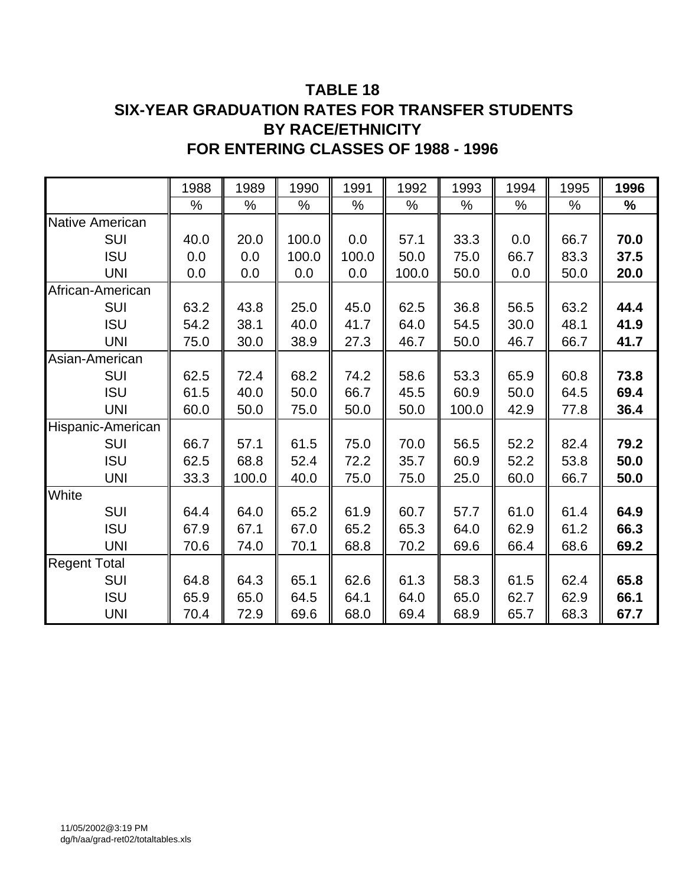### **TABLE 18 SIX-YEAR GRADUATION RATES FOR TRANSFER STUDENTS BY RACE/ETHNICITY FOR ENTERING CLASSES OF 1988 - 1996**

|                        | 1988 | 1989  | 1990  | 1991  | 1992  | 1993  | 1994 | 1995 | 1996 |
|------------------------|------|-------|-------|-------|-------|-------|------|------|------|
|                        | %    | $\%$  | %     | %     | $\%$  | $\%$  | %    | $\%$ | %    |
| <b>Native American</b> |      |       |       |       |       |       |      |      |      |
| <b>SUI</b>             | 40.0 | 20.0  | 100.0 | 0.0   | 57.1  | 33.3  | 0.0  | 66.7 | 70.0 |
| <b>ISU</b>             | 0.0  | 0.0   | 100.0 | 100.0 | 50.0  | 75.0  | 66.7 | 83.3 | 37.5 |
| <b>UNI</b>             | 0.0  | 0.0   | 0.0   | 0.0   | 100.0 | 50.0  | 0.0  | 50.0 | 20.0 |
| African-American       |      |       |       |       |       |       |      |      |      |
| <b>SUI</b>             | 63.2 | 43.8  | 25.0  | 45.0  | 62.5  | 36.8  | 56.5 | 63.2 | 44.4 |
| <b>ISU</b>             | 54.2 | 38.1  | 40.0  | 41.7  | 64.0  | 54.5  | 30.0 | 48.1 | 41.9 |
| <b>UNI</b>             | 75.0 | 30.0  | 38.9  | 27.3  | 46.7  | 50.0  | 46.7 | 66.7 | 41.7 |
| Asian-American         |      |       |       |       |       |       |      |      |      |
| <b>SUI</b>             | 62.5 | 72.4  | 68.2  | 74.2  | 58.6  | 53.3  | 65.9 | 60.8 | 73.8 |
| <b>ISU</b>             | 61.5 | 40.0  | 50.0  | 66.7  | 45.5  | 60.9  | 50.0 | 64.5 | 69.4 |
| <b>UNI</b>             | 60.0 | 50.0  | 75.0  | 50.0  | 50.0  | 100.0 | 42.9 | 77.8 | 36.4 |
| Hispanic-American      |      |       |       |       |       |       |      |      |      |
| <b>SUI</b>             | 66.7 | 57.1  | 61.5  | 75.0  | 70.0  | 56.5  | 52.2 | 82.4 | 79.2 |
| <b>ISU</b>             | 62.5 | 68.8  | 52.4  | 72.2  | 35.7  | 60.9  | 52.2 | 53.8 | 50.0 |
| <b>UNI</b>             | 33.3 | 100.0 | 40.0  | 75.0  | 75.0  | 25.0  | 60.0 | 66.7 | 50.0 |
| White                  |      |       |       |       |       |       |      |      |      |
| SUI                    | 64.4 | 64.0  | 65.2  | 61.9  | 60.7  | 57.7  | 61.0 | 61.4 | 64.9 |
| <b>ISU</b>             | 67.9 | 67.1  | 67.0  | 65.2  | 65.3  | 64.0  | 62.9 | 61.2 | 66.3 |
| <b>UNI</b>             | 70.6 | 74.0  | 70.1  | 68.8  | 70.2  | 69.6  | 66.4 | 68.6 | 69.2 |
| <b>Regent Total</b>    |      |       |       |       |       |       |      |      |      |
| <b>SUI</b>             | 64.8 | 64.3  | 65.1  | 62.6  | 61.3  | 58.3  | 61.5 | 62.4 | 65.8 |
| <b>ISU</b>             | 65.9 | 65.0  | 64.5  | 64.1  | 64.0  | 65.0  | 62.7 | 62.9 | 66.1 |
| <b>UNI</b>             | 70.4 | 72.9  | 69.6  | 68.0  | 69.4  | 68.9  | 65.7 | 68.3 | 67.7 |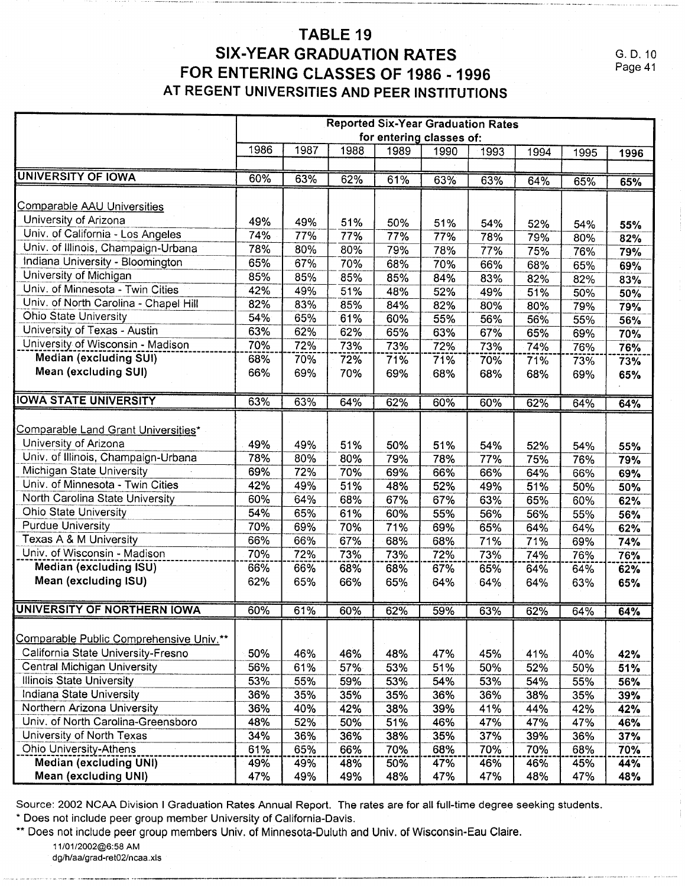### TABLE 19 **SIX-YEAR GRADUATION RATES** FOR ENTERING CLASSES OF 1986 - 1996 AT REGENT UNIVERSITIES AND PEER INSTITUTIONS

G. D. 10 Page 41

|                                         | <b>Reported Six-Year Graduation Rates</b> |      |      |      |      |      |      |      |      |
|-----------------------------------------|-------------------------------------------|------|------|------|------|------|------|------|------|
|                                         | for entering classes of:                  |      |      |      |      |      |      |      |      |
|                                         | 1986                                      | 1987 | 1988 | 1989 | 1990 | 1993 | 1994 | 1995 | 1996 |
|                                         |                                           |      |      |      |      |      |      |      |      |
| <b>UNIVERSITY OF IOWA</b>               | 60%                                       | 63%  | 62%  | 61%  | 63%  | 63%  | 64%  | 65%  | 65%  |
| <b>Comparable AAU Universities</b>      |                                           |      |      |      |      |      |      |      |      |
| University of Arizona                   |                                           |      |      |      |      |      |      |      |      |
|                                         | 49%                                       | 49%  | 51%  | 50%  | 51%  | 54%  | 52%  | 54%  | 55%  |
| Univ. of California - Los Angeles       | 74%                                       | 77%  | 77%  | 77%  | 77%  | 78%  | 79%  | 80%  | 82%  |
| Univ. of Illinois, Champaign-Urbana     | 78%                                       | 80%  | 80%  | 79%  | 78%  | 77%  | 75%  | 76%  | 79%  |
| Indiana University - Bloomington        | 65%                                       | 67%  | 70%  | 68%  | 70%  | 66%  | 68%  | 65%  | 69%  |
| University of Michigan                  | 85%                                       | 85%  | 85%  | 85%  | 84%  | 83%  | 82%  | 82%  | 83%  |
| Univ. of Minnesota - Twin Cities        | 42%                                       | 49%  | 51%  | 48%  | 52%  | 49%  | 51%  | 50%  | 50%  |
| Univ. of North Carolina - Chapel Hill   | 82%                                       | 83%  | 85%  | 84%  | 82%  | 80%  | 80%  | 79%  | 79%  |
| Ohio State University                   | 54%                                       | 65%  | 61%  | 60%  | 55%  | 56%  | 56%  | 55%  | 56%  |
| University of Texas - Austin            | 63%                                       | 62%  | 62%  | 65%  | 63%  | 67%  | 65%  | 69%  | 70%  |
| University of Wisconsin - Madison       | 70%                                       | 72%  | 73%  | 73%  | 72%  | 73%  | 74%  | 76%  | 76%  |
| <b>Median (excluding SUI)</b>           | 68%                                       | 70%  | 72%  | 71%  | 71%  | 70%  | 71%  | 73%  | 73%  |
| Mean (excluding SUI)                    | 66%                                       | 69%  | 70%  | 69%  | 68%  | 68%  | 68%  | 69%  | 65%  |
|                                         |                                           |      |      |      |      |      |      |      |      |
| <b>IOWA STATE UNIVERSITY</b>            | 63%                                       | 63%  | 64%  | 62%  | 60%  | 60%  | 62%  | 64%  | 64%  |
|                                         |                                           |      |      |      |      |      |      |      |      |
| Comparable Land Grant Universities*     |                                           |      |      |      |      |      |      |      |      |
| University of Arizona                   | 49%                                       | 49%  | 51%  | 50%  | 51%  | 54%  | 52%  | 54%  | 55%  |
| Univ. of Illinois, Champaign-Urbana     | 78%                                       | 80%  | 80%  | 79%  | 78%  | 77%  | 75%  | 76%  | 79%  |
| Michigan State University               | 69%                                       | 72%  | 70%  | 69%  | 66%  | 66%  | 64%  | 66%  | 69%  |
| Univ. of Minnesota - Twin Cities        | 42%                                       | 49%  | 51%  | 48%  | 52%  | 49%  | 51%  | 50%  | 50%  |
| North Carolina State University         | 60%                                       | 64%  | 68%  | 67%  | 67%  | 63%  | 65%  | 60%  | 62%  |
| Ohio State University                   | 54%                                       | 65%  | 61%  | 60%  | 55%  | 56%  | 56%  | 55%  | 56%  |
| <b>Purdue University</b>                | 70%                                       | 69%  | 70%  | 71%  | 69%  | 65%  | 64%  | 64%  | 62%  |
| Texas A & M University                  | 66%                                       | 66%  | 67%  | 68%  | 68%  | 71%  | 71%  | 69%  | 74%  |
| Univ. of Wisconsin - Madison            | 70%                                       | 72%  | 73%  | 73%  | 72%  | 73%  | 74%  | 76%  |      |
| Median (excluding ISU)                  | 66%                                       | 66%  | 68%  | 68%  | 67%  | 65%  |      |      | 76%  |
| Mean (excluding ISU)                    | 62%                                       | 65%  | 66%  | 65%  | 64%  | 64%  | 64%  | 64%  | 62%  |
|                                         |                                           |      |      |      |      |      | 64%  | 63%  | 65%  |
| UNIVERSITY OF NORTHERN IOWA             | 60%                                       | 61%  | 60%  | 62%  | 59%  | 63%  | 62%  | 64%  | 64%  |
|                                         |                                           |      |      |      |      |      |      |      |      |
| Comparable Public Comprehensive Univ.** |                                           |      |      |      |      |      |      |      |      |
| California State University-Fresno      | 50%                                       | 46%  | 46%  | 48%  | 47%  | 45%  | 41%  | 40%  | 42%  |
| Central Michigan University             | 56%                                       | 61%  | 57%  | 53%  | 51%  | 50%  | 52%  | 50%  | 51%  |
| Illinois State University               | 53%                                       | 55%  | 59%  | 53%  | 54%  | 53%  | 54%  | 55%  | 56%  |
| <b>Indiana State University</b>         | 36%                                       | 35%  | 35%  | 35%  | 36%  | 36%  | 38%  | 35%  | 39%  |
| Northern Arizona University             | 36%                                       | 40%  | 42%  | 38%  | 39%  | 41%  | 44%  | 42%  | 42%  |
| Univ. of North Carolina-Greensboro      | 48%                                       | 52%  | 50%  | 51%  | 46%  | 47%  | 47%  | 47%  | 46%  |
| University of North Texas               | 34%                                       | 36%  | 36%  | 38%  | 35%  | 37%  | 39%  | 36%  | 37%  |
| <b>Ohio University-Athens</b>           | 61%                                       | 65%  | 66%  | 70%  | 68%  | 70%  | 70%  | 68%  | 70%  |
| <b>Median (excluding UNI)</b>           | 49%                                       | 49%  | 48%  | 50%  | 47%  | 46%  | 46%  | 45%  | 44%  |
| Mean (excluding UNI)                    | 47%                                       | 49%  | 49%  | 48%  | 47%  | 47%  | 48%  | 47%  | 48%  |

Source: 2002 NCAA Division I Graduation Rates Annual Report. The rates are for all full-time degree seeking students.

\* Does not include peer group member University of California-Davis.

\*\* Does not include peer group members Univ. of Minnesota-Duluth and Univ. of Wisconsin-Eau Claire.

11/01/2002@6:58 AM

dg/h/aa/grad-ret02/ncaa.xls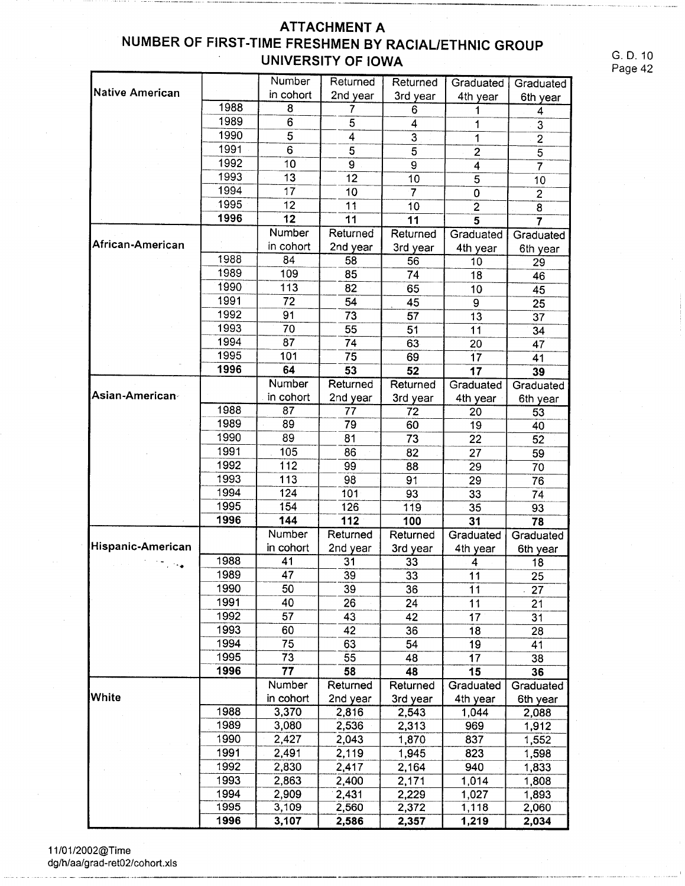### **ATTACHMENT A** NUMBER OF FIRST-TIME FRESHMEN BY RACIAL/ETHNIC GROUP **UNIVERSITY OF IOWA**

G. D. 10 Page 42

|                        |      | Number          | Returned        | Returned        | Graduated       | Graduated       |
|------------------------|------|-----------------|-----------------|-----------------|-----------------|-----------------|
| <b>Native American</b> |      | in cohort       | 2nd year        | 3rd year        | 4th year        | 6th year        |
|                        | 1988 | 8               | 7               | 6               | 1               | 4               |
|                        | 1989 | 6               | 5               | 4               | 1               | 3               |
|                        | 1990 | 5               | 4               | 3               | 1               | $\overline{2}$  |
|                        | 1991 | 6               | 5               | 5               | $\overline{2}$  | $\overline{5}$  |
|                        | 1992 | 10              | 9               | 9               | $\overline{4}$  | $\overline{7}$  |
|                        | 1993 | 13              | 12              | 10              | 5               | 10              |
|                        | 1994 | 17              | 10              | $\overline{7}$  | $\overline{0}$  | $\overline{2}$  |
|                        | 1995 | 12              | 11              | 10              | $\overline{2}$  | $\overline{8}$  |
|                        | 1996 | 12              | 11              | 11              | $\overline{5}$  | $\overline{7}$  |
|                        |      | Number          | Returned        | Returned        | Graduated       | Graduated       |
| African-American       |      | in cohort       | 2nd year        | 3rd year        | 4th year        | 6th year        |
|                        | 1988 | 84              | 58              | 56              | 10              | 29              |
|                        | 1989 | 109             | 85              | 74              | 18              | 46              |
|                        | 1990 | 113             | 82              | 65              | 10              | 45              |
|                        | 1991 | 72              | 54              | 45              | $\mathbf{9}$    | 25              |
|                        | 1992 | 91              | 73              | 57              | 13              | 37              |
|                        | 1993 | 70              | 55              | 51              | 11              | 34              |
|                        | 1994 | 87              | 74              | 63              | 20 <sup>2</sup> | 47              |
|                        | 1995 | 101             | 75              | 69              | 17              | 41              |
|                        | 1996 | 64              | 53              | 52              | 17              | 39              |
|                        |      | Number          | Returned        | Returned        | Graduated       | Graduated       |
| Asian-American∘        |      | in cohort       | 2nd year        | 3rd year        | 4th year        | 6th year        |
|                        | 1988 | 87              | 77              | 72              | 20              | 53              |
|                        | 1989 | 89              | 79              | 60              | 19              | 40              |
|                        | 1990 | 89              | 81              | 73              | 22              | 52              |
|                        | 1991 | 105             | 86              | 82              | 27              | 59              |
|                        | 1992 | 112             | 99              | 88              | 29              | 70              |
|                        | 1993 | 113             | 98              | 91              | 29              | 76              |
|                        | 1994 | 124             | 101             | 93              | 33              | 74              |
|                        | 1995 | 154             | 126             | 119             | 35              | 93              |
|                        | 1996 | 144             | 112             | 100             | 31              | 78              |
|                        |      | Number          | Returned        | Returned        | Graduated       | Graduated       |
| Hispanic-American      |      | in cohort       | 2nd year        | 3rd year        | 4th year        | 6th year        |
|                        | 1988 | 41              | 31              | 33              | 4               | 18              |
|                        | 1989 | $\overline{47}$ | $\overline{39}$ | $\overline{33}$ | $\overline{11}$ | $\overline{25}$ |
|                        | 1990 | 50              | 39              | 36              | 11              | 27              |
|                        | 1991 | 40              | 26              | 24              | 11              | 21              |
|                        | 1992 | 57              | 43              | 42              | 17              | 31              |
|                        | 1993 | 60              | 42              | 36              | 18              | 28              |
|                        | 1994 | 75              | 63              | 54              | 19              | 41              |
|                        | 1995 | 73              | 55              | 48              | 17              | 38              |
|                        | 1996 | 77              | 58              | 48              | 15              | 36              |
|                        |      | Number          | Returned        | Returned        | Graduated       | Graduated       |
| White                  |      | in cohort       | 2nd year        | 3rd year        | 4th year        | 6th year        |
|                        | 1988 | 3,370           | 2,816           | 2,543           | 1,044           | 2,088           |
|                        | 1989 | 3,080           | 2,536           | 2,313           | 969             | 1,912           |
|                        | 1990 | 2,427           | 2,043           | 1,870           | 837             | 1,552           |
|                        | 1991 | 2,491           | 2,119           | 1,945           | 823             | 1,598           |
|                        | 1992 | 2,830           | 2,417           | 2,164           | 940             | 1,833           |
|                        | 1993 | 2,863           | 2,400           | 2,171           | 1,014           | 1,808           |
|                        | 1994 | 2,909           | 2,431           | 2,229           | 1,027           | 1,893           |
|                        | 1995 | 3,109           | 2,560           | 2,372           | 1,118           | 2,060           |
|                        | 1996 | 3,107           | 2,586           | 2,357           | 1,219           | 2,034           |

11/01/2002@Time<br>dg/h/aa/grad-ret02/cohort.xls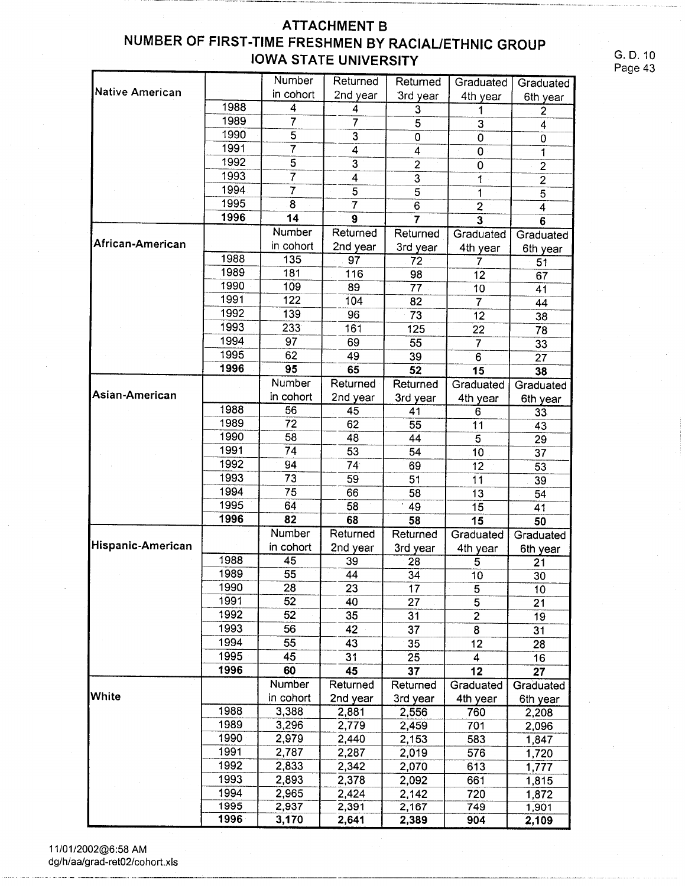### **ATTACHMENT B** NUMBER OF FIRST-TIME FRESHMEN BY RACIAL/ETHNIC GROUP **IOWA STATE UNIVERSITY**

G. D. 10 Page 43

|                        |      | Number          | Returned                | Returned        | Graduated               | Graduated               |
|------------------------|------|-----------------|-------------------------|-----------------|-------------------------|-------------------------|
| <b>Native American</b> |      | in cohort       | 2nd year                | 3rd year        | 4th year                | 6th year                |
|                        | 1988 | 4               | 4                       | 3               | 1                       | $\overline{\mathbf{c}}$ |
|                        | 1989 | 7               | 7                       | 5               | $\overline{3}$          | $\overline{4}$          |
|                        | 1990 | 5               | 3                       | 0               | 0                       | 0                       |
|                        | 1991 | 7               | 4                       | 4               | $\overline{0}$          | 1                       |
|                        | 1992 | 5               | 3                       | $\overline{c}$  | $\mathbf 0$             | $\overline{2}$          |
|                        | 1993 | 7               | $\overline{\mathbf{4}}$ | $\overline{3}$  | 1                       | $\overline{2}$          |
|                        | 1994 | 7               | 5                       | 5               | 1                       | $\overline{5}$          |
|                        | 1995 | 8               |                         | 6               | $\overline{2}$          | $\overline{4}$          |
|                        | 1996 | 14              | 9                       | 7               | $\overline{\mathbf{3}}$ | 6                       |
|                        |      | Number          | Returned                | Returned        | Graduated               | Graduated               |
| African-American       |      | in cohort       | 2nd year                | 3rd year        | 4th year                | 6th year                |
|                        | 1988 | 135             | 97                      | $\overline{72}$ | 7                       | 51                      |
|                        | 1989 | 181             | 116                     | 98              | 12                      | 67                      |
|                        | 1990 | 109             | 89                      | 77              | 10                      | 41                      |
|                        | 1991 | 122             | 104                     | 82              | 7                       | 44                      |
|                        | 1992 | 139             | 96                      | 73              | 12                      | 38                      |
|                        | 1993 | 233             | 161                     | 125             | 22                      | 78                      |
|                        | 1994 | 97              | 69                      | 55              | 7                       | 33                      |
|                        | 1995 | 62              | 49                      | 39              | 6                       | 27                      |
|                        | 1996 | 95              | 65                      | 52              | 15                      | 38                      |
|                        |      | Number          | Returned                | Returned        | Graduated               | Graduated               |
| Asian-American         |      | in cohort       | 2nd year                | 3rd year        | 4th year                | 6th year                |
|                        | 1988 | 56              | 45                      | 41              | 6                       | 33                      |
|                        | 1989 | 72              | 62                      | 55              | 11                      | 43                      |
|                        | 1990 | 58              | 48                      | 44              | 5                       | 29                      |
|                        | 1991 | 74              | 53                      | 54              | 10                      | 37                      |
|                        | 1992 | 94              | 74 <sup>°</sup>         | 69              | 12                      | 53                      |
|                        | 1993 | 73              | 59                      | 51              | 11                      | 39                      |
|                        | 1994 | 75              | 66                      | 58              | 13                      | 54                      |
|                        | 1995 | 64              | 58                      | 49              | 15                      | 41                      |
|                        | 1996 | 82              | 68                      | 58              | 15                      | 50                      |
|                        |      | Number          | Returned                | Returned        | Graduated               | Graduated               |
| Hispanic-American      |      | in cohort       | 2nd year                | 3rd year        | 4th year                | 6th year                |
|                        | 1988 | 45              | 39                      | 28              | 5                       | 21                      |
|                        | 1989 | $\overline{55}$ | 44                      | $\overline{34}$ | $\overline{10}$         | $\overline{30}$         |
|                        | 1990 | 28              | 23                      | 17              | 5                       | 10                      |
|                        | 1991 | 52              | 40                      | 27              | $\overline{5}$          | 21                      |
|                        | 1992 | 52              | 35                      | 31              | $\overline{2}$          | $\overline{19}$         |
|                        | 1993 | 56              | 42                      | 37              | 8                       | 31                      |
|                        | 1994 | 55              | 43                      | 35              | 12                      | 28                      |
|                        | 1995 | 45              | 31                      | 25              | 4                       | 16                      |
|                        | 1996 | 60              | 45                      | 37              | 12                      | 27                      |
|                        |      | Number          | Returned                | Returned        | Graduated               | Graduated               |
| <b>White</b>           |      | in cohort       | 2nd year                | 3rd year        | 4th year                | 6th year                |
|                        | 1988 | 3,388           | 2,881                   | 2,556           | 760                     | 2,208                   |
|                        | 1989 | 3,296           | 2,779                   | 2,459           | 701                     | 2,096                   |
|                        | 1990 | 2,979           | 2,440                   | 2,153           | 583                     | 1,847                   |
|                        | 1991 | 2,787           | 2,287                   | 2,019           | 576                     | 1,720                   |
|                        | 1992 | 2,833           | 2,342                   | 2,070           | 613                     | 1,777                   |
|                        | 1993 | 2,893           | 2,378                   | 2,092           | 661                     | 1,815                   |
|                        | 1994 | 2,965           | 2,424                   | 2,142           | 720                     | 1,872                   |
|                        | 1995 | 2,937           | 2,391                   | 2,167           | 749                     | 1,901                   |
|                        | 1996 | 3,170           | 2,641                   | 2,389           | 904                     | 2,109                   |

11/01/2002@6:58 AM dg/h/aa/grad-ret02/cohort.xls